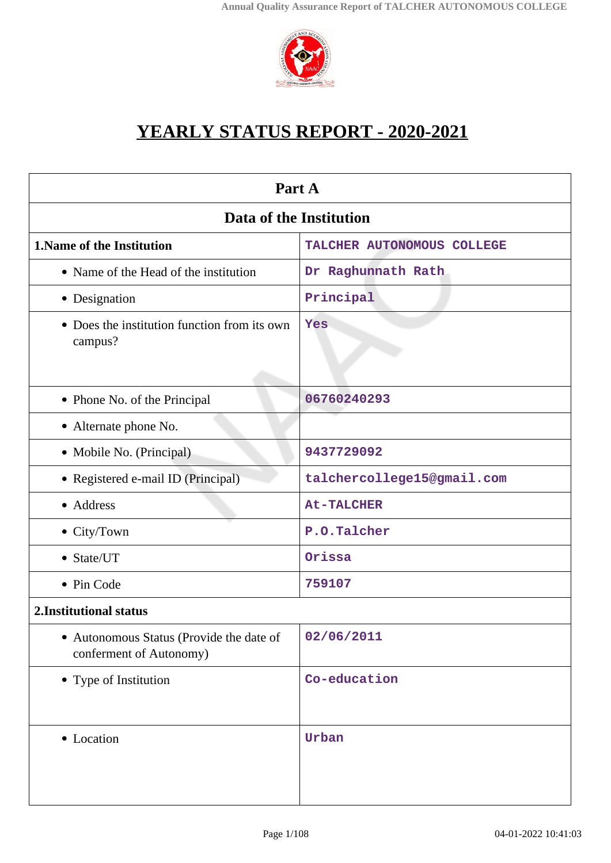

# **YEARLY STATUS REPORT - 2020-2021**

| Part A                                                              |                            |  |  |  |
|---------------------------------------------------------------------|----------------------------|--|--|--|
| Data of the Institution                                             |                            |  |  |  |
| 1. Name of the Institution                                          | TALCHER AUTONOMOUS COLLEGE |  |  |  |
| • Name of the Head of the institution                               | Dr Raghunnath Rath         |  |  |  |
| • Designation                                                       | Principal                  |  |  |  |
| • Does the institution function from its own<br>campus?             | Yes                        |  |  |  |
| • Phone No. of the Principal                                        | 06760240293                |  |  |  |
| • Alternate phone No.                                               |                            |  |  |  |
| • Mobile No. (Principal)                                            | 9437729092                 |  |  |  |
| • Registered e-mail ID (Principal)                                  | talchercollege15@gmail.com |  |  |  |
| • Address                                                           | <b>At-TALCHER</b>          |  |  |  |
| $\bullet$ City/Town                                                 | P.O.Talcher                |  |  |  |
| • State/UT                                                          | Orissa                     |  |  |  |
| • Pin Code                                                          | 759107                     |  |  |  |
| 2. Institutional status                                             |                            |  |  |  |
| • Autonomous Status (Provide the date of<br>conferment of Autonomy) | 02/06/2011                 |  |  |  |
| • Type of Institution                                               | Co-education               |  |  |  |
| • Location                                                          | Urban                      |  |  |  |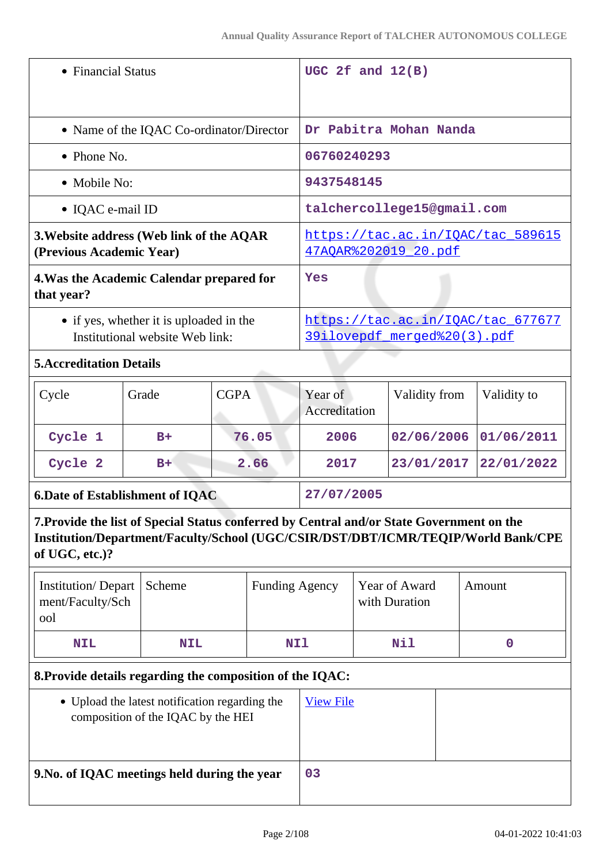| • Financial Status                                                                                                                                                                               |                                          |             |                                                                  | UGC 2 $f$ and $12(B)$    |             |                                |             |  |
|--------------------------------------------------------------------------------------------------------------------------------------------------------------------------------------------------|------------------------------------------|-------------|------------------------------------------------------------------|--------------------------|-------------|--------------------------------|-------------|--|
|                                                                                                                                                                                                  | • Name of the IQAC Co-ordinator/Director |             |                                                                  |                          |             | Dr Pabitra Mohan Nanda         |             |  |
| $\bullet$ Phone No.                                                                                                                                                                              |                                          |             |                                                                  |                          | 06760240293 |                                |             |  |
| • Mobile No:                                                                                                                                                                                     |                                          |             |                                                                  | 9437548145               |             |                                |             |  |
| • IQAC e-mail ID                                                                                                                                                                                 |                                          |             |                                                                  |                          |             | talchercollege15@gmail.com     |             |  |
| 3. Website address (Web link of the AQAR<br>(Previous Academic Year)                                                                                                                             |                                          |             | https://tac.ac.in/IOAC/tac 589615<br>47AOAR%202019 20.pdf        |                          |             |                                |             |  |
| 4. Was the Academic Calendar prepared for<br>that year?                                                                                                                                          |                                          |             | Yes                                                              |                          |             |                                |             |  |
| • if yes, whether it is uploaded in the<br>Institutional website Web link:                                                                                                                       |                                          |             | https://tac.ac.in/IQAC/tac_677677<br>39ilovepdf merged%20(3).pdf |                          |             |                                |             |  |
| <b>5. Accreditation Details</b>                                                                                                                                                                  |                                          |             |                                                                  |                          |             |                                |             |  |
| Cycle                                                                                                                                                                                            | Grade                                    | <b>CGPA</b> |                                                                  | Year of<br>Accreditation |             | Validity from                  | Validity to |  |
| Cycle 1                                                                                                                                                                                          | $B+$                                     |             | 76.05                                                            | 2006                     |             | 02/06/2006                     | 01/06/2011  |  |
| Cycle 2                                                                                                                                                                                          | $B+$                                     | 2.66        |                                                                  | 2017                     |             | 23/01/2017                     | 22/01/2022  |  |
| <b>6.Date of Establishment of IQAC</b>                                                                                                                                                           |                                          |             |                                                                  | 27/07/2005               |             |                                |             |  |
| 7. Provide the list of Special Status conferred by Central and/or State Government on the<br>Institution/Department/Faculty/School (UGC/CSIR/DST/DBT/ICMR/TEQIP/World Bank/CPE<br>of UGC, etc.)? |                                          |             |                                                                  |                          |             |                                |             |  |
| <b>Institution/Depart</b><br>ment/Faculty/Sch<br>പ                                                                                                                                               | Scheme                                   |             | <b>Funding Agency</b>                                            |                          |             | Year of Award<br>with Duration | Amount      |  |

| Institution/Depart   Scheme<br>ment/Faculty/Sch<br>ool |            | <b>Funding Agency</b> | Year of Award<br>with Duration | Amount |
|--------------------------------------------------------|------------|-----------------------|--------------------------------|--------|
| <b>NIL</b>                                             | <b>NIL</b> | <b>NIl</b>            | Nil                            |        |

## **8.Provide details regarding the composition of the IQAC:**

| • Upload the latest notification regarding the<br>composition of the IQAC by the HEI | <b>View File</b> |  |
|--------------------------------------------------------------------------------------|------------------|--|
| 9. No. of IQAC meetings held during the year                                         | 03               |  |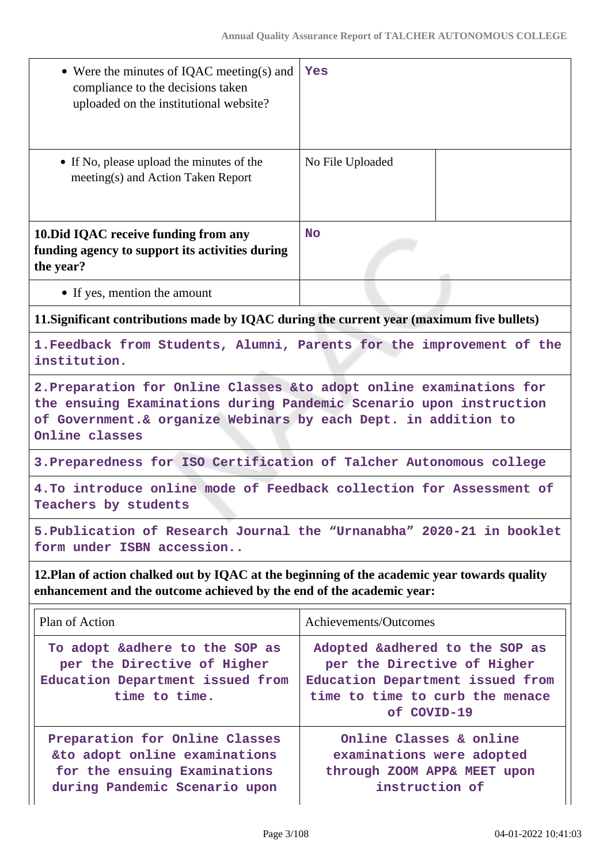| • Were the minutes of IQAC meeting(s) and<br>compliance to the decisions taken<br>uploaded on the institutional website?                                                                                                        | Yes                                                                                                                                                 |  |  |  |  |
|---------------------------------------------------------------------------------------------------------------------------------------------------------------------------------------------------------------------------------|-----------------------------------------------------------------------------------------------------------------------------------------------------|--|--|--|--|
| • If No, please upload the minutes of the<br>meeting(s) and Action Taken Report                                                                                                                                                 | No File Uploaded                                                                                                                                    |  |  |  |  |
| 10. Did IQAC receive funding from any<br>funding agency to support its activities during<br>the year?                                                                                                                           | <b>No</b>                                                                                                                                           |  |  |  |  |
| • If yes, mention the amount                                                                                                                                                                                                    |                                                                                                                                                     |  |  |  |  |
| 11. Significant contributions made by IQAC during the current year (maximum five bullets)                                                                                                                                       |                                                                                                                                                     |  |  |  |  |
| institution.                                                                                                                                                                                                                    | 1. Feedback from Students, Alumni, Parents for the improvement of the                                                                               |  |  |  |  |
| 2. Preparation for Online Classes & to adopt online examinations for<br>the ensuing Examinations during Pandemic Scenario upon instruction<br>of Government. & organize Webinars by each Dept. in addition to<br>Online classes |                                                                                                                                                     |  |  |  |  |
| 3. Preparedness for ISO Certification of Talcher Autonomous college                                                                                                                                                             |                                                                                                                                                     |  |  |  |  |
| 4. To introduce online mode of Feedback collection for Assessment of<br>Teachers by students                                                                                                                                    |                                                                                                                                                     |  |  |  |  |
| 5. Publication of Research Journal the "Urnanabha" 2020-21 in booklet<br>form under ISBN accession                                                                                                                              |                                                                                                                                                     |  |  |  |  |
| 12. Plan of action chalked out by IQAC at the beginning of the academic year towards quality<br>enhancement and the outcome achieved by the end of the academic year:                                                           |                                                                                                                                                     |  |  |  |  |
| Plan of Action                                                                                                                                                                                                                  | Achievements/Outcomes                                                                                                                               |  |  |  |  |
| To adopt &adhere to the SOP as<br>per the Directive of Higher<br>Education Department issued from<br>time to time.                                                                                                              | Adopted &adhered to the SOP as<br>per the Directive of Higher<br>Education Department issued from<br>time to time to curb the menace<br>of COVID-19 |  |  |  |  |
| Preparation for Online Classes<br>&to adopt online examinations<br>for the ensuing Examinations<br>during Pandemic Scenario upon                                                                                                | Online Classes & online<br>examinations were adopted<br>through ZOOM APP& MEET upon<br>instruction of                                               |  |  |  |  |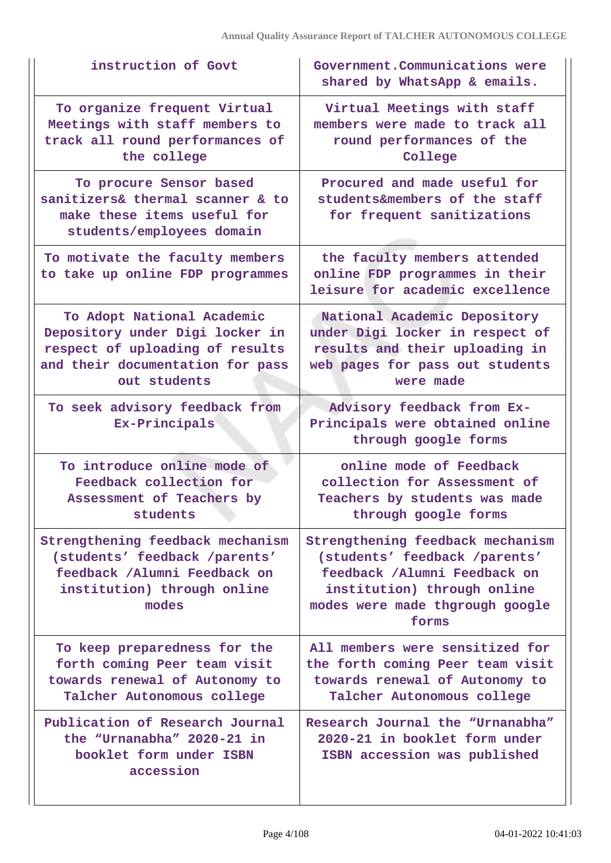| instruction of Govt                                                                                                                                  | Government. Communications were<br>shared by WhatsApp & emails.                                                                                                              |
|------------------------------------------------------------------------------------------------------------------------------------------------------|------------------------------------------------------------------------------------------------------------------------------------------------------------------------------|
| To organize frequent Virtual<br>Meetings with staff members to<br>track all round performances of<br>the college                                     | Virtual Meetings with staff<br>members were made to track all<br>round performances of the<br>College                                                                        |
| To procure Sensor based<br>sanitizers& thermal scanner & to<br>make these items useful for<br>students/employees domain                              | Procured and made useful for<br>students&members of the staff<br>for frequent sanitizations                                                                                  |
| To motivate the faculty members<br>to take up online FDP programmes                                                                                  | the faculty members attended<br>online FDP programmes in their<br>leisure for academic excellence                                                                            |
| To Adopt National Academic<br>Depository under Digi locker in<br>respect of uploading of results<br>and their documentation for pass<br>out students | National Academic Depository<br>under Digi locker in respect of<br>results and their uploading in<br>web pages for pass out students<br>were made                            |
| To seek advisory feedback from<br>Ex-Principals                                                                                                      | Advisory feedback from Ex-<br>Principals were obtained online<br>through google forms                                                                                        |
| To introduce online mode of<br>Feedback collection for<br>Assessment of Teachers by<br>students                                                      | online mode of Feedback<br>collection for Assessment of<br>Teachers by students was made<br>through google forms                                                             |
| Strengthening feedback mechanism<br>(students' feedback /parents'<br>feedback /Alumni Feedback on<br>institution) through online<br>modes            | Strengthening feedback mechanism<br>(students' feedback /parents'<br>feedback /Alumni Feedback on<br>institution) through online<br>modes were made thgrough google<br>forms |
| To keep preparedness for the<br>forth coming Peer team visit<br>towards renewal of Autonomy to<br>Talcher Autonomous college                         | All members were sensitized for<br>the forth coming Peer team visit<br>towards renewal of Autonomy to<br>Talcher Autonomous college                                          |
| Publication of Research Journal<br>the "Urnanabha" 2020-21 in<br>booklet form under ISBN<br>accession                                                | Research Journal the "Urnanabha"<br>2020-21 in booklet form under<br>ISBN accession was published                                                                            |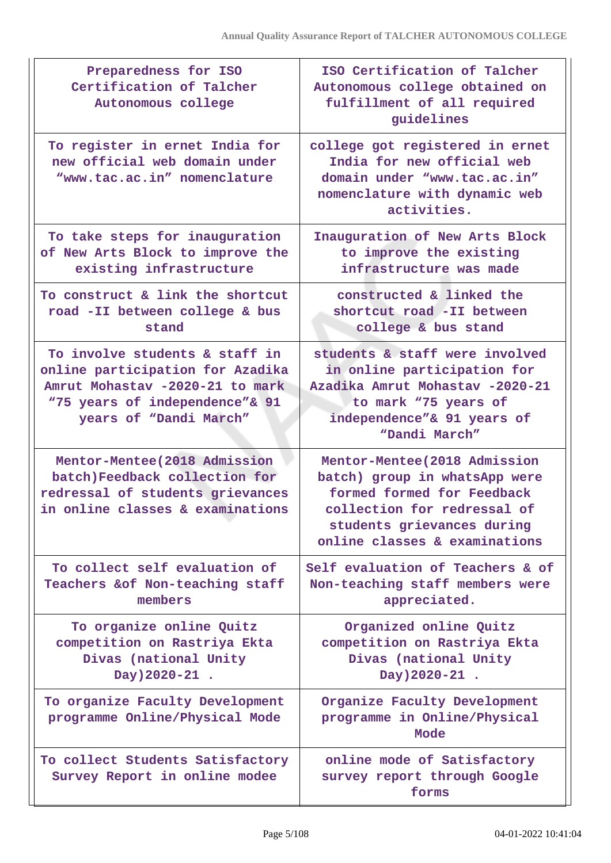| Preparedness for ISO<br>Certification of Talcher<br>Autonomous college                                                                                            | ISO Certification of Talcher<br>Autonomous college obtained on<br>fulfillment of all required<br>guidelines                                                                                |
|-------------------------------------------------------------------------------------------------------------------------------------------------------------------|--------------------------------------------------------------------------------------------------------------------------------------------------------------------------------------------|
| To register in ernet India for<br>new official web domain under<br>"www.tac.ac.in" nomenclature                                                                   | college got registered in ernet<br>India for new official web<br>domain under "www.tac.ac.in"<br>nomenclature with dynamic web<br>activities.                                              |
| To take steps for inauguration<br>of New Arts Block to improve the<br>existing infrastructure                                                                     | Inauguration of New Arts Block<br>to improve the existing<br>infrastructure was made                                                                                                       |
| To construct & link the shortcut<br>road -II between college & bus<br>stand                                                                                       | constructed & linked the<br>shortcut road -II between<br>college & bus stand                                                                                                               |
| To involve students & staff in<br>online participation for Azadika<br>Amrut Mohastav -2020-21 to mark<br>"75 years of independence"& 91<br>years of "Dandi March" | students & staff were involved<br>in online participation for<br>Azadika Amrut Mohastav -2020-21<br>to mark "75 years of<br>independence"& 91 years of<br>"Dandi March"                    |
| Mentor-Mentee (2018 Admission<br>batch)Feedback collection for<br>redressal of students grievances<br>in online classes & examinations                            | Mentor-Mentee (2018 Admission<br>batch) group in whatsApp were<br>formed formed for Feedback<br>collection for redressal of<br>students grievances during<br>online classes & examinations |
| To collect self evaluation of<br>Teachers & of Non-teaching staff<br>members                                                                                      | Self evaluation of Teachers & of<br>Non-teaching staff members were<br>appreciated.                                                                                                        |
| To organize online Quitz<br>competition on Rastriya Ekta<br>Divas (national Unity<br>Day) 2020-21 .                                                               | Organized online Quitz<br>competition on Rastriya Ekta<br>Divas (national Unity<br>Day) 2020-21 .                                                                                          |
| To organize Faculty Development<br>programme Online/Physical Mode                                                                                                 | Organize Faculty Development<br>programme in Online/Physical<br>Mode                                                                                                                       |
| To collect Students Satisfactory<br>Survey Report in online modee                                                                                                 | online mode of Satisfactory<br>survey report through Google<br>forms                                                                                                                       |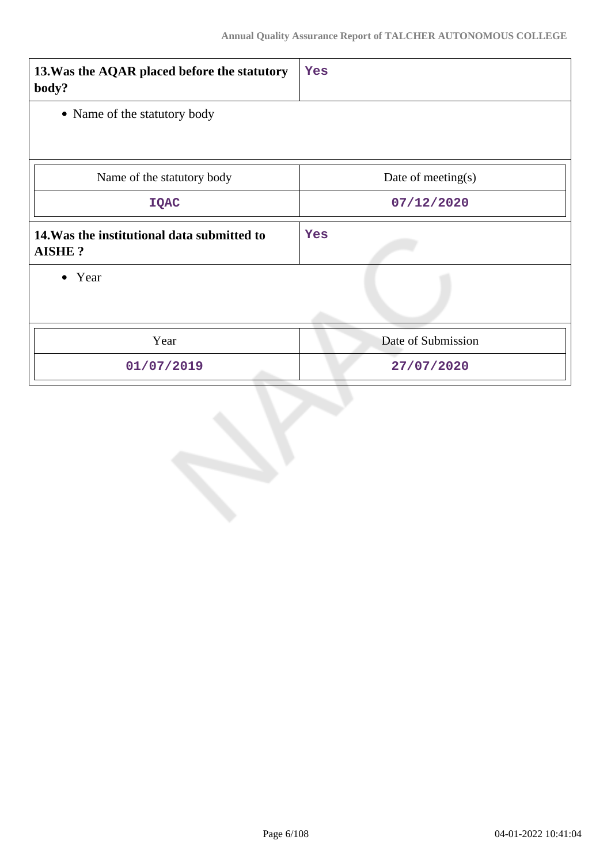| 13. Was the AQAR placed before the statutory<br>body?        | Yes                   |  |  |
|--------------------------------------------------------------|-----------------------|--|--|
| • Name of the statutory body                                 |                       |  |  |
|                                                              |                       |  |  |
| Name of the statutory body                                   | Date of meeting $(s)$ |  |  |
| <b>IQAC</b>                                                  | 07/12/2020            |  |  |
| 14. Was the institutional data submitted to<br><b>AISHE?</b> | Yes                   |  |  |
| • Year                                                       |                       |  |  |
| Year                                                         | Date of Submission    |  |  |
| 01/07/2019                                                   | 27/07/2020            |  |  |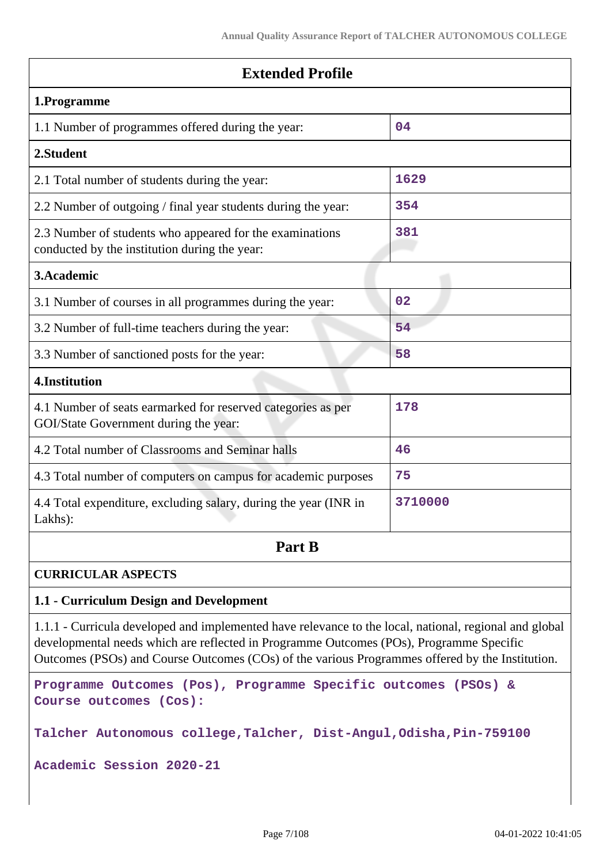| <b>Extended Profile</b>                                                                                   |         |  |  |  |
|-----------------------------------------------------------------------------------------------------------|---------|--|--|--|
| 1.Programme                                                                                               |         |  |  |  |
| 1.1 Number of programmes offered during the year:                                                         | 04      |  |  |  |
| 2.Student                                                                                                 |         |  |  |  |
| 2.1 Total number of students during the year:                                                             | 1629    |  |  |  |
| 2.2 Number of outgoing / final year students during the year:                                             | 354     |  |  |  |
| 2.3 Number of students who appeared for the examinations<br>conducted by the institution during the year: | 381     |  |  |  |
| 3.Academic                                                                                                |         |  |  |  |
| 3.1 Number of courses in all programmes during the year:                                                  | 02      |  |  |  |
| 3.2 Number of full-time teachers during the year:                                                         | 54      |  |  |  |
| 3.3 Number of sanctioned posts for the year:                                                              | 58      |  |  |  |
| 4.Institution                                                                                             |         |  |  |  |
| 4.1 Number of seats earmarked for reserved categories as per<br>GOI/State Government during the year:     | 178     |  |  |  |
| 4.2 Total number of Classrooms and Seminar halls                                                          | 46      |  |  |  |
| 4.3 Total number of computers on campus for academic purposes                                             | 75      |  |  |  |
| 4.4 Total expenditure, excluding salary, during the year (INR in<br>Lakhs):                               | 3710000 |  |  |  |
| Part B                                                                                                    |         |  |  |  |
| <b>CURRICULAR ASPECTS</b>                                                                                 |         |  |  |  |
| 1.1 - Curriculum Design and Development                                                                   |         |  |  |  |

1.1.1 - Curricula developed and implemented have relevance to the local, national, regional and global developmental needs which are reflected in Programme Outcomes (POs), Programme Specific Outcomes (PSOs) and Course Outcomes (COs) of the various Programmes offered by the Institution.

```
Programme Outcomes (Pos), Programme Specific outcomes (PSOs) &
Course outcomes (Cos):
```
**Talcher Autonomous college,Talcher, Dist-Angul,Odisha,Pin-759100**

**Academic Session 2020-21**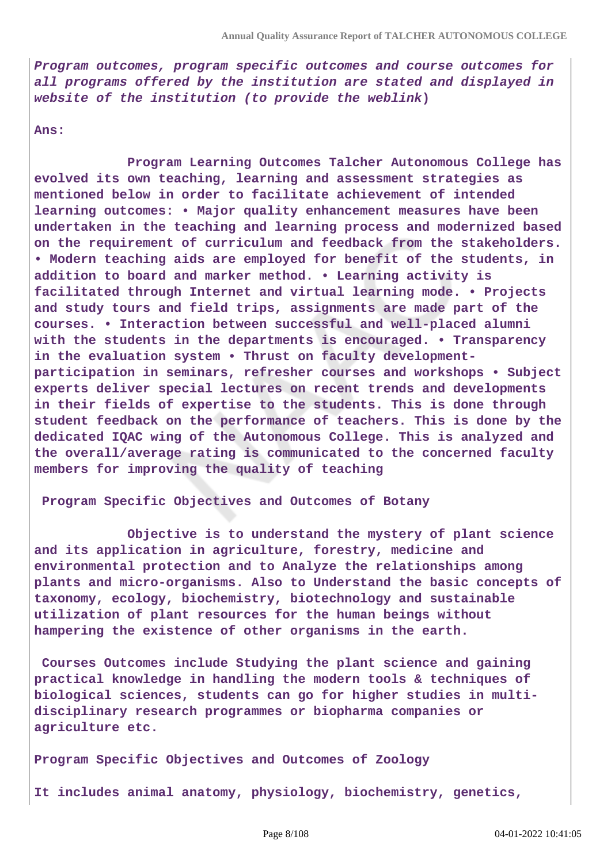**Program outcomes, program specific outcomes and course outcomes for all programs offered by the institution are stated and displayed in website of the institution (to provide the weblink)**

**Ans:**

 **Program Learning Outcomes Talcher Autonomous College has evolved its own teaching, learning and assessment strategies as mentioned below in order to facilitate achievement of intended learning outcomes: • Major quality enhancement measures have been undertaken in the teaching and learning process and modernized based on the requirement of curriculum and feedback from the stakeholders. • Modern teaching aids are employed for benefit of the students, in addition to board and marker method. • Learning activity is facilitated through Internet and virtual learning mode. • Projects and study tours and field trips, assignments are made part of the courses. • Interaction between successful and well-placed alumni with the students in the departments is encouraged. • Transparency in the evaluation system • Thrust on faculty developmentparticipation in seminars, refresher courses and workshops • Subject experts deliver special lectures on recent trends and developments in their fields of expertise to the students. This is done through student feedback on the performance of teachers. This is done by the dedicated IQAC wing of the Autonomous College. This is analyzed and the overall/average rating is communicated to the concerned faculty members for improving the quality of teaching**

**Program Specific Objectives and Outcomes of Botany** 

 **Objective is to understand the mystery of plant science and its application in agriculture, forestry, medicine and environmental protection and to Analyze the relationships among plants and micro-organisms. Also to Understand the basic concepts of taxonomy, ecology, biochemistry, biotechnology and sustainable utilization of plant resources for the human beings without hampering the existence of other organisms in the earth.**

**Courses Outcomes include Studying the plant science and gaining practical knowledge in handling the modern tools & techniques of biological sciences, students can go for higher studies in multidisciplinary research programmes or biopharma companies or agriculture etc.**

**Program Specific Objectives and Outcomes of Zoology**

**It includes animal anatomy, physiology, biochemistry, genetics,**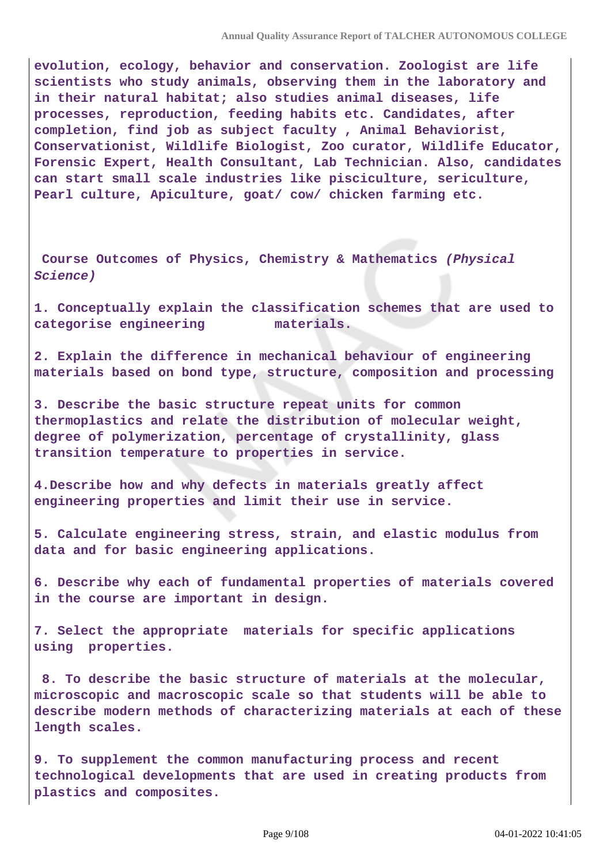**evolution, ecology, behavior and conservation. Zoologist are life scientists who study animals, observing them in the laboratory and in their natural habitat; also studies animal diseases, life processes, reproduction, feeding habits etc. Candidates, after completion, find job as subject faculty , Animal Behaviorist, Conservationist, Wildlife Biologist, Zoo curator, Wildlife Educator, Forensic Expert, Health Consultant, Lab Technician. Also, candidates can start small scale industries like pisciculture, sericulture, Pearl culture, Apiculture, goat/ cow/ chicken farming etc.**

**Course Outcomes of Physics, Chemistry & Mathematics (Physical Science)**

**1. Conceptually explain the classification schemes that are used to categorise engineering materials.**

**2. Explain the difference in mechanical behaviour of engineering materials based on bond type, structure, composition and processing**

**3. Describe the basic structure repeat units for common thermoplastics and relate the distribution of molecular weight, degree of polymerization, percentage of crystallinity, glass transition temperature to properties in service.**

**4.Describe how and why defects in materials greatly affect engineering properties and limit their use in service.**

**5. Calculate engineering stress, strain, and elastic modulus from data and for basic engineering applications.**

**6. Describe why each of fundamental properties of materials covered in the course are important in design.**

**7. Select the appropriate materials for specific applications using properties.**

 **8. To describe the basic structure of materials at the molecular, microscopic and macroscopic scale so that students will be able to describe modern methods of characterizing materials at each of these length scales.**

**9. To supplement the common manufacturing process and recent technological developments that are used in creating products from plastics and composites.**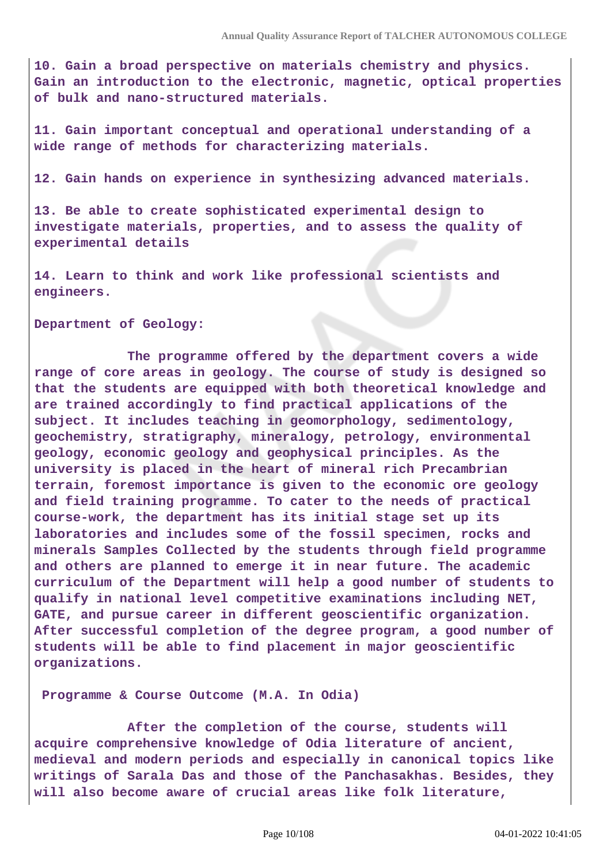**10. Gain a broad perspective on materials chemistry and physics. Gain an introduction to the electronic, magnetic, optical properties of bulk and nano-structured materials.**

**11. Gain important conceptual and operational understanding of a wide range of methods for characterizing materials.**

**12. Gain hands on experience in synthesizing advanced materials.**

**13. Be able to create sophisticated experimental design to investigate materials, properties, and to assess the quality of experimental details**

**14. Learn to think and work like professional scientists and engineers.**

**Department of Geology:**

 **The programme offered by the department covers a wide range of core areas in geology. The course of study is designed so that the students are equipped with both theoretical knowledge and are trained accordingly to find practical applications of the subject. It includes teaching in geomorphology, sedimentology, geochemistry, stratigraphy, mineralogy, petrology, environmental geology, economic geology and geophysical principles. As the university is placed in the heart of mineral rich Precambrian terrain, foremost importance is given to the economic ore geology and field training programme. To cater to the needs of practical course-work, the department has its initial stage set up its laboratories and includes some of the fossil specimen, rocks and minerals Samples Collected by the students through field programme and others are planned to emerge it in near future. The academic curriculum of the Department will help a good number of students to qualify in national level competitive examinations including NET, GATE, and pursue career in different geoscientific organization. After successful completion of the degree program, a good number of students will be able to find placement in major geoscientific organizations.**

**Programme & Course Outcome (M.A. In Odia)**

 **After the completion of the course, students will acquire comprehensive knowledge of Odia literature of ancient, medieval and modern periods and especially in canonical topics like writings of Sarala Das and those of the Panchasakhas. Besides, they will also become aware of crucial areas like folk literature,**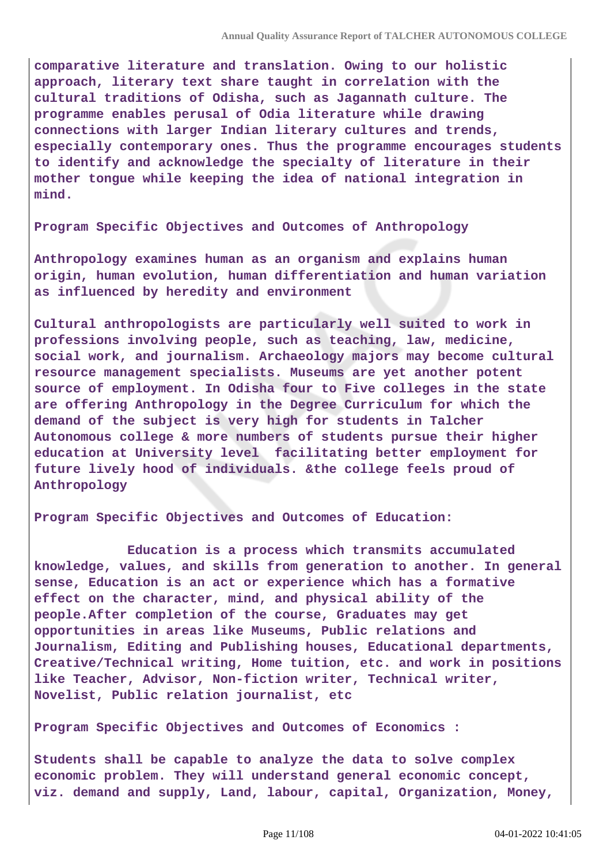**comparative literature and translation. Owing to our holistic approach, literary text share taught in correlation with the cultural traditions of Odisha, such as Jagannath culture. The programme enables perusal of Odia literature while drawing connections with larger Indian literary cultures and trends, especially contemporary ones. Thus the programme encourages students to identify and acknowledge the specialty of literature in their mother tongue while keeping the idea of national integration in mind.**

**Program Specific Objectives and Outcomes of Anthropology**

**Anthropology examines human as an organism and explains human origin, human evolution, human differentiation and human variation as influenced by heredity and environment**

**Cultural anthropologists are particularly well suited to work in professions involving people, such as teaching, law, medicine, social work, and journalism. Archaeology majors may become cultural resource management specialists. Museums are yet another potent source of employment. In Odisha four to Five colleges in the state are offering Anthropology in the Degree Curriculum for which the demand of the subject is very high for students in Talcher Autonomous college & more numbers of students pursue their higher education at University level facilitating better employment for future lively hood of individuals. &the college feels proud of Anthropology**

**Program Specific Objectives and Outcomes of Education:**

 **Education is a process which transmits accumulated knowledge, values, and skills from generation to another. In general sense, Education is an act or experience which has a formative effect on the character, mind, and physical ability of the people.After completion of the course, Graduates may get opportunities in areas like Museums, Public relations and Journalism, Editing and Publishing houses, Educational departments, Creative/Technical writing, Home tuition, etc. and work in positions like Teacher, Advisor, Non-fiction writer, Technical writer, Novelist, Public relation journalist, etc**

**Program Specific Objectives and Outcomes of Economics :**

**Students shall be capable to analyze the data to solve complex economic problem. They will understand general economic concept, viz. demand and supply, Land, labour, capital, Organization, Money,**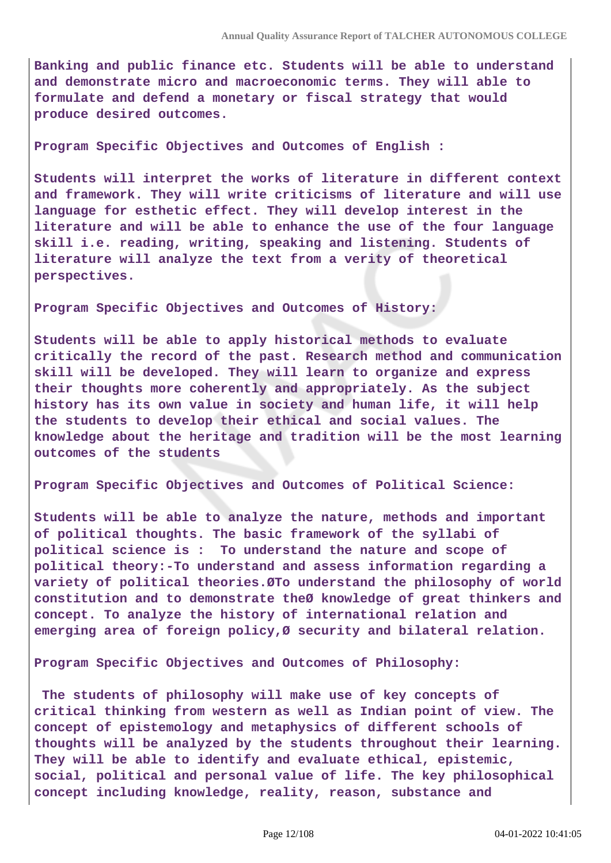**Banking and public finance etc. Students will be able to understand and demonstrate micro and macroeconomic terms. They will able to formulate and defend a monetary or fiscal strategy that would produce desired outcomes.**

**Program Specific Objectives and Outcomes of English :**

**Students will interpret the works of literature in different context and framework. They will write criticisms of literature and will use language for esthetic effect. They will develop interest in the literature and will be able to enhance the use of the four language skill i.e. reading, writing, speaking and listening. Students of literature will analyze the text from a verity of theoretical perspectives.**

**Program Specific Objectives and Outcomes of History:**

**Students will be able to apply historical methods to evaluate critically the record of the past. Research method and communication skill will be developed. They will learn to organize and express their thoughts more coherently and appropriately. As the subject history has its own value in society and human life, it will help the students to develop their ethical and social values. The knowledge about the heritage and tradition will be the most learning outcomes of the students**

**Program Specific Objectives and Outcomes of Political Science:**

**Students will be able to analyze the nature, methods and important of political thoughts. The basic framework of the syllabi of political science is : To understand the nature and scope of political theory:-To understand and assess information regarding a variety of political theories.ØTo understand the philosophy of world constitution and to demonstrate theØ knowledge of great thinkers and concept. To analyze the history of international relation and emerging area of foreign policy,Ø security and bilateral relation.**

**Program Specific Objectives and Outcomes of Philosophy:**

 **The students of philosophy will make use of key concepts of critical thinking from western as well as Indian point of view. The concept of epistemology and metaphysics of different schools of thoughts will be analyzed by the students throughout their learning. They will be able to identify and evaluate ethical, epistemic, social, political and personal value of life. The key philosophical concept including knowledge, reality, reason, substance and**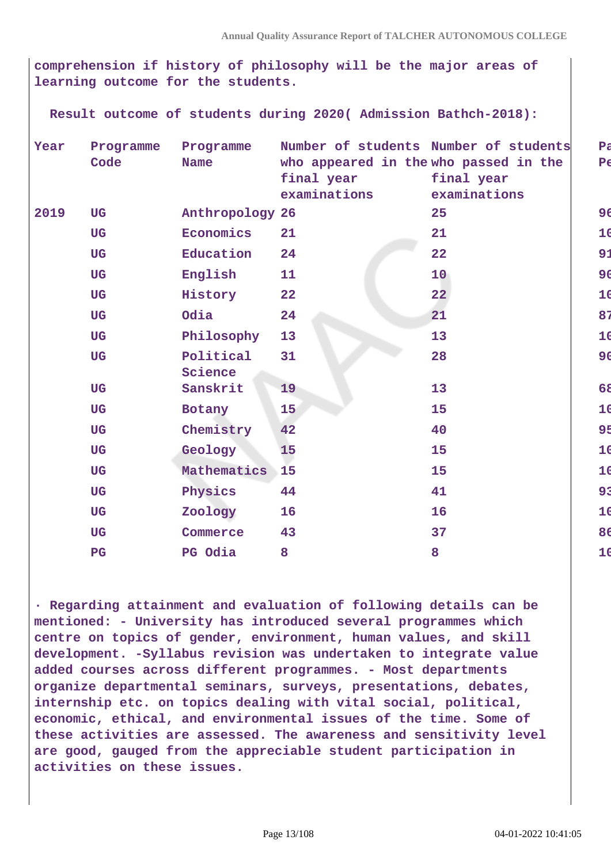**comprehension if history of philosophy will be the major areas of learning outcome for the students.**

 **Result outcome of students during 2020( Admission Bathch-2018):**

| Year | Programme<br>Code | Programme<br><b>Name</b> | Number of students Number of students<br>who appeared in the who passed in the<br>final year<br>examinations | final year<br>examinations | $P\bar{c}$<br>$P\epsilon$ |
|------|-------------------|--------------------------|--------------------------------------------------------------------------------------------------------------|----------------------------|---------------------------|
| 2019 | <b>UG</b>         | Anthropology 26          |                                                                                                              | 25                         | 96                        |
|      | <b>UG</b>         | Economics                | 21                                                                                                           | 21                         | 10                        |
|      | <b>UG</b>         | Education                | 24                                                                                                           | 22                         | 91                        |
|      | <b>UG</b>         | English                  | 11                                                                                                           | 10 <sub>1</sub>            | 9 <sub>0</sub>            |
|      | <b>UG</b>         | History                  | 22                                                                                                           | 22                         | 10                        |
|      | <b>UG</b>         | Odia                     | 24                                                                                                           | 21                         | 87                        |
|      | <b>UG</b>         | Philosophy               | 13                                                                                                           | 13                         | 10                        |
|      | <b>UG</b>         | Political<br>Science     | 31                                                                                                           | 28                         | 9 <sub>0</sub>            |
|      | <b>UG</b>         | Sanskrit                 | 19                                                                                                           | 13                         | 68                        |
|      | <b>UG</b>         | Botany                   | 15                                                                                                           | 15                         | 10                        |
|      | <b>UG</b>         | Chemistry                | 42                                                                                                           | 40                         | 95                        |
|      | <b>UG</b>         | Geology                  | 15                                                                                                           | 15                         | 10                        |
|      | <b>UG</b>         | Mathematics              | 15                                                                                                           | 15                         | 10                        |
|      | <b>UG</b>         | Physics                  | 44                                                                                                           | 41                         | 93                        |
|      | <b>UG</b>         | Zoology                  | 16                                                                                                           | 16                         | 10                        |
|      | <b>UG</b>         | Commerce                 | 43                                                                                                           | 37                         | 86                        |
|      | $\overline{P}G$   | PG Odia                  | 8                                                                                                            | 8                          | 10                        |

**· Regarding attainment and evaluation of following details can be mentioned: - University has introduced several programmes which centre on topics of gender, environment, human values, and skill development. -Syllabus revision was undertaken to integrate value added courses across different programmes. - Most departments organize departmental seminars, surveys, presentations, debates, internship etc. on topics dealing with vital social, political, economic, ethical, and environmental issues of the time. Some of these activities are assessed. The awareness and sensitivity level are good, gauged from the appreciable student participation in activities on these issues.**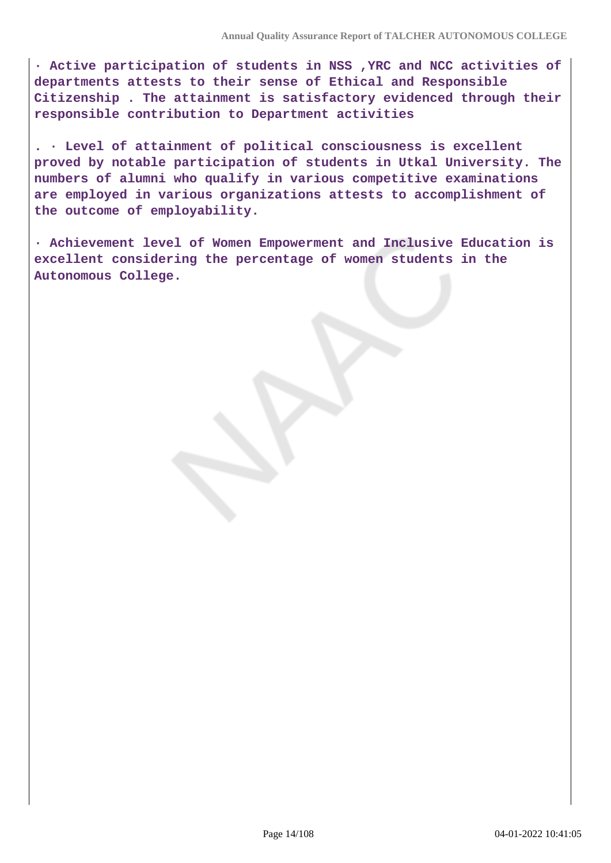**· Active participation of students in NSS ,YRC and NCC activities of departments attests to their sense of Ethical and Responsible Citizenship . The attainment is satisfactory evidenced through their responsible contribution to Department activities**

**. · Level of attainment of political consciousness is excellent proved by notable participation of students in Utkal University. The numbers of alumni who qualify in various competitive examinations are employed in various organizations attests to accomplishment of the outcome of employability.**

**· Achievement level of Women Empowerment and Inclusive Education is excellent considering the percentage of women students in the Autonomous College.**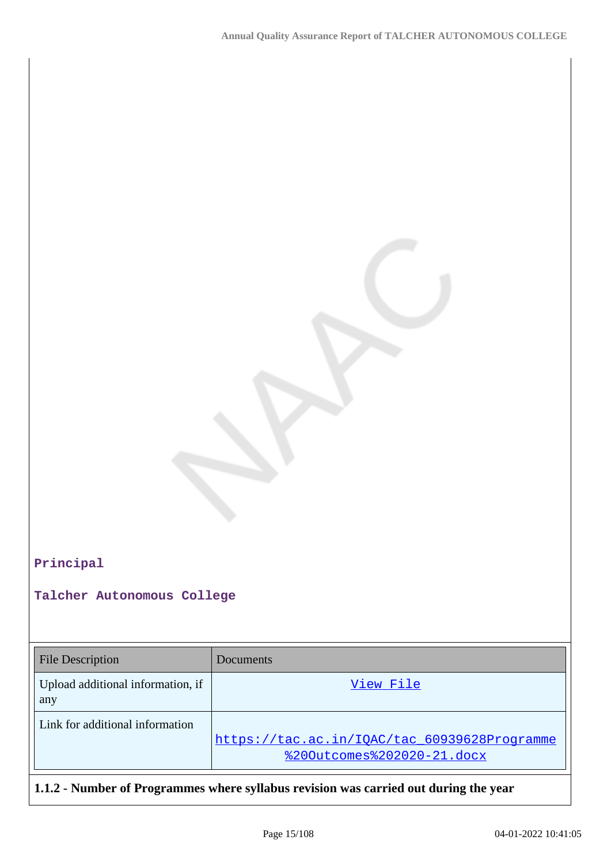#### **Principal**

**Talcher Autonomous College**

| <b>File Description</b>                  | Documents                                                                  |
|------------------------------------------|----------------------------------------------------------------------------|
| Upload additional information, if<br>any | View File                                                                  |
| Link for additional information          | https://tac.ac.in/IQAC/tac 60939628Programme<br>%200utcomes%202020-21.docx |

**1.1.2 - Number of Programmes where syllabus revision was carried out during the year**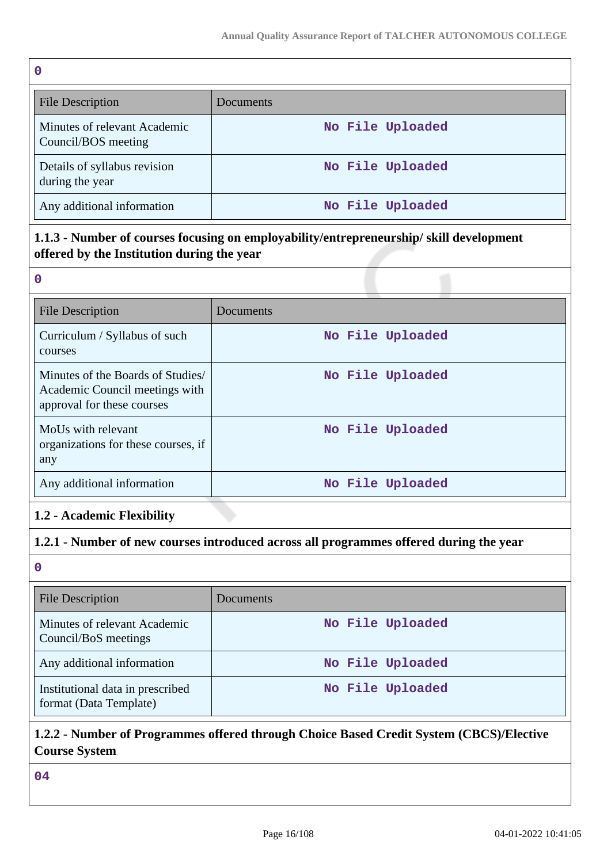| $\mathbf 0$                                         |                  |  |  |  |
|-----------------------------------------------------|------------------|--|--|--|
| <b>File Description</b>                             | Documents        |  |  |  |
| Minutes of relevant Academic<br>Council/BOS meeting | No File Uploaded |  |  |  |
| Details of syllabus revision<br>during the year     | No File Uploaded |  |  |  |
| Any additional information                          | No File Uploaded |  |  |  |

## **1.1.3 - Number of courses focusing on employability/entrepreneurship/ skill development offered by the Institution during the year**

| $\Omega$                                                                                          |                  |
|---------------------------------------------------------------------------------------------------|------------------|
| <b>File Description</b>                                                                           | Documents        |
| Curriculum / Syllabus of such<br>courses                                                          | No File Uploaded |
| Minutes of the Boards of Studies/<br>Academic Council meetings with<br>approval for these courses | No File Uploaded |
| MoUs with relevant<br>organizations for these courses, if<br>any                                  | No File Uploaded |
| Any additional information                                                                        | No File Uploaded |

## **1.2 - Academic Flexibility**

## **1.2.1 - Number of new courses introduced across all programmes offered during the year**

**0**

| <b>File Description</b>                                    | Documents        |
|------------------------------------------------------------|------------------|
| Minutes of relevant Academic<br>Council/BoS meetings       | No File Uploaded |
| Any additional information                                 | No File Uploaded |
| Institutional data in prescribed<br>format (Data Template) | No File Uploaded |

#### **1.2.2 - Number of Programmes offered through Choice Based Credit System (CBCS)/Elective Course System**

**04**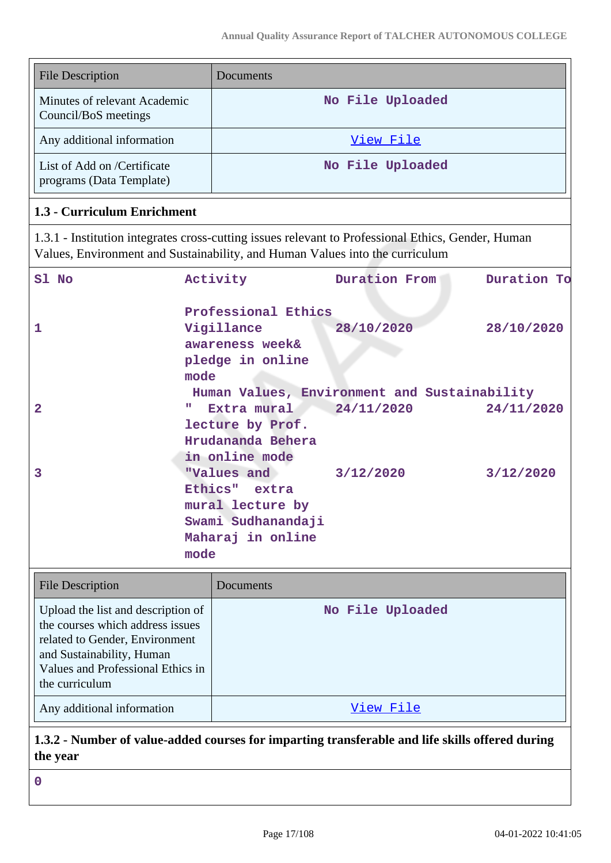| <b>File Description</b>                                 | Documents        |
|---------------------------------------------------------|------------------|
| Minutes of relevant Academic<br>Council/BoS meetings    | No File Uploaded |
| Any additional information                              | View File        |
| List of Add on /Certificate<br>programs (Data Template) | No File Uploaded |

#### **1.3 - Curriculum Enrichment**

1.3.1 - Institution integrates cross-cutting issues relevant to Professional Ethics, Gender, Human Values, Environment and Sustainability, and Human Values into the curriculum

| Sl No                                                                  | Activity            | <b>Duration From</b>                         | Duration To |
|------------------------------------------------------------------------|---------------------|----------------------------------------------|-------------|
|                                                                        | Professional Ethics |                                              |             |
| $\mathbf{1}$                                                           | Vigillance          | 28/10/2020                                   | 28/10/2020  |
|                                                                        | awareness week&     |                                              |             |
|                                                                        | pledge in online    |                                              |             |
|                                                                        | mode                |                                              |             |
|                                                                        |                     | Human Values, Environment and Sustainability |             |
| $\overline{2}$                                                         | Extra mural<br>ш    | 24/11/2020                                   | 24/11/2020  |
|                                                                        | lecture by Prof.    |                                              |             |
|                                                                        | Hrudananda Behera   |                                              |             |
|                                                                        | in online mode      |                                              |             |
| 3                                                                      | "Values and         | 3/12/2020                                    | 3/12/2020   |
|                                                                        | Ethics" extra       |                                              |             |
|                                                                        | mural lecture by    |                                              |             |
|                                                                        | Swami Sudhanandaji  |                                              |             |
|                                                                        | Maharaj in online   |                                              |             |
|                                                                        | mode                |                                              |             |
| <b>File Description</b>                                                | Documents           |                                              |             |
| Upload the list and description of<br>the courses which address issues |                     | No File Uploaded                             |             |
| related to Gender, Environment                                         |                     |                                              |             |
| and Sustainability, Human                                              |                     |                                              |             |
| Values and Professional Ethics in                                      |                     |                                              |             |
| the curriculum                                                         |                     |                                              |             |
| Any additional information                                             |                     | View File                                    |             |

## **1.3.2 - Number of value-added courses for imparting transferable and life skills offered during the year**

**0**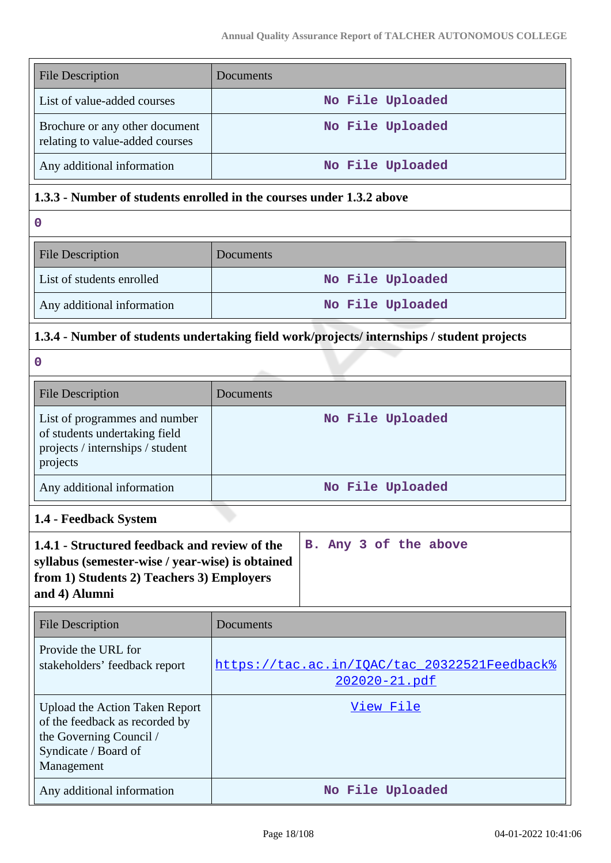| <b>File Description</b>                                           | Documents        |
|-------------------------------------------------------------------|------------------|
| List of value-added courses                                       | No File Uploaded |
| Brochure or any other document<br>relating to value-added courses | No File Uploaded |
| Any additional information                                        | No File Uploaded |

### **1.3.3 - Number of students enrolled in the courses under 1.3.2 above**

**0**

| <b>File Description</b>    | <b>Documents</b> |
|----------------------------|------------------|
| List of students enrolled  | No File Uploaded |
| Any additional information | No File Uploaded |

### **1.3.4 - Number of students undertaking field work/projects/ internships / student projects**

**0**

| <b>File Description</b>                                                                                        | <b>Documents</b> |
|----------------------------------------------------------------------------------------------------------------|------------------|
| List of programmes and number<br>of students undertaking field<br>projects / internships / student<br>projects | No File Uploaded |
| Any additional information                                                                                     | No File Uploaded |

## **1.4 - Feedback System**

| 1.4.1 - Structured feedback and review of the    |  |  | B. Any 3 of the above |  |
|--------------------------------------------------|--|--|-----------------------|--|
| syllabus (semester-wise / year-wise) is obtained |  |  |                       |  |
| from 1) Students 2) Teachers 3) Employers        |  |  |                       |  |
| and 4) Alumni                                    |  |  |                       |  |
|                                                  |  |  |                       |  |

| <b>File Description</b>                                                                                                                  | Documents                                                     |  |  |
|------------------------------------------------------------------------------------------------------------------------------------------|---------------------------------------------------------------|--|--|
| Provide the URL for<br>stakeholders' feedback report                                                                                     | https://tac.ac.in/IOAC/tac 20322521Feedback%<br>202020-21.pdf |  |  |
| <b>Upload the Action Taken Report</b><br>of the feedback as recorded by<br>the Governing Council /<br>Syndicate / Board of<br>Management | View File                                                     |  |  |
| Any additional information                                                                                                               | No File Uploaded                                              |  |  |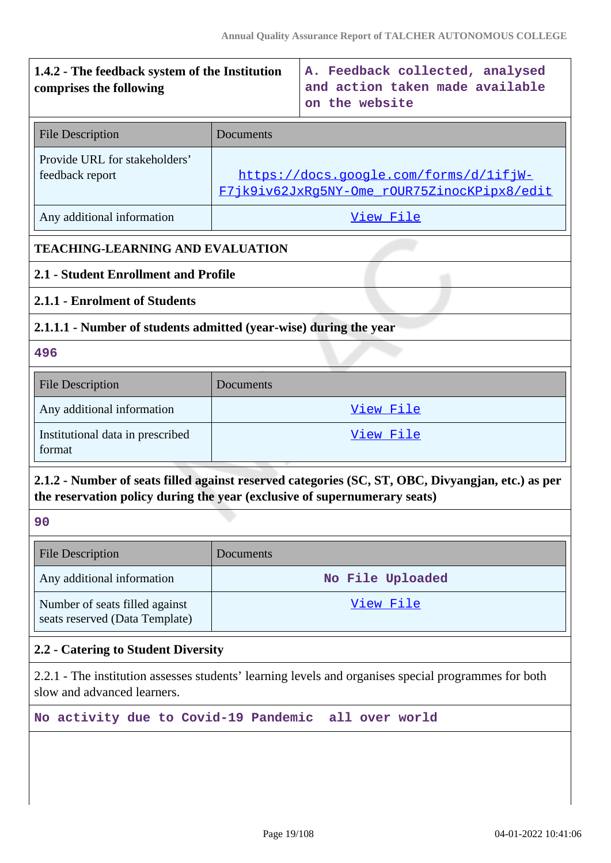| 1.4.2 - The feedback system of the Institution<br>comprises the following                                                           |                                                                                       | A. Feedback collected, analysed<br>and action taken made available<br>on the website              |  |  |
|-------------------------------------------------------------------------------------------------------------------------------------|---------------------------------------------------------------------------------------|---------------------------------------------------------------------------------------------------|--|--|
| <b>File Description</b>                                                                                                             | Documents                                                                             |                                                                                                   |  |  |
| Provide URL for stakeholders'<br>feedback report                                                                                    | https://docs.google.com/forms/d/lifjW-<br>F7jk9iv62JxRq5NY-Ome rOUR75ZinocKPipx8/edit |                                                                                                   |  |  |
| Any additional information                                                                                                          |                                                                                       | View File                                                                                         |  |  |
| <b>TEACHING-LEARNING AND EVALUATION</b>                                                                                             |                                                                                       |                                                                                                   |  |  |
| 2.1 - Student Enrollment and Profile                                                                                                |                                                                                       |                                                                                                   |  |  |
| 2.1.1 - Enrolment of Students                                                                                                       |                                                                                       |                                                                                                   |  |  |
|                                                                                                                                     | 2.1.1.1 - Number of students admitted (year-wise) during the year                     |                                                                                                   |  |  |
| 496                                                                                                                                 |                                                                                       |                                                                                                   |  |  |
| <b>File Description</b>                                                                                                             | Documents                                                                             |                                                                                                   |  |  |
| Any additional information                                                                                                          | View File                                                                             |                                                                                                   |  |  |
| Institutional data in prescribed<br>format                                                                                          | View File                                                                             |                                                                                                   |  |  |
| the reservation policy during the year (exclusive of supernumerary seats)                                                           |                                                                                       | 2.1.2 - Number of seats filled against reserved categories (SC, ST, OBC, Divyangian, etc.) as per |  |  |
| 90                                                                                                                                  |                                                                                       |                                                                                                   |  |  |
| <b>File Description</b>                                                                                                             | Documents                                                                             |                                                                                                   |  |  |
| Any additional information                                                                                                          | No File Uploaded                                                                      |                                                                                                   |  |  |
| Number of seats filled against<br>seats reserved (Data Template)                                                                    | <u>View File</u>                                                                      |                                                                                                   |  |  |
| 2.2 - Catering to Student Diversity                                                                                                 |                                                                                       |                                                                                                   |  |  |
| 2.2.1 - The institution assesses students' learning levels and organises special programmes for both<br>slow and advanced learners. |                                                                                       |                                                                                                   |  |  |
|                                                                                                                                     | No activity due to Covid-19 Pandemic<br>all over world                                |                                                                                                   |  |  |
|                                                                                                                                     |                                                                                       |                                                                                                   |  |  |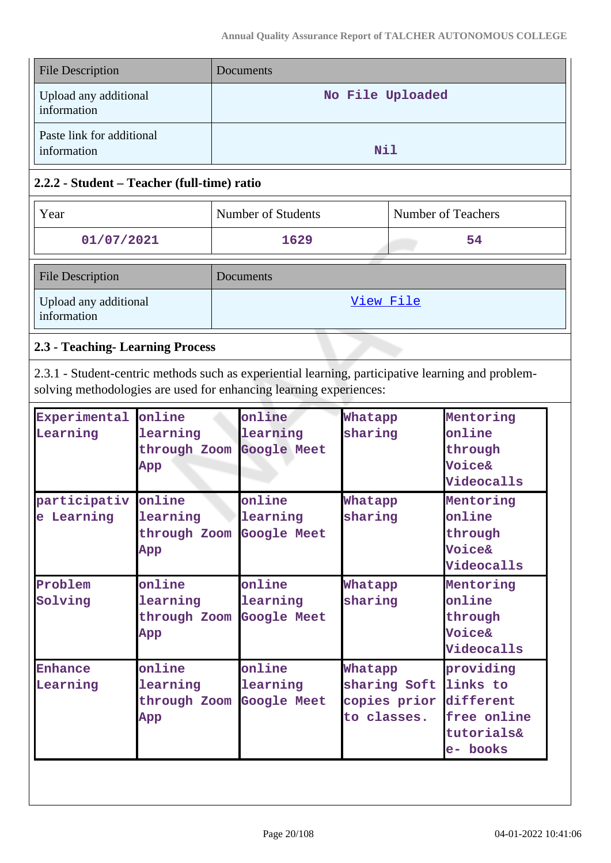| <b>File Description</b>                  | Documents        |
|------------------------------------------|------------------|
| Upload any additional<br>information     | No File Uploaded |
| Paste link for additional<br>information | Nil              |

#### **2.2.2 - Student – Teacher (full-time) ratio**

| Year                                 | Number of Students | Number of Teachers |  |
|--------------------------------------|--------------------|--------------------|--|
| 01/07/2021                           | 1629               | 54                 |  |
| <b>File Description</b>              | Documents          |                    |  |
| Upload any additional<br>information | View File          |                    |  |

## **2.3 - Teaching- Learning Process**

2.3.1 - Student-centric methods such as experiential learning, participative learning and problemsolving methodologies are used for enhancing learning experiences:

| Experimental<br>Learning   | online<br>learning<br>through Zoom Google Meet<br>App | online<br>learning                       | Whatapp<br>sharing                                     | Mentoring<br>online<br>through<br>Voice&<br>Videocalls                      |
|----------------------------|-------------------------------------------------------|------------------------------------------|--------------------------------------------------------|-----------------------------------------------------------------------------|
| participativ<br>e Learning | online<br>learning<br>through Zoom<br>App             | online<br>learning<br>Google Meet        | Whatapp<br>sharing                                     | Mentoring<br>online<br>through<br><b>Voice&amp;</b><br>Videocalls           |
| Problem<br>Solving         | online<br>learning<br>through Zoom<br>App             | online<br>learning<br><b>Google Meet</b> | Whatapp<br>sharing                                     | Mentoring<br>online<br>through<br>Voice&<br>Videocalls                      |
| <b>Enhance</b><br>Learning | online<br>learning<br>through Zoom<br>App             | online<br>learning<br><b>Google Meet</b> | Whatapp<br>sharing Soft<br>copies prior<br>to classes. | providing<br>links to<br>different<br>free online<br>tutorials&<br>e- books |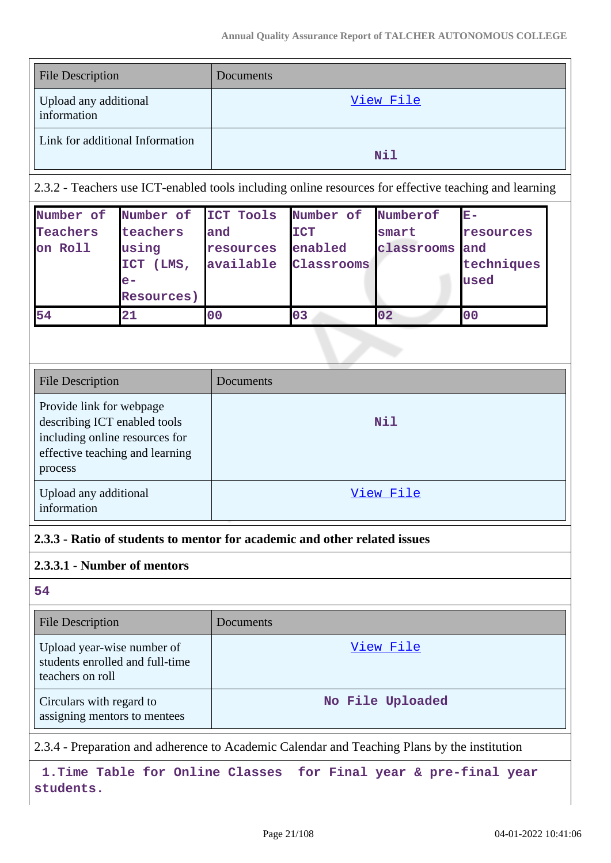| <b>File Description</b>              | Documents |
|--------------------------------------|-----------|
| Upload any additional<br>information | View File |
| Link for additional Information      | Nil       |

2.3.2 - Teachers use ICT-enabled tools including online resources for effective teaching and learning

| Number of | Number of ICT Tools |           | Number of      | Numberof   | $\mathbf{E}-$ |
|-----------|---------------------|-----------|----------------|------------|---------------|
| Teachers  | teachers            | and       | <b>ICT</b>     | smart      | resources     |
| on Roll   | using               | resources | enabled        | classrooms | and           |
|           | <b>ICT</b><br>(LMS, | available | Classrooms     |            | techniques    |
|           | $e-$                |           |                |            | used          |
|           | <b>Resources</b> )  |           |                |            |               |
| 54        | 21                  | 00        | 0 <sub>3</sub> | 02         | 00            |

| <b>File Description</b>                                                                                                                  | Documents |
|------------------------------------------------------------------------------------------------------------------------------------------|-----------|
| Provide link for webpage<br>describing ICT enabled tools<br>including online resources for<br>effective teaching and learning<br>process | Nil       |
| Upload any additional<br>information                                                                                                     | View File |

#### **2.3.3 - Ratio of students to mentor for academic and other related issues**

#### **2.3.3.1 - Number of mentors**

#### **54**

| <b>File Description</b>                                                           | Documents        |
|-----------------------------------------------------------------------------------|------------------|
| Upload year-wise number of<br>students enrolled and full-time<br>teachers on roll | View File        |
| Circulars with regard to<br>assigning mentors to mentees                          | No File Uploaded |

2.3.4 - Preparation and adherence to Academic Calendar and Teaching Plans by the institution

 **1.Time Table for Online Classes for Final year & pre-final year students.**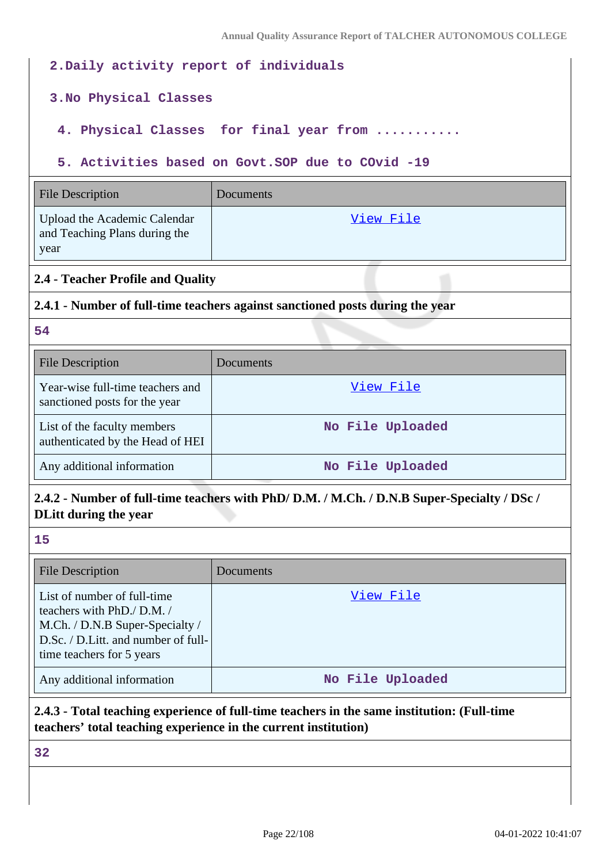| 2. Daily activity report of individuals                                                                                                                          |                                                                               |  |  |  |  |  |  |
|------------------------------------------------------------------------------------------------------------------------------------------------------------------|-------------------------------------------------------------------------------|--|--|--|--|--|--|
|                                                                                                                                                                  | 3. No Physical Classes                                                        |  |  |  |  |  |  |
| 4. Physical Classes for final year from                                                                                                                          |                                                                               |  |  |  |  |  |  |
| 5. Activities based on Govt. SOP due to COvid -19                                                                                                                |                                                                               |  |  |  |  |  |  |
| <b>File Description</b><br>Documents                                                                                                                             |                                                                               |  |  |  |  |  |  |
| Upload the Academic Calendar<br>View File<br>and Teaching Plans during the<br>year                                                                               |                                                                               |  |  |  |  |  |  |
| 2.4 - Teacher Profile and Quality                                                                                                                                |                                                                               |  |  |  |  |  |  |
|                                                                                                                                                                  | 2.4.1 - Number of full-time teachers against sanctioned posts during the year |  |  |  |  |  |  |
| 54                                                                                                                                                               |                                                                               |  |  |  |  |  |  |
| <b>File Description</b>                                                                                                                                          | Documents                                                                     |  |  |  |  |  |  |
| Year-wise full-time teachers and<br>sanctioned posts for the year                                                                                                | View File                                                                     |  |  |  |  |  |  |
| List of the faculty members<br>authenticated by the Head of HEI                                                                                                  | No File Uploaded                                                              |  |  |  |  |  |  |
| Any additional information                                                                                                                                       | No File Uploaded                                                              |  |  |  |  |  |  |
| 2.4.2 - Number of full-time teachers with PhD/D.M. / M.Ch. / D.N.B Super-Specialty / DSc /<br><b>DLitt during the year</b>                                       |                                                                               |  |  |  |  |  |  |
| 15                                                                                                                                                               |                                                                               |  |  |  |  |  |  |
| <b>File Description</b>                                                                                                                                          | Documents                                                                     |  |  |  |  |  |  |
| List of number of full-time<br>teachers with PhD./ D.M. /<br>M.Ch. / D.N.B Super-Specialty /<br>D.Sc. / D.Litt. and number of full-<br>time teachers for 5 years | View File                                                                     |  |  |  |  |  |  |
| Any additional information                                                                                                                                       | No File Uploaded                                                              |  |  |  |  |  |  |
|                                                                                                                                                                  |                                                                               |  |  |  |  |  |  |

## **2.4.3 - Total teaching experience of full-time teachers in the same institution: (Full-time teachers' total teaching experience in the current institution)**

**32**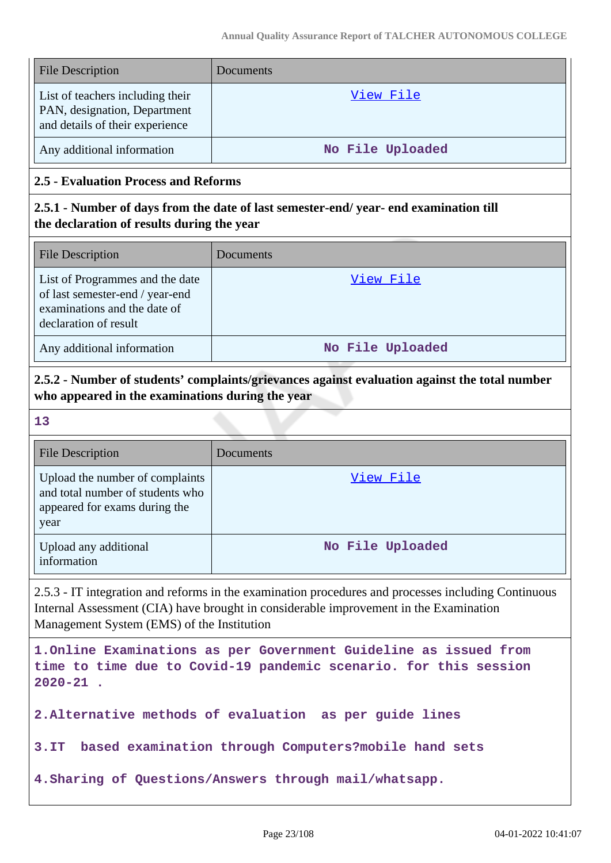| <b>File Description</b>                                                                             | Documents        |
|-----------------------------------------------------------------------------------------------------|------------------|
| List of teachers including their<br>PAN, designation, Department<br>and details of their experience | View File        |
| Any additional information                                                                          | No File Uploaded |

#### **2.5 - Evaluation Process and Reforms**

#### **2.5.1 - Number of days from the date of last semester-end/ year- end examination till the declaration of results during the year**

| <b>File Description</b>                                                                                                     | Documents        |
|-----------------------------------------------------------------------------------------------------------------------------|------------------|
| List of Programmes and the date<br>of last semester-end / year-end<br>examinations and the date of<br>declaration of result | View File        |
| Any additional information                                                                                                  | No File Uploaded |

### **2.5.2 - Number of students' complaints/grievances against evaluation against the total number who appeared in the examinations during the year**

**13**

| <b>File Description</b>                                                                                      | Documents        |
|--------------------------------------------------------------------------------------------------------------|------------------|
| Upload the number of complaints<br>and total number of students who<br>appeared for exams during the<br>year | View File        |
| Upload any additional<br>information                                                                         | No File Uploaded |

2.5.3 - IT integration and reforms in the examination procedures and processes including Continuous Internal Assessment (CIA) have brought in considerable improvement in the Examination Management System (EMS) of the Institution

**1.Online Examinations as per Government Guideline as issued from time to time due to Covid-19 pandemic scenario. for this session 2020-21 .**

**2.Alternative methods of evaluation as per guide lines** 

**3.IT based examination through Computers?mobile hand sets**

**4.Sharing of Questions/Answers through mail/whatsapp.**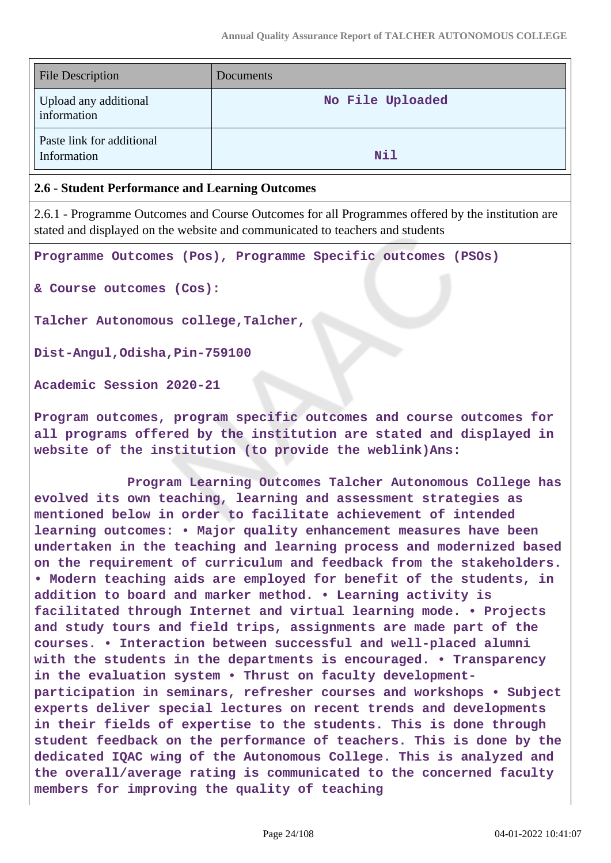| <b>File Description</b>                  | Documents        |
|------------------------------------------|------------------|
| Upload any additional<br>information     | No File Uploaded |
| Paste link for additional<br>Information | Nil              |

#### **2.6 - Student Performance and Learning Outcomes**

2.6.1 - Programme Outcomes and Course Outcomes for all Programmes offered by the institution are stated and displayed on the website and communicated to teachers and students

**Programme Outcomes (Pos), Programme Specific outcomes (PSOs)**

**& Course outcomes (Cos):**

**Talcher Autonomous college,Talcher,**

**Dist-Angul,Odisha,Pin-759100**

**Academic Session 2020-21**

**Program outcomes, program specific outcomes and course outcomes for all programs offered by the institution are stated and displayed in website of the institution (to provide the weblink)Ans:**

 **Program Learning Outcomes Talcher Autonomous College has evolved its own teaching, learning and assessment strategies as mentioned below in order to facilitate achievement of intended learning outcomes: • Major quality enhancement measures have been undertaken in the teaching and learning process and modernized based on the requirement of curriculum and feedback from the stakeholders. • Modern teaching aids are employed for benefit of the students, in addition to board and marker method. • Learning activity is facilitated through Internet and virtual learning mode. • Projects and study tours and field trips, assignments are made part of the courses. • Interaction between successful and well-placed alumni with the students in the departments is encouraged. • Transparency in the evaluation system • Thrust on faculty developmentparticipation in seminars, refresher courses and workshops • Subject experts deliver special lectures on recent trends and developments in their fields of expertise to the students. This is done through student feedback on the performance of teachers. This is done by the dedicated IQAC wing of the Autonomous College. This is analyzed and the overall/average rating is communicated to the concerned faculty members for improving the quality of teaching**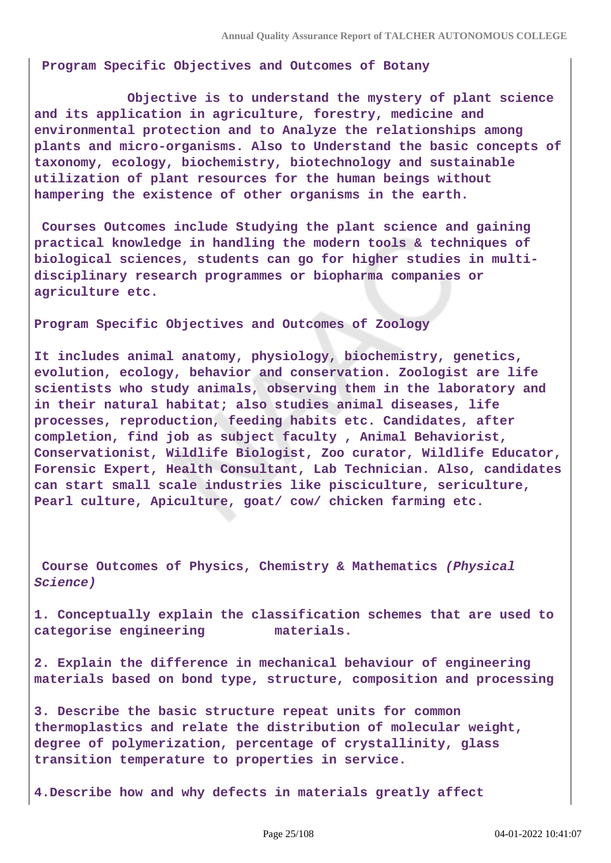**Program Specific Objectives and Outcomes of Botany** 

 **Objective is to understand the mystery of plant science and its application in agriculture, forestry, medicine and environmental protection and to Analyze the relationships among plants and micro-organisms. Also to Understand the basic concepts of taxonomy, ecology, biochemistry, biotechnology and sustainable utilization of plant resources for the human beings without hampering the existence of other organisms in the earth.**

**Courses Outcomes include Studying the plant science and gaining practical knowledge in handling the modern tools & techniques of biological sciences, students can go for higher studies in multidisciplinary research programmes or biopharma companies or agriculture etc.**

**Program Specific Objectives and Outcomes of Zoology**

**It includes animal anatomy, physiology, biochemistry, genetics, evolution, ecology, behavior and conservation. Zoologist are life scientists who study animals, observing them in the laboratory and in their natural habitat; also studies animal diseases, life processes, reproduction, feeding habits etc. Candidates, after completion, find job as subject faculty , Animal Behaviorist, Conservationist, Wildlife Biologist, Zoo curator, Wildlife Educator, Forensic Expert, Health Consultant, Lab Technician. Also, candidates can start small scale industries like pisciculture, sericulture, Pearl culture, Apiculture, goat/ cow/ chicken farming etc.**

**Course Outcomes of Physics, Chemistry & Mathematics (Physical Science)**

**1. Conceptually explain the classification schemes that are used to categorise engineering materials.**

**2. Explain the difference in mechanical behaviour of engineering materials based on bond type, structure, composition and processing**

**3. Describe the basic structure repeat units for common thermoplastics and relate the distribution of molecular weight, degree of polymerization, percentage of crystallinity, glass transition temperature to properties in service.**

**4.Describe how and why defects in materials greatly affect**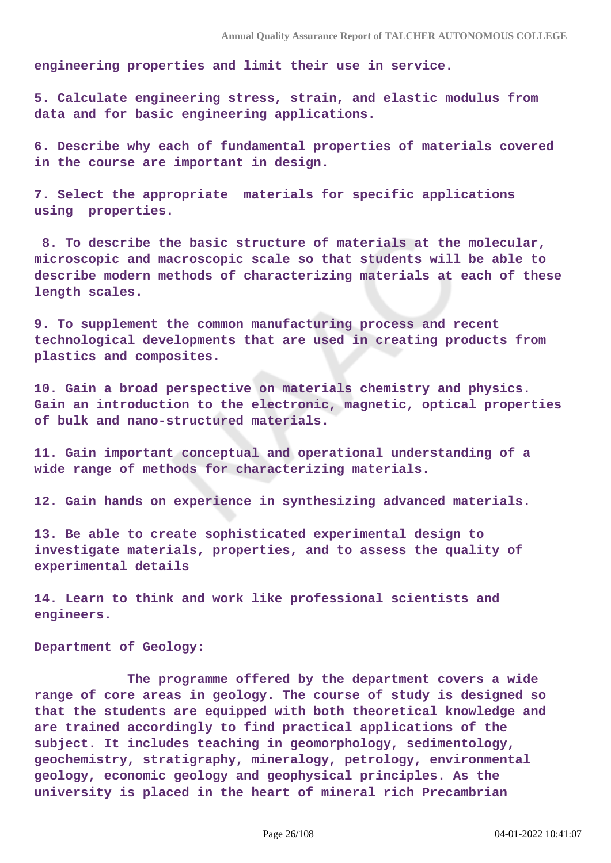**engineering properties and limit their use in service.**

**5. Calculate engineering stress, strain, and elastic modulus from data and for basic engineering applications.**

**6. Describe why each of fundamental properties of materials covered in the course are important in design.**

**7. Select the appropriate materials for specific applications using properties.**

 **8. To describe the basic structure of materials at the molecular, microscopic and macroscopic scale so that students will be able to describe modern methods of characterizing materials at each of these length scales.**

**9. To supplement the common manufacturing process and recent technological developments that are used in creating products from plastics and composites.**

**10. Gain a broad perspective on materials chemistry and physics. Gain an introduction to the electronic, magnetic, optical properties of bulk and nano-structured materials.**

**11. Gain important conceptual and operational understanding of a wide range of methods for characterizing materials.**

**12. Gain hands on experience in synthesizing advanced materials.**

**13. Be able to create sophisticated experimental design to investigate materials, properties, and to assess the quality of experimental details**

**14. Learn to think and work like professional scientists and engineers.**

**Department of Geology:**

 **The programme offered by the department covers a wide range of core areas in geology. The course of study is designed so that the students are equipped with both theoretical knowledge and are trained accordingly to find practical applications of the subject. It includes teaching in geomorphology, sedimentology, geochemistry, stratigraphy, mineralogy, petrology, environmental geology, economic geology and geophysical principles. As the university is placed in the heart of mineral rich Precambrian**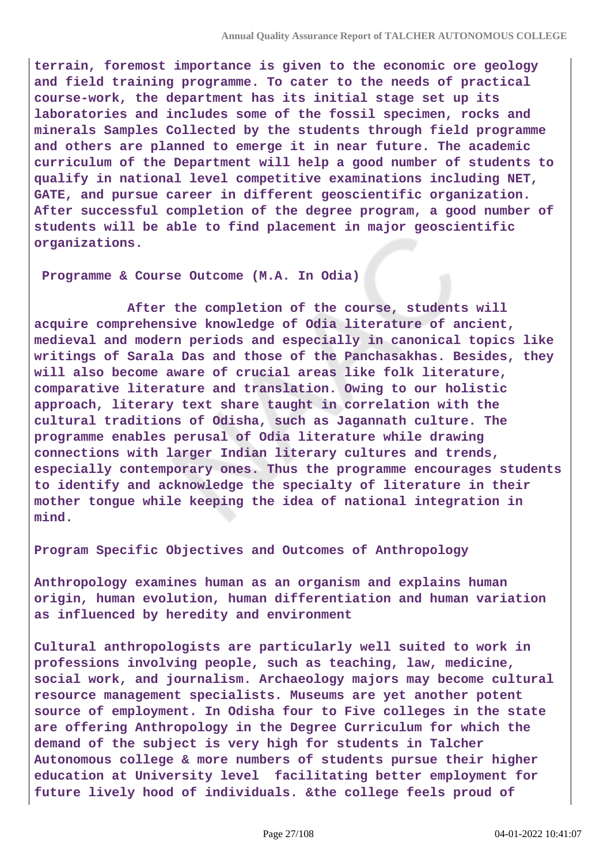**terrain, foremost importance is given to the economic ore geology and field training programme. To cater to the needs of practical course-work, the department has its initial stage set up its laboratories and includes some of the fossil specimen, rocks and minerals Samples Collected by the students through field programme and others are planned to emerge it in near future. The academic curriculum of the Department will help a good number of students to qualify in national level competitive examinations including NET, GATE, and pursue career in different geoscientific organization. After successful completion of the degree program, a good number of students will be able to find placement in major geoscientific organizations.**

**Programme & Course Outcome (M.A. In Odia)**

 **After the completion of the course, students will acquire comprehensive knowledge of Odia literature of ancient, medieval and modern periods and especially in canonical topics like writings of Sarala Das and those of the Panchasakhas. Besides, they will also become aware of crucial areas like folk literature, comparative literature and translation. Owing to our holistic approach, literary text share taught in correlation with the cultural traditions of Odisha, such as Jagannath culture. The programme enables perusal of Odia literature while drawing connections with larger Indian literary cultures and trends, especially contemporary ones. Thus the programme encourages students to identify and acknowledge the specialty of literature in their mother tongue while keeping the idea of national integration in mind.**

**Program Specific Objectives and Outcomes of Anthropology**

**Anthropology examines human as an organism and explains human origin, human evolution, human differentiation and human variation as influenced by heredity and environment**

**Cultural anthropologists are particularly well suited to work in professions involving people, such as teaching, law, medicine, social work, and journalism. Archaeology majors may become cultural resource management specialists. Museums are yet another potent source of employment. In Odisha four to Five colleges in the state are offering Anthropology in the Degree Curriculum for which the demand of the subject is very high for students in Talcher Autonomous college & more numbers of students pursue their higher education at University level facilitating better employment for future lively hood of individuals. &the college feels proud of**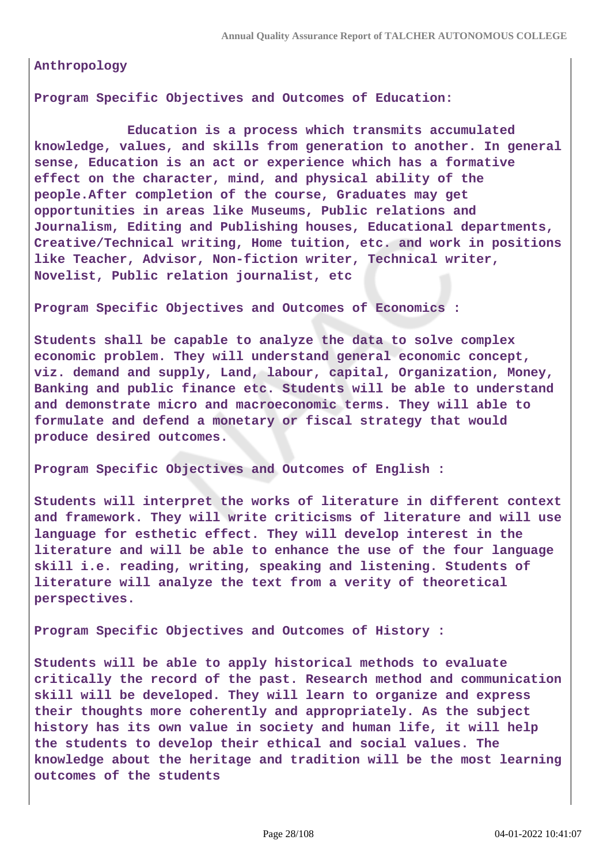**Anthropology**

**Program Specific Objectives and Outcomes of Education:**

 **Education is a process which transmits accumulated knowledge, values, and skills from generation to another. In general sense, Education is an act or experience which has a formative effect on the character, mind, and physical ability of the people.After completion of the course, Graduates may get opportunities in areas like Museums, Public relations and Journalism, Editing and Publishing houses, Educational departments, Creative/Technical writing, Home tuition, etc. and work in positions like Teacher, Advisor, Non-fiction writer, Technical writer, Novelist, Public relation journalist, etc**

**Program Specific Objectives and Outcomes of Economics :**

**Students shall be capable to analyze the data to solve complex economic problem. They will understand general economic concept, viz. demand and supply, Land, labour, capital, Organization, Money, Banking and public finance etc. Students will be able to understand and demonstrate micro and macroeconomic terms. They will able to formulate and defend a monetary or fiscal strategy that would produce desired outcomes.**

**Program Specific Objectives and Outcomes of English :**

**Students will interpret the works of literature in different context and framework. They will write criticisms of literature and will use language for esthetic effect. They will develop interest in the literature and will be able to enhance the use of the four language skill i.e. reading, writing, speaking and listening. Students of literature will analyze the text from a verity of theoretical perspectives.**

**Program Specific Objectives and Outcomes of History :**

**Students will be able to apply historical methods to evaluate critically the record of the past. Research method and communication skill will be developed. They will learn to organize and express their thoughts more coherently and appropriately. As the subject history has its own value in society and human life, it will help the students to develop their ethical and social values. The knowledge about the heritage and tradition will be the most learning outcomes of the students**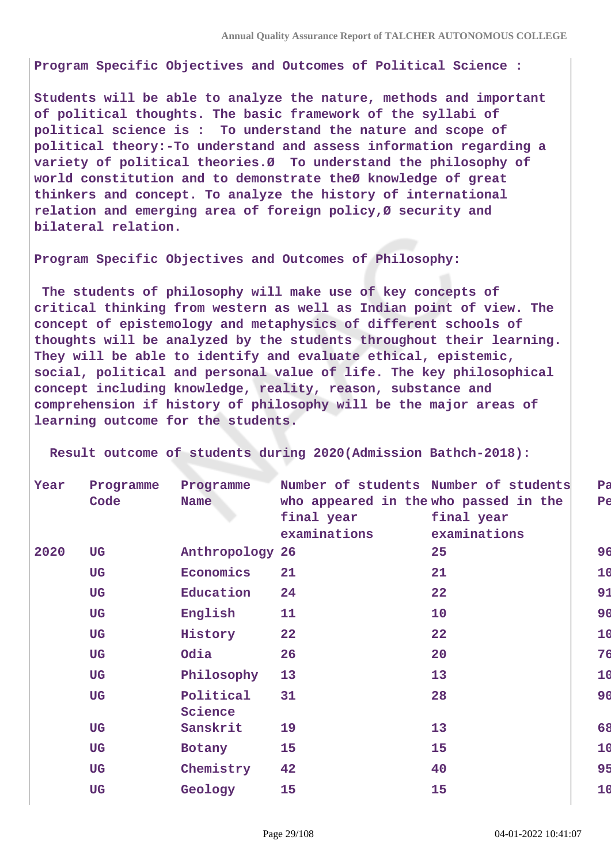**Program Specific Objectives and Outcomes of Political Science :**

**Students will be able to analyze the nature, methods and important of political thoughts. The basic framework of the syllabi of political science is : To understand the nature and scope of political theory:-To understand and assess information regarding a variety of political theories.Ø To understand the philosophy of world constitution and to demonstrate theØ knowledge of great thinkers and concept. To analyze the history of international relation and emerging area of foreign policy,Ø security and bilateral relation.**

**Program Specific Objectives and Outcomes of Philosophy:**

 **The students of philosophy will make use of key concepts of critical thinking from western as well as Indian point of view. The concept of epistemology and metaphysics of different schools of thoughts will be analyzed by the students throughout their learning. They will be able to identify and evaluate ethical, epistemic, social, political and personal value of life. The key philosophical concept including knowledge, reality, reason, substance and comprehension if history of philosophy will be the major areas of learning outcome for the students.**

| Year | Programme<br>Code | Programme<br><b>Name</b> | Number of students Number of students<br>who appeared in the who passed in the |              | Pa<br>Pe |
|------|-------------------|--------------------------|--------------------------------------------------------------------------------|--------------|----------|
|      |                   |                          | final year                                                                     | final year   |          |
|      |                   |                          | examinations                                                                   | examinations |          |
| 2020 | <b>UG</b>         | Anthropology 26          |                                                                                | 25           | 96       |
|      | <b>UG</b>         | Economics                | 21                                                                             | 21           | 10       |
|      | <b>UG</b>         | Education                | 24                                                                             | 22           | 91       |
|      | <b>UG</b>         | English                  | 11                                                                             | 10           | 90       |
|      | <b>UG</b>         | History                  | 22                                                                             | 22           | 10       |
|      | <b>UG</b>         | Odia                     | 26                                                                             | 20           | 76       |
|      | <b>UG</b>         | Philosophy               | 13                                                                             | 13           | 10       |
|      | <b>UG</b>         | Political<br>Science     | 31                                                                             | 28           | 90       |
|      | <b>UG</b>         | Sanskrit                 | 19                                                                             | 13           | 68       |
|      | <b>UG</b>         | Botany                   | 15                                                                             | 15           | 10       |
|      | <b>UG</b>         | Chemistry                | 42                                                                             | 40           | 95       |
|      |                   |                          |                                                                                |              |          |
|      | <b>UG</b>         | Geology                  | 15                                                                             | 15           | 10       |

 **Result outcome of students during 2020(Admission Bathch-2018):**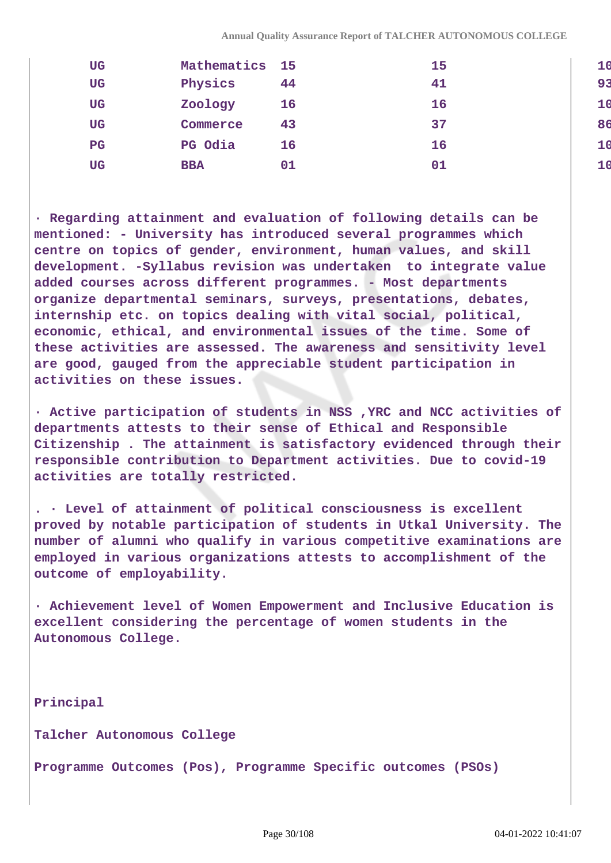| <b>UG</b>   | Mathematics 15 |    | 15 |                |
|-------------|----------------|----|----|----------------|
| <b>UG</b>   | Physics        | 44 | 41 | 91             |
| <b>UG</b>   | Zoology        | 16 | 16 |                |
| <b>UG</b>   | Commerce       | 43 | 37 | 86             |
| $_{\rm PG}$ | PG Odia        | 16 | 16 | 1 <sub>t</sub> |
| UG          | <b>BBA</b>     | 01 | 01 |                |

**· Regarding attainment and evaluation of following details can be mentioned: - University has introduced several programmes which centre on topics of gender, environment, human values, and skill development. -Syllabus revision was undertaken to integrate value added courses across different programmes. - Most departments organize departmental seminars, surveys, presentations, debates, internship etc. on topics dealing with vital social, political, economic, ethical, and environmental issues of the time. Some of these activities are assessed. The awareness and sensitivity level are good, gauged from the appreciable student participation in activities on these issues.**

**· Active participation of students in NSS ,YRC and NCC activities of departments attests to their sense of Ethical and Responsible Citizenship . The attainment is satisfactory evidenced through their responsible contribution to Department activities. Due to covid-19 activities are totally restricted.**

**. · Level of attainment of political consciousness is excellent proved by notable participation of students in Utkal University. The number of alumni who qualify in various competitive examinations are employed in various organizations attests to accomplishment of the outcome of employability.**

**· Achievement level of Women Empowerment and Inclusive Education is excellent considering the percentage of women students in the Autonomous College.**

**Principal**

**Talcher Autonomous College**

**Programme Outcomes (Pos), Programme Specific outcomes (PSOs)**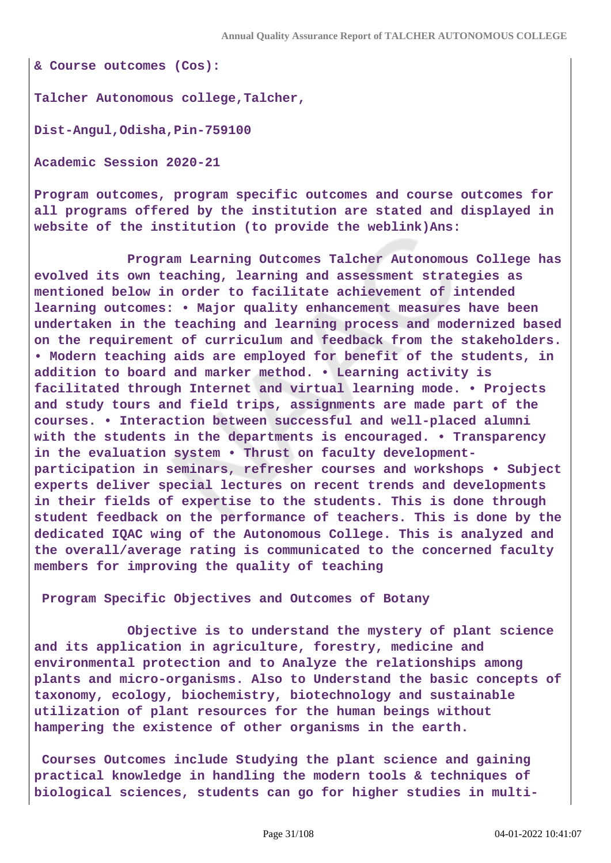**& Course outcomes (Cos):**

**Talcher Autonomous college,Talcher,**

**Dist-Angul,Odisha,Pin-759100**

**Academic Session 2020-21**

**Program outcomes, program specific outcomes and course outcomes for all programs offered by the institution are stated and displayed in website of the institution (to provide the weblink)Ans:**

 **Program Learning Outcomes Talcher Autonomous College has evolved its own teaching, learning and assessment strategies as mentioned below in order to facilitate achievement of intended learning outcomes: • Major quality enhancement measures have been undertaken in the teaching and learning process and modernized based on the requirement of curriculum and feedback from the stakeholders. • Modern teaching aids are employed for benefit of the students, in addition to board and marker method. • Learning activity is facilitated through Internet and virtual learning mode. • Projects and study tours and field trips, assignments are made part of the courses. • Interaction between successful and well-placed alumni with the students in the departments is encouraged. • Transparency in the evaluation system • Thrust on faculty developmentparticipation in seminars, refresher courses and workshops • Subject experts deliver special lectures on recent trends and developments in their fields of expertise to the students. This is done through student feedback on the performance of teachers. This is done by the dedicated IQAC wing of the Autonomous College. This is analyzed and the overall/average rating is communicated to the concerned faculty members for improving the quality of teaching**

**Program Specific Objectives and Outcomes of Botany** 

 **Objective is to understand the mystery of plant science and its application in agriculture, forestry, medicine and environmental protection and to Analyze the relationships among plants and micro-organisms. Also to Understand the basic concepts of taxonomy, ecology, biochemistry, biotechnology and sustainable utilization of plant resources for the human beings without hampering the existence of other organisms in the earth.**

**Courses Outcomes include Studying the plant science and gaining practical knowledge in handling the modern tools & techniques of biological sciences, students can go for higher studies in multi-**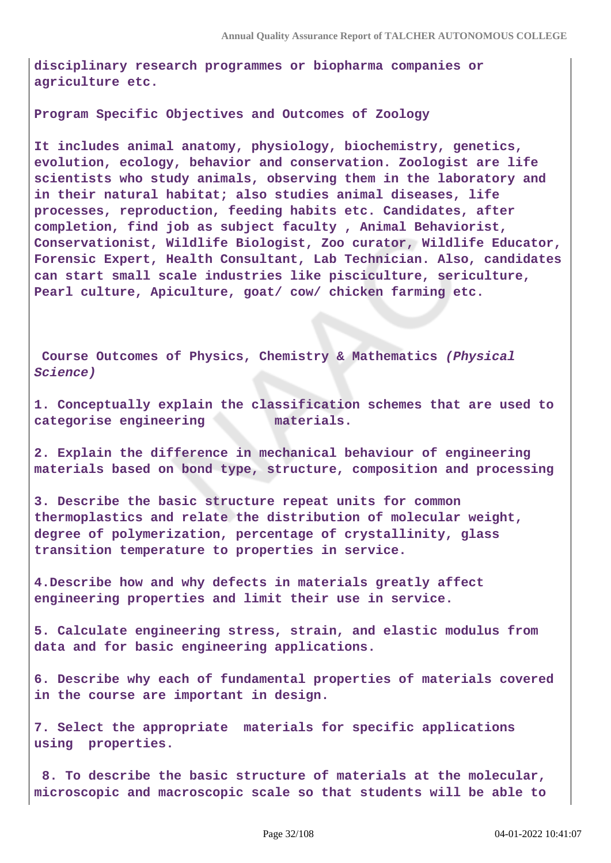**disciplinary research programmes or biopharma companies or agriculture etc.**

**Program Specific Objectives and Outcomes of Zoology**

**It includes animal anatomy, physiology, biochemistry, genetics, evolution, ecology, behavior and conservation. Zoologist are life scientists who study animals, observing them in the laboratory and in their natural habitat; also studies animal diseases, life processes, reproduction, feeding habits etc. Candidates, after completion, find job as subject faculty , Animal Behaviorist, Conservationist, Wildlife Biologist, Zoo curator, Wildlife Educator, Forensic Expert, Health Consultant, Lab Technician. Also, candidates can start small scale industries like pisciculture, sericulture, Pearl culture, Apiculture, goat/ cow/ chicken farming etc.**

**Course Outcomes of Physics, Chemistry & Mathematics (Physical Science)**

**1. Conceptually explain the classification schemes that are used to categorise engineering materials.**

**2. Explain the difference in mechanical behaviour of engineering materials based on bond type, structure, composition and processing**

**3. Describe the basic structure repeat units for common thermoplastics and relate the distribution of molecular weight, degree of polymerization, percentage of crystallinity, glass transition temperature to properties in service.**

**4.Describe how and why defects in materials greatly affect engineering properties and limit their use in service.**

**5. Calculate engineering stress, strain, and elastic modulus from data and for basic engineering applications.**

**6. Describe why each of fundamental properties of materials covered in the course are important in design.**

**7. Select the appropriate materials for specific applications using properties.**

 **8. To describe the basic structure of materials at the molecular, microscopic and macroscopic scale so that students will be able to**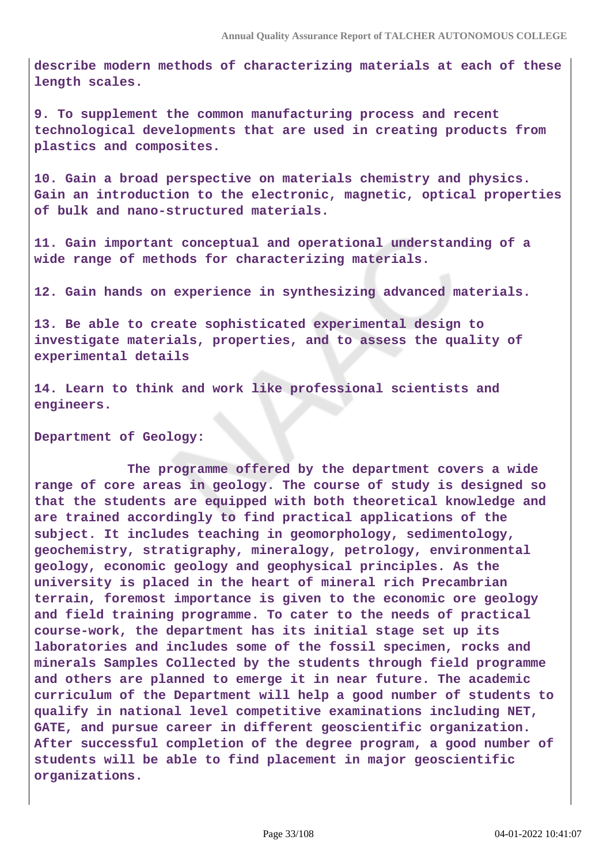**describe modern methods of characterizing materials at each of these length scales.**

**9. To supplement the common manufacturing process and recent technological developments that are used in creating products from plastics and composites.**

**10. Gain a broad perspective on materials chemistry and physics. Gain an introduction to the electronic, magnetic, optical properties of bulk and nano-structured materials.**

**11. Gain important conceptual and operational understanding of a wide range of methods for characterizing materials.**

**12. Gain hands on experience in synthesizing advanced materials.**

**13. Be able to create sophisticated experimental design to investigate materials, properties, and to assess the quality of experimental details**

**14. Learn to think and work like professional scientists and engineers.**

**Department of Geology:**

 **The programme offered by the department covers a wide range of core areas in geology. The course of study is designed so that the students are equipped with both theoretical knowledge and are trained accordingly to find practical applications of the subject. It includes teaching in geomorphology, sedimentology, geochemistry, stratigraphy, mineralogy, petrology, environmental geology, economic geology and geophysical principles. As the university is placed in the heart of mineral rich Precambrian terrain, foremost importance is given to the economic ore geology and field training programme. To cater to the needs of practical course-work, the department has its initial stage set up its laboratories and includes some of the fossil specimen, rocks and minerals Samples Collected by the students through field programme and others are planned to emerge it in near future. The academic curriculum of the Department will help a good number of students to qualify in national level competitive examinations including NET, GATE, and pursue career in different geoscientific organization. After successful completion of the degree program, a good number of students will be able to find placement in major geoscientific organizations.**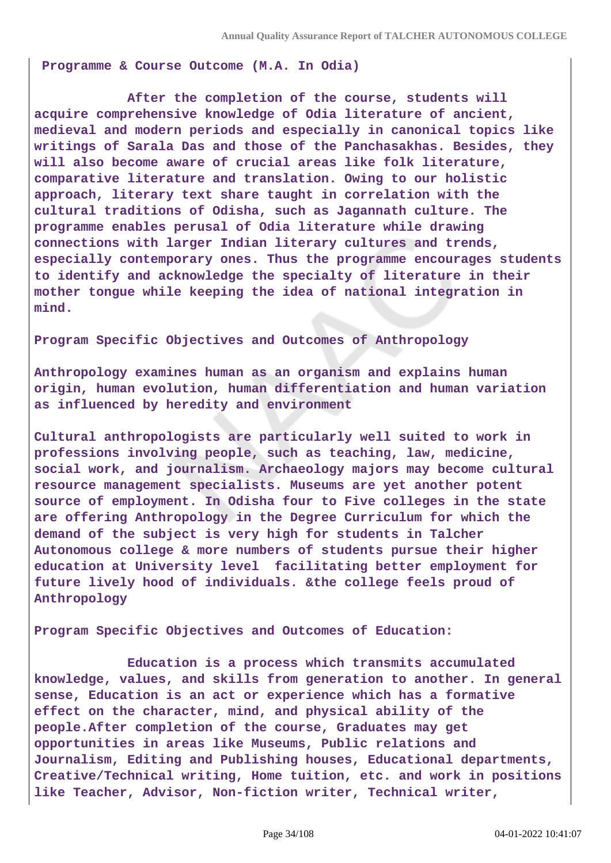**Programme & Course Outcome (M.A. In Odia)**

 **After the completion of the course, students will acquire comprehensive knowledge of Odia literature of ancient, medieval and modern periods and especially in canonical topics like writings of Sarala Das and those of the Panchasakhas. Besides, they will also become aware of crucial areas like folk literature, comparative literature and translation. Owing to our holistic approach, literary text share taught in correlation with the cultural traditions of Odisha, such as Jagannath culture. The programme enables perusal of Odia literature while drawing connections with larger Indian literary cultures and trends, especially contemporary ones. Thus the programme encourages students to identify and acknowledge the specialty of literature in their mother tongue while keeping the idea of national integration in mind.**

**Program Specific Objectives and Outcomes of Anthropology**

**Anthropology examines human as an organism and explains human origin, human evolution, human differentiation and human variation as influenced by heredity and environment**

**Cultural anthropologists are particularly well suited to work in professions involving people, such as teaching, law, medicine, social work, and journalism. Archaeology majors may become cultural resource management specialists. Museums are yet another potent source of employment. In Odisha four to Five colleges in the state are offering Anthropology in the Degree Curriculum for which the demand of the subject is very high for students in Talcher Autonomous college & more numbers of students pursue their higher education at University level facilitating better employment for future lively hood of individuals. &the college feels proud of Anthropology**

**Program Specific Objectives and Outcomes of Education:**

 **Education is a process which transmits accumulated knowledge, values, and skills from generation to another. In general sense, Education is an act or experience which has a formative effect on the character, mind, and physical ability of the people.After completion of the course, Graduates may get opportunities in areas like Museums, Public relations and Journalism, Editing and Publishing houses, Educational departments, Creative/Technical writing, Home tuition, etc. and work in positions like Teacher, Advisor, Non-fiction writer, Technical writer,**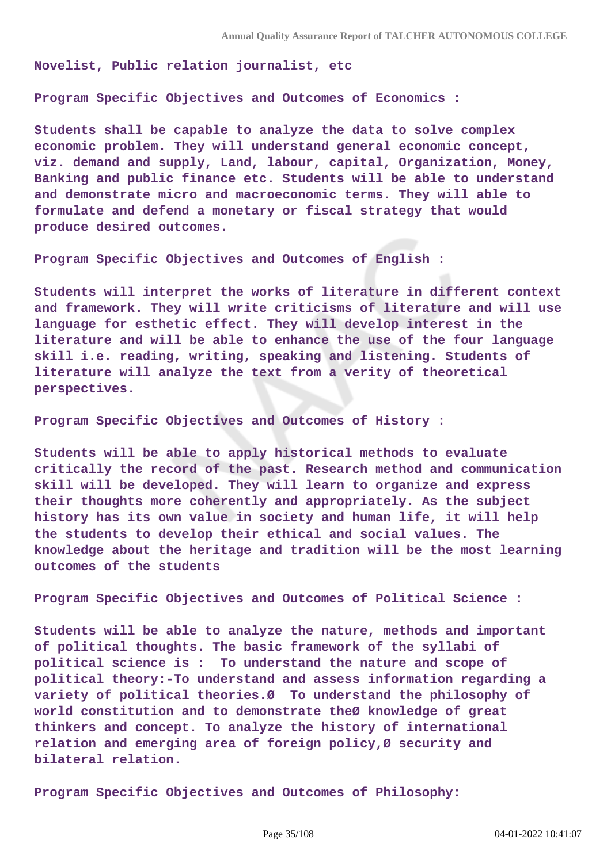**Novelist, Public relation journalist, etc**

**Program Specific Objectives and Outcomes of Economics :**

**Students shall be capable to analyze the data to solve complex economic problem. They will understand general economic concept, viz. demand and supply, Land, labour, capital, Organization, Money, Banking and public finance etc. Students will be able to understand and demonstrate micro and macroeconomic terms. They will able to formulate and defend a monetary or fiscal strategy that would produce desired outcomes.**

**Program Specific Objectives and Outcomes of English :**

**Students will interpret the works of literature in different context and framework. They will write criticisms of literature and will use language for esthetic effect. They will develop interest in the literature and will be able to enhance the use of the four language skill i.e. reading, writing, speaking and listening. Students of literature will analyze the text from a verity of theoretical perspectives.**

**Program Specific Objectives and Outcomes of History :**

**Students will be able to apply historical methods to evaluate critically the record of the past. Research method and communication skill will be developed. They will learn to organize and express their thoughts more coherently and appropriately. As the subject history has its own value in society and human life, it will help the students to develop their ethical and social values. The knowledge about the heritage and tradition will be the most learning outcomes of the students**

**Program Specific Objectives and Outcomes of Political Science :**

**Students will be able to analyze the nature, methods and important of political thoughts. The basic framework of the syllabi of political science is : To understand the nature and scope of political theory:-To understand and assess information regarding a variety of political theories.Ø To understand the philosophy of world constitution and to demonstrate theØ knowledge of great thinkers and concept. To analyze the history of international relation and emerging area of foreign policy,Ø security and bilateral relation.**

**Program Specific Objectives and Outcomes of Philosophy:**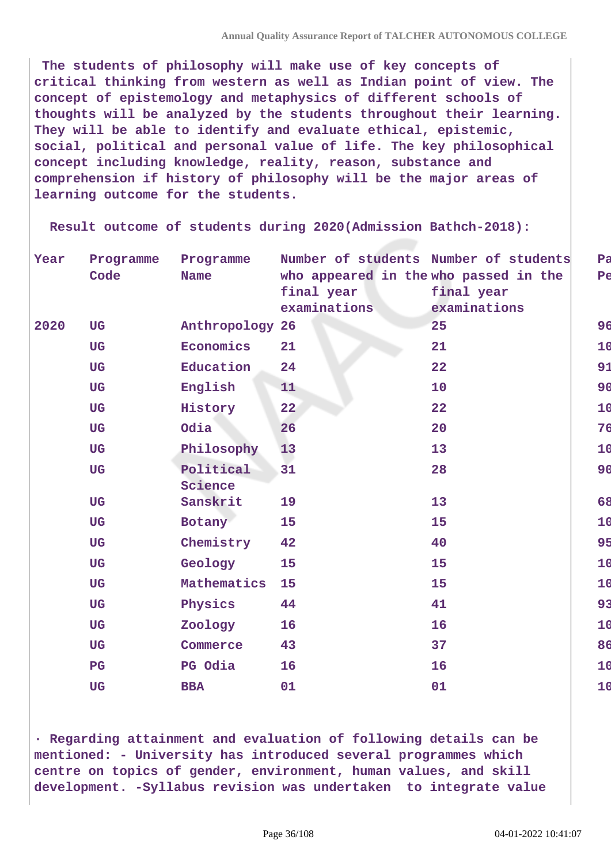**The students of philosophy will make use of key concepts of critical thinking from western as well as Indian point of view. The concept of epistemology and metaphysics of different schools of thoughts will be analyzed by the students throughout their learning. They will be able to identify and evaluate ethical, epistemic, social, political and personal value of life. The key philosophical concept including knowledge, reality, reason, substance and comprehension if history of philosophy will be the major areas of learning outcome for the students.**

 **Result outcome of students during 2020(Admission Bathch-2018):**

| Year | Programme   | Programme            | Number of students Number of students               |              |
|------|-------------|----------------------|-----------------------------------------------------|--------------|
|      | Code        | <b>Name</b>          | who appeared in the who passed in the<br>final year | final year   |
|      |             |                      | examinations                                        | examinations |
| 2020 | <b>UG</b>   | Anthropology 26      |                                                     | 25           |
|      | <b>UG</b>   | Economics            | 21                                                  | 21           |
|      | <b>UG</b>   | Education            | 24                                                  | 22           |
|      | <b>UG</b>   | English              | 11                                                  | 10           |
|      | <b>UG</b>   | History              | 22                                                  | 22           |
|      | <b>UG</b>   | Odia                 | 26                                                  | 20           |
|      | <b>UG</b>   | Philosophy           | 13                                                  | 13           |
|      | <b>UG</b>   | Political<br>Science | 31                                                  | 28           |
|      | <b>UG</b>   | Sanskrit             | 19                                                  | 13           |
|      | <b>UG</b>   | Botany               | 15                                                  | 15           |
|      | <b>UG</b>   | Chemistry            | 42                                                  | 40           |
|      | <b>UG</b>   | Geology              | 15                                                  | 15           |
|      | <b>UG</b>   | Mathematics          | 15                                                  | 15           |
|      | <b>UG</b>   | Physics              | 44                                                  | 41           |
|      | <b>UG</b>   | Zoology              | 16                                                  | 16           |
|      | <b>UG</b>   | Commerce             | 43                                                  | 37           |
|      | $_{\rm PG}$ | PG Odia              | 16                                                  | 16           |
|      | <b>UG</b>   | <b>BBA</b>           | 01                                                  | 01           |

**· Regarding attainment and evaluation of following details can be mentioned: - University has introduced several programmes which centre on topics of gender, environment, human values, and skill development. -Syllabus revision was undertaken to integrate value**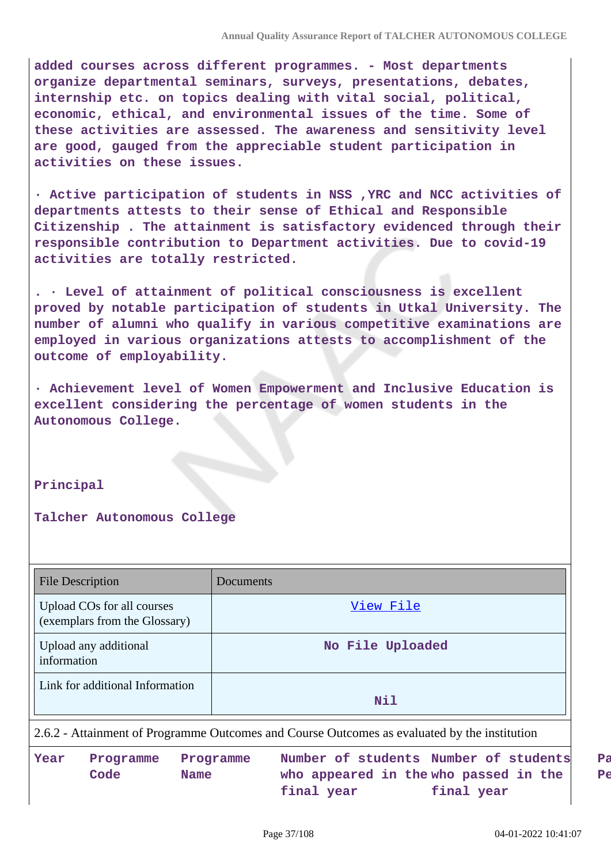**added courses across different programmes. - Most departments organize departmental seminars, surveys, presentations, debates, internship etc. on topics dealing with vital social, political, economic, ethical, and environmental issues of the time. Some of these activities are assessed. The awareness and sensitivity level are good, gauged from the appreciable student participation in activities on these issues.**

**· Active participation of students in NSS ,YRC and NCC activities of departments attests to their sense of Ethical and Responsible Citizenship . The attainment is satisfactory evidenced through their responsible contribution to Department activities. Due to covid-19 activities are totally restricted.**

**. · Level of attainment of political consciousness is excellent proved by notable participation of students in Utkal University. The number of alumni who qualify in various competitive examinations are employed in various organizations attests to accomplishment of the outcome of employability.**

**· Achievement level of Women Empowerment and Inclusive Education is excellent considering the percentage of women students in the Autonomous College.**

#### **Principal**

#### **Talcher Autonomous College**

| File Description                                                                             | Documents        |
|----------------------------------------------------------------------------------------------|------------------|
| Upload COs for all courses<br>(exemplars from the Glossary)                                  | View File        |
| Upload any additional<br>information                                                         | No File Uploaded |
| Link for additional Information                                                              | Nil              |
| 2.6.2 - Attainment of Programme Outcomes and Course Outcomes as evaluated by the institution |                  |

**Year Programme Code Programme Name Number of students Number of students who appeared in the who passed in the final year final year**

**Pass**  $P\epsilon$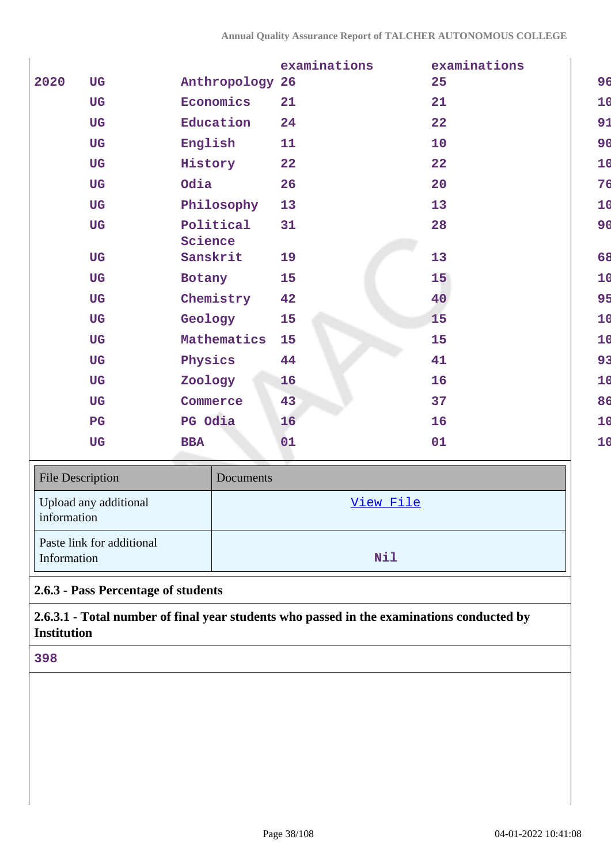|      |             |                      | examinations | examinations |    |
|------|-------------|----------------------|--------------|--------------|----|
| 2020 | <b>UG</b>   | Anthropology 26      |              | 25           | 96 |
|      | <b>UG</b>   | Economics            | 21           | 21           | 10 |
|      | <b>UG</b>   | Education            | 24           | 22           | 91 |
|      | <b>UG</b>   | English              | 11           | 10           | 90 |
|      | <b>UG</b>   | History              | 22           | 22           | 10 |
|      | <b>UG</b>   | Odia                 | 26           | 20           | 76 |
|      | <b>UG</b>   | Philosophy           | 13           | 13           | 10 |
|      | <b>UG</b>   | Political<br>Science | 31           | 28           | 90 |
|      | <b>UG</b>   | Sanskrit             | 19           | 13           | 68 |
|      | <b>UG</b>   | Botany               | 15           | 15           | 10 |
|      | <b>UG</b>   | Chemistry            | 42           | 40           | 95 |
|      | <b>UG</b>   | Geology              | 15           | 15           | 10 |
|      | <b>UG</b>   | Mathematics          | 15           | 15           | 10 |
|      | <b>UG</b>   | Physics              | 44           | 41           | 93 |
|      | <b>UG</b>   | Zoology              | 16           | 16           | 10 |
|      | <b>UG</b>   | Commerce             | 43           | 37           | 86 |
|      | $_{\rm PG}$ | PG Odia              | 16           | 16           | 10 |
|      | <b>UG</b>   | <b>BBA</b>           | 01           | 01           | 10 |
|      |             |                      |              |              |    |

| <b>File Description</b>                  | Documents  |
|------------------------------------------|------------|
| Upload any additional<br>information     | View File  |
| Paste link for additional<br>Information | <b>Nil</b> |

# **2.6.3 - Pass Percentage of students**

**2.6.3.1 - Total number of final year students who passed in the examinations conducted by Institution**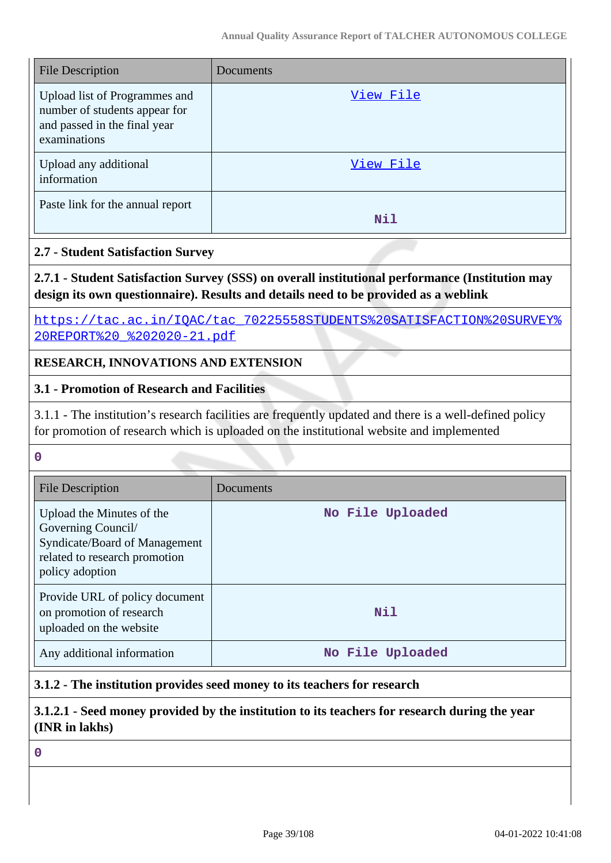| File Description                                                                                               | Documents |
|----------------------------------------------------------------------------------------------------------------|-----------|
| Upload list of Programmes and<br>number of students appear for<br>and passed in the final year<br>examinations | View File |
| Upload any additional<br>information                                                                           | View File |
| Paste link for the annual report                                                                               | Nil       |

### **2.7 - Student Satisfaction Survey**

**2.7.1 - Student Satisfaction Survey (SSS) on overall institutional performance (Institution may design its own questionnaire). Results and details need to be provided as a weblink**

[https://tac.ac.in/IQAC/tac\\_70225558STUDENTS%20SATISFACTION%20SURVEY%](https://tac.ac.in/IQAC/tac_70225558STUDENTS%20SATISFACTION%20SURVEY%20REPORT%20_%202020-21.pdf) [20REPORT%20\\_%202020-21.pdf](https://tac.ac.in/IQAC/tac_70225558STUDENTS%20SATISFACTION%20SURVEY%20REPORT%20_%202020-21.pdf)

### **RESEARCH, INNOVATIONS AND EXTENSION**

### **3.1 - Promotion of Research and Facilities**

3.1.1 - The institution's research facilities are frequently updated and there is a well-defined policy for promotion of research which is uploaded on the institutional website and implemented

#### **0**

| <b>File Description</b>                                                                                                              | Documents        |
|--------------------------------------------------------------------------------------------------------------------------------------|------------------|
| Upload the Minutes of the<br>Governing Council/<br>Syndicate/Board of Management<br>related to research promotion<br>policy adoption | No File Uploaded |
| Provide URL of policy document<br>on promotion of research<br>uploaded on the website                                                | Nil              |
| Any additional information                                                                                                           | No File Uploaded |

### **3.1.2 - The institution provides seed money to its teachers for research**

# **3.1.2.1 - Seed money provided by the institution to its teachers for research during the year (INR in lakhs)**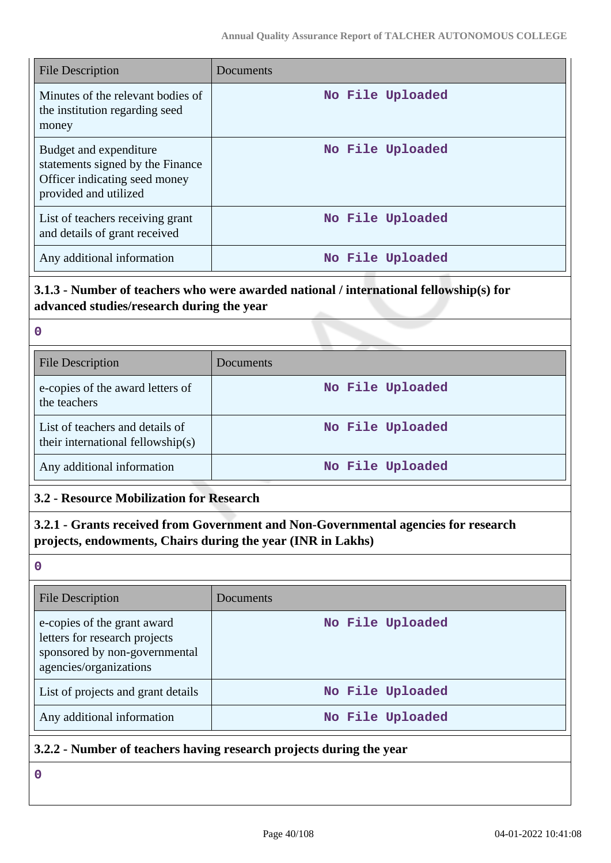| <b>File Description</b>                                                                                              | Documents        |
|----------------------------------------------------------------------------------------------------------------------|------------------|
| Minutes of the relevant bodies of<br>the institution regarding seed<br>money                                         | No File Uploaded |
| Budget and expenditure<br>statements signed by the Finance<br>Officer indicating seed money<br>provided and utilized | No File Uploaded |
| List of teachers receiving grant<br>and details of grant received                                                    | No File Uploaded |
| Any additional information                                                                                           | No File Uploaded |

# **3.1.3 - Number of teachers who were awarded national / international fellowship(s) for advanced studies/research during the year**

| $\mathbf 0$                                                          |                  |
|----------------------------------------------------------------------|------------------|
| <b>File Description</b>                                              | Documents        |
| e-copies of the award letters of<br>the teachers                     | No File Uploaded |
| List of teachers and details of<br>their international fellowship(s) | No File Uploaded |
| Any additional information                                           | No File Uploaded |

# **3.2 - Resource Mobilization for Research**

# **3.2.1 - Grants received from Government and Non-Governmental agencies for research projects, endowments, Chairs during the year (INR in Lakhs)**

**0**

| <b>File Description</b>                                                                                                 | Documents        |
|-------------------------------------------------------------------------------------------------------------------------|------------------|
| e-copies of the grant award<br>letters for research projects<br>sponsored by non-governmental<br>agencies/organizations | No File Uploaded |
| List of projects and grant details                                                                                      | No File Uploaded |
| Any additional information                                                                                              | No File Uploaded |

# **3.2.2 - Number of teachers having research projects during the year**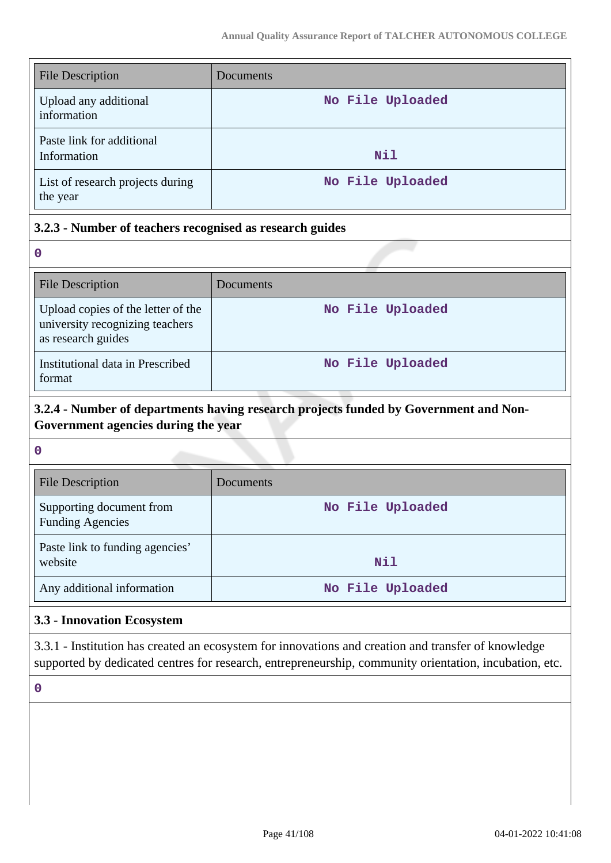| <b>File Description</b>                      | Documents        |
|----------------------------------------------|------------------|
| Upload any additional<br>information         | No File Uploaded |
| Paste link for additional<br>Information     | Nil              |
| List of research projects during<br>the year | No File Uploaded |

### **3.2.3 - Number of teachers recognised as research guides**

**0**

| <b>File Description</b>                                                                     | Documents        |
|---------------------------------------------------------------------------------------------|------------------|
| Upload copies of the letter of the<br>university recognizing teachers<br>as research guides | No File Uploaded |
| Institutional data in Prescribed<br>format                                                  | No File Uploaded |

# **3.2.4 - Number of departments having research projects funded by Government and Non-Government agencies during the year**

**0**

| <b>File Description</b>                             | Documents        |
|-----------------------------------------------------|------------------|
| Supporting document from<br><b>Funding Agencies</b> | No File Uploaded |
| Paste link to funding agencies'<br>website          | Nil              |
| Any additional information                          | No File Uploaded |

# **3.3 - Innovation Ecosystem**

3.3.1 - Institution has created an ecosystem for innovations and creation and transfer of knowledge supported by dedicated centres for research, entrepreneurship, community orientation, incubation, etc.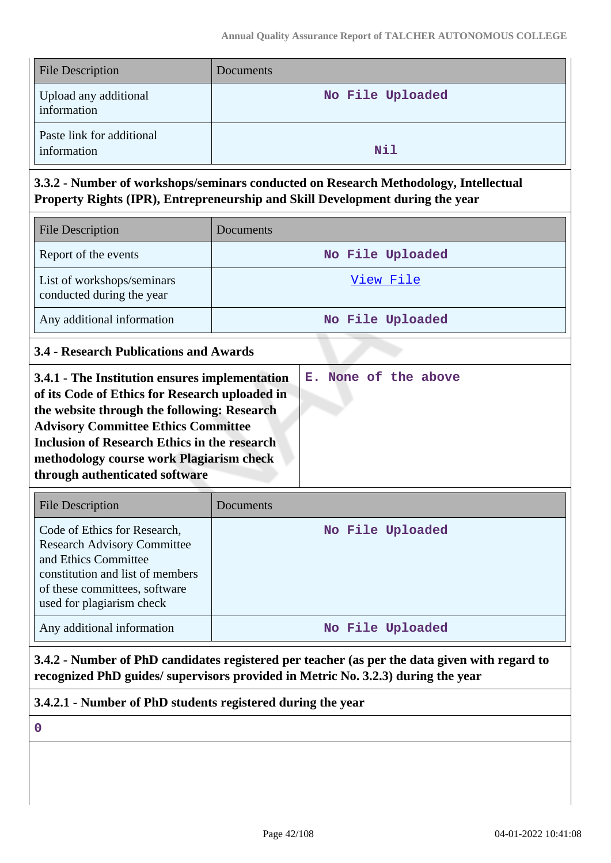| <b>File Description</b>                  | Documents        |
|------------------------------------------|------------------|
| Upload any additional<br>information     | No File Uploaded |
| Paste link for additional<br>information | Nil              |

# **3.3.2 - Number of workshops/seminars conducted on Research Methodology, Intellectual Property Rights (IPR), Entrepreneurship and Skill Development during the year**

| <b>File Description</b>                                 | <b>Documents</b> |
|---------------------------------------------------------|------------------|
| Report of the events                                    | No File Uploaded |
| List of workshops/seminars<br>conducted during the year | View File        |
| Any additional information                              | No File Uploaded |

# **3.4 - Research Publications and Awards**

| <b>File Description</b>                                                                                                                                                                      | Documents        |
|----------------------------------------------------------------------------------------------------------------------------------------------------------------------------------------------|------------------|
| Code of Ethics for Research,<br><b>Research Advisory Committee</b><br>and Ethics Committee<br>constitution and list of members<br>of these committees, software<br>used for plagiarism check | No File Uploaded |
| Any additional information                                                                                                                                                                   | No File Uploaded |

**3.4.2 - Number of PhD candidates registered per teacher (as per the data given with regard to recognized PhD guides/ supervisors provided in Metric No. 3.2.3) during the year**

**3.4.2.1 - Number of PhD students registered during the year**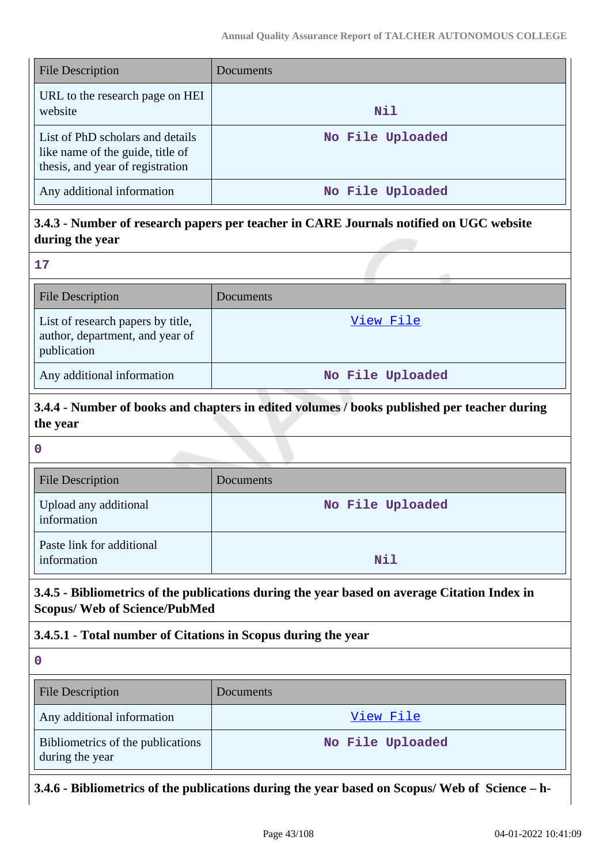| <b>File Description</b>                                                                                  | Documents        |
|----------------------------------------------------------------------------------------------------------|------------------|
| URL to the research page on HEI<br>website                                                               | Nil              |
| List of PhD scholars and details<br>like name of the guide, title of<br>thesis, and year of registration | No File Uploaded |
| Any additional information                                                                               | No File Uploaded |

# **3.4.3 - Number of research papers per teacher in CARE Journals notified on UGC website during the year**

| $\sim$ |  |
|--------|--|

| File Description                                                                    | Documents        |
|-------------------------------------------------------------------------------------|------------------|
| List of research papers by title,<br>author, department, and year of<br>publication | View File        |
| Any additional information                                                          | No File Uploaded |

# **3.4.4 - Number of books and chapters in edited volumes / books published per teacher during the year**

#### **0**

| <b>File Description</b>                  | Documents        |
|------------------------------------------|------------------|
| Upload any additional<br>information     | No File Uploaded |
| Paste link for additional<br>information | Nil              |

# **3.4.5 - Bibliometrics of the publications during the year based on average Citation Index in Scopus/ Web of Science/PubMed**

# **3.4.5.1 - Total number of Citations in Scopus during the year**

**0**

| <b>File Description</b>                              | <b>Documents</b> |
|------------------------------------------------------|------------------|
| Any additional information                           | View File        |
| Bibliometrics of the publications<br>during the year | No File Uploaded |

# **3.4.6 - Bibliometrics of the publications during the year based on Scopus/ Web of Science – h-**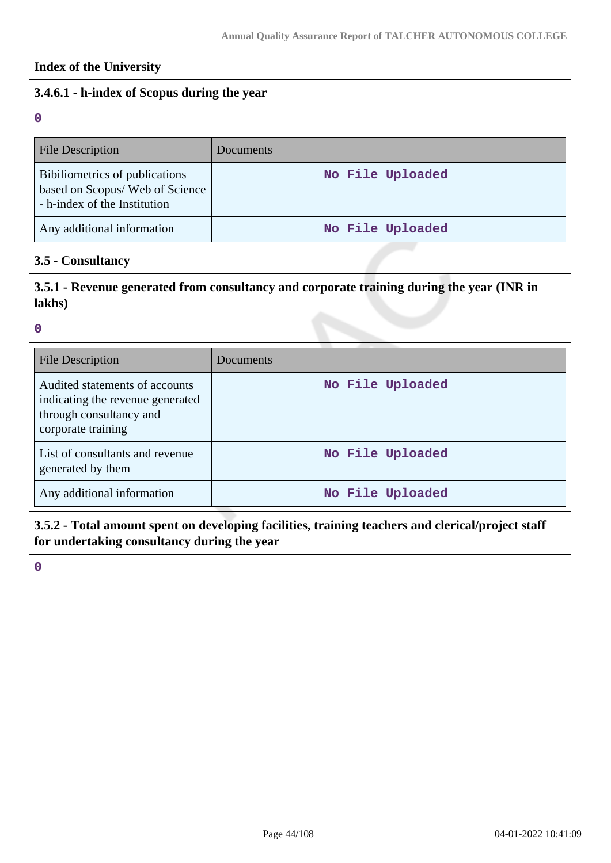# **Index of the University**

# **3.4.6.1 - h-index of Scopus during the year**

| $\mathbf 0$                                                                                      |                  |
|--------------------------------------------------------------------------------------------------|------------------|
| <b>File Description</b>                                                                          | Documents        |
| Bibiliometrics of publications<br>based on Scopus/Web of Science<br>- h-index of the Institution | No File Uploaded |
| Any additional information                                                                       | No File Uploaded |

### **3.5 - Consultancy**

# **3.5.1 - Revenue generated from consultancy and corporate training during the year (INR in lakhs)**

#### **0**

| <b>File Description</b>                                                                                             | Documents        |
|---------------------------------------------------------------------------------------------------------------------|------------------|
| Audited statements of accounts<br>indicating the revenue generated<br>through consultancy and<br>corporate training | No File Uploaded |
| List of consultants and revenue<br>generated by them                                                                | No File Uploaded |
| Any additional information                                                                                          | No File Uploaded |

# **3.5.2 - Total amount spent on developing facilities, training teachers and clerical/project staff for undertaking consultancy during the year**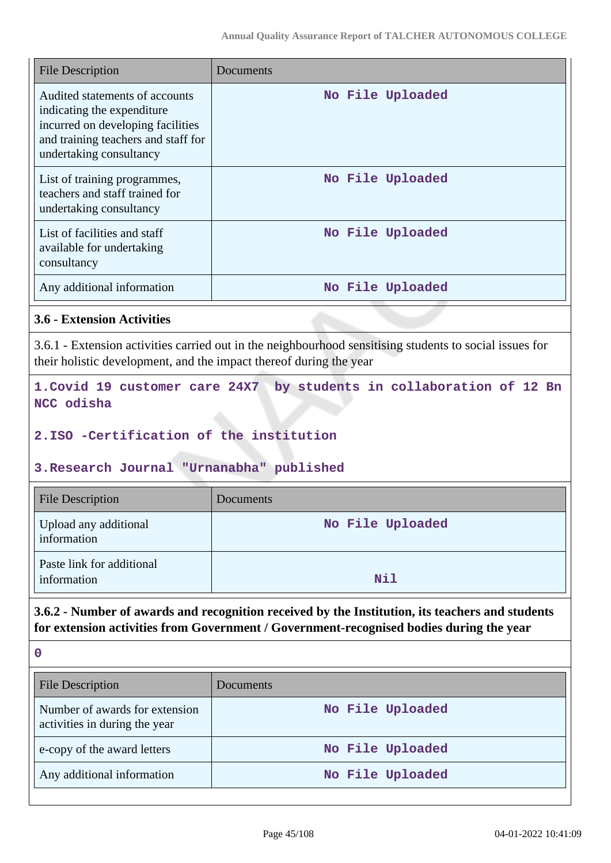| <b>File Description</b>                                                                                                                                             | Documents        |
|---------------------------------------------------------------------------------------------------------------------------------------------------------------------|------------------|
| Audited statements of accounts<br>indicating the expenditure<br>incurred on developing facilities<br>and training teachers and staff for<br>undertaking consultancy | No File Uploaded |
| List of training programmes,<br>teachers and staff trained for<br>undertaking consultancy                                                                           | No File Uploaded |
| List of facilities and staff<br>available for undertaking<br>consultancy                                                                                            | No File Uploaded |
| Any additional information                                                                                                                                          | No File Uploaded |

#### **3.6 - Extension Activities**

3.6.1 - Extension activities carried out in the neighbourhood sensitising students to social issues for their holistic development, and the impact thereof during the year

**1.Covid 19 customer care 24X7 by students in collaboration of 12 Bn NCC odisha**

#### **2.ISO -Certification of the institution**

### **3.Research Journal "Urnanabha" published**

| <b>File Description</b>                  | <b>Documents</b> |
|------------------------------------------|------------------|
| Upload any additional<br>information     | No File Uploaded |
| Paste link for additional<br>information | Nil              |

# **3.6.2 - Number of awards and recognition received by the Institution, its teachers and students for extension activities from Government / Government-recognised bodies during the year**

| <b>File Description</b>                                         | <b>Documents</b> |
|-----------------------------------------------------------------|------------------|
| Number of awards for extension<br>activities in during the year | No File Uploaded |
| e-copy of the award letters                                     | No File Uploaded |
| Any additional information                                      | No File Uploaded |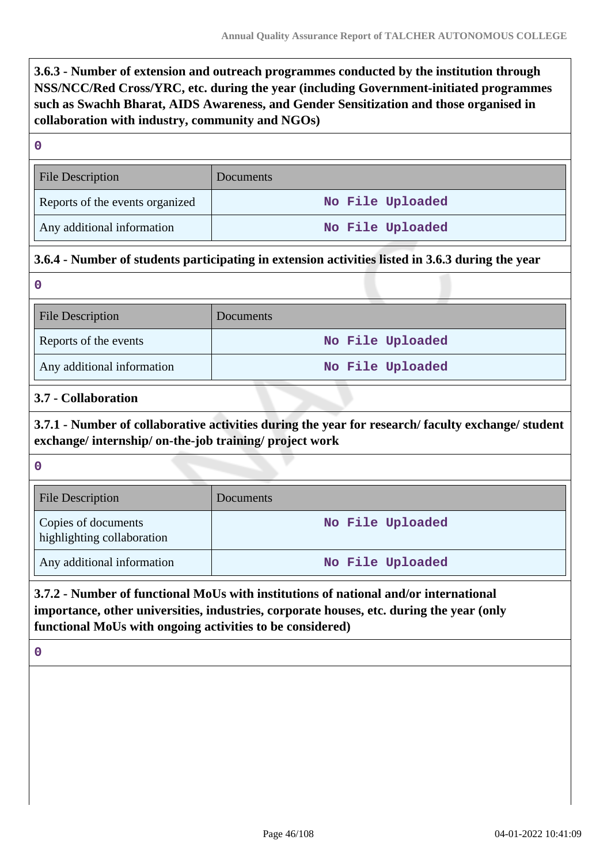**3.6.3 - Number of extension and outreach programmes conducted by the institution through NSS/NCC/Red Cross/YRC, etc. during the year (including Government-initiated programmes such as Swachh Bharat, AIDS Awareness, and Gender Sensitization and those organised in collaboration with industry, community and NGOs)**

#### **0**

| File Description                | Documents        |
|---------------------------------|------------------|
| Reports of the events organized | No File Uploaded |
| Any additional information      | No File Uploaded |

# **3.6.4 - Number of students participating in extension activities listed in 3.6.3 during the year**

**0**

| <b>File Description</b>    | Documents        |
|----------------------------|------------------|
| Reports of the events      | No File Uploaded |
| Any additional information | No File Uploaded |

# **3.7 - Collaboration**

**3.7.1 - Number of collaborative activities during the year for research/ faculty exchange/ student exchange/ internship/ on-the-job training/ project work**

**0**

| <b>File Description</b>                           | Documents        |
|---------------------------------------------------|------------------|
| Copies of documents<br>highlighting collaboration | No File Uploaded |
| Any additional information                        | No File Uploaded |

# **3.7.2 - Number of functional MoUs with institutions of national and/or international importance, other universities, industries, corporate houses, etc. during the year (only functional MoUs with ongoing activities to be considered)**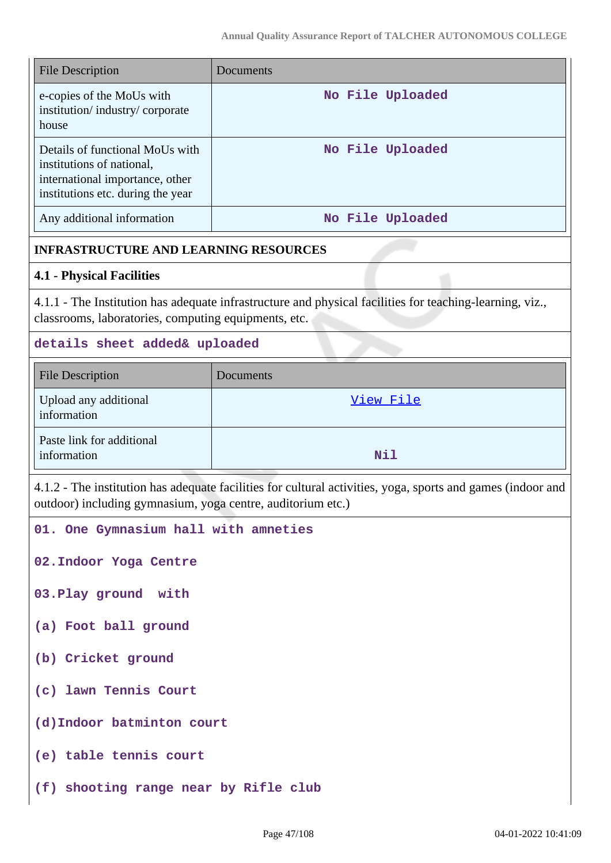| <b>File Description</b>                                                                                                              | Documents        |
|--------------------------------------------------------------------------------------------------------------------------------------|------------------|
| e-copies of the MoUs with<br>institution/industry/corporate<br>house                                                                 | No File Uploaded |
| Details of functional MoUs with<br>institutions of national,<br>international importance, other<br>institutions etc. during the year | No File Uploaded |
| Any additional information                                                                                                           | No File Uploaded |

### **INFRASTRUCTURE AND LEARNING RESOURCES**

#### **4.1 - Physical Facilities**

4.1.1 - The Institution has adequate infrastructure and physical facilities for teaching-learning, viz., classrooms, laboratories, computing equipments, etc.

#### **details sheet added& uploaded**

| <b>File Description</b>                  | Documents |
|------------------------------------------|-----------|
| Upload any additional<br>information     | View File |
| Paste link for additional<br>information | Nil       |

4.1.2 - The institution has adequate facilities for cultural activities, yoga, sports and games (indoor and outdoor) including gymnasium, yoga centre, auditorium etc.)

**01. One Gymnasium hall with amneties**

**02.Indoor Yoga Centre**

**03.Play ground with**

- **(a) Foot ball ground**
- **(b) Cricket ground**
- **(c) lawn Tennis Court**
- **(d)Indoor batminton court**
- **(e) table tennis court**
- **(f) shooting range near by Rifle club**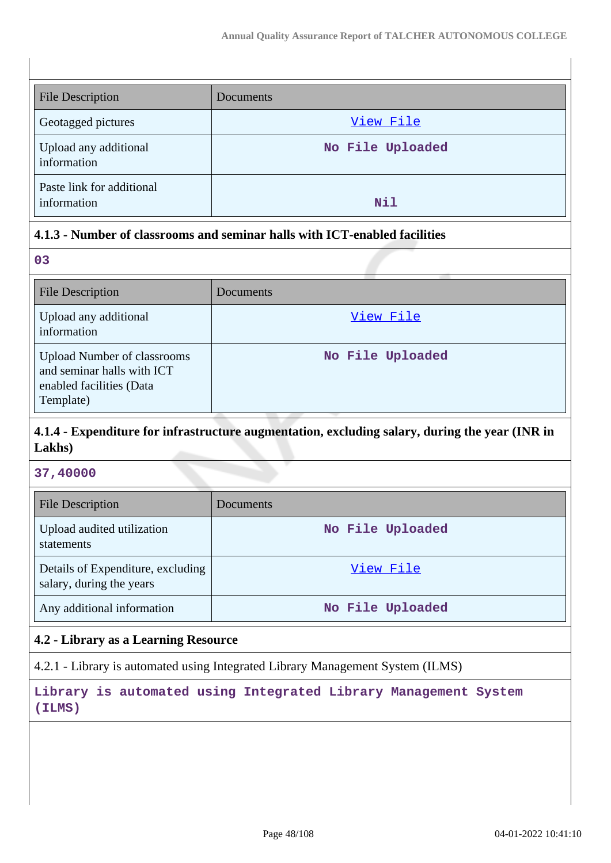| <b>File Description</b>                  | Documents        |
|------------------------------------------|------------------|
| Geotagged pictures                       | View File        |
| Upload any additional<br>information     | No File Uploaded |
| Paste link for additional<br>information | Nil              |

# **4.1.3 - Number of classrooms and seminar halls with ICT-enabled facilities**

| 03                                                                                                        |                  |
|-----------------------------------------------------------------------------------------------------------|------------------|
| <b>File Description</b>                                                                                   | Documents        |
| Upload any additional<br>information                                                                      | View File        |
| <b>Upload Number of classrooms</b><br>and seminar halls with ICT<br>enabled facilities (Data<br>Template) | No File Uploaded |

# **4.1.4 - Expenditure for infrastructure augmentation, excluding salary, during the year (INR in Lakhs)**

#### **37,40000**

| <b>File Description</b>                                       | Documents        |
|---------------------------------------------------------------|------------------|
| Upload audited utilization<br>statements                      | No File Uploaded |
| Details of Expenditure, excluding<br>salary, during the years | View File        |
| Any additional information                                    | No File Uploaded |

### **4.2 - Library as a Learning Resource**

4.2.1 - Library is automated using Integrated Library Management System (ILMS)

**Library is automated using Integrated Library Management System (ILMS)**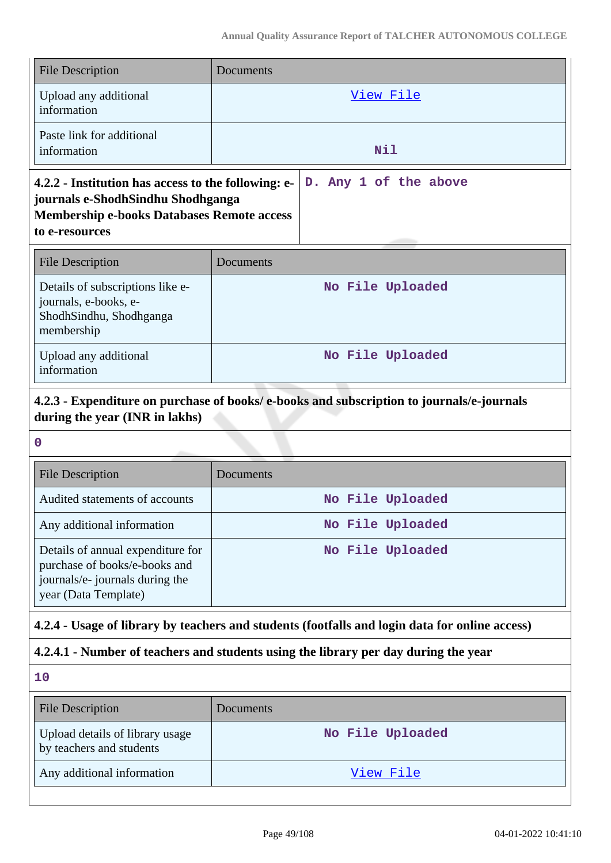| <b>File Description</b>                                                                                                                                         | Documents             |
|-----------------------------------------------------------------------------------------------------------------------------------------------------------------|-----------------------|
| Upload any additional<br>information                                                                                                                            | View File             |
| Paste link for additional<br>information                                                                                                                        | Nil                   |
| 4.2.2 - Institution has access to the following: e-<br>journals e-ShodhSindhu Shodhganga<br><b>Membership e-books Databases Remote access</b><br>to e-resources | D. Any 1 of the above |
| <b>File Description</b>                                                                                                                                         | Documents             |
| Details of subscriptions like e-<br>journals, e-books, e-                                                                                                       | No File Uploaded      |

| membership                           |                  |
|--------------------------------------|------------------|
| Upload any additional<br>information | No File Uploaded |
|                                      |                  |

# **4.2.3 - Expenditure on purchase of books/ e-books and subscription to journals/e-journals during the year (INR in lakhs)**

ShodhSindhu, Shodhganga

| $\mathbf 0$                                                                                                                   |                  |  |
|-------------------------------------------------------------------------------------------------------------------------------|------------------|--|
| <b>File Description</b>                                                                                                       | Documents        |  |
| Audited statements of accounts                                                                                                | No File Uploaded |  |
| Any additional information                                                                                                    | No File Uploaded |  |
| Details of annual expenditure for<br>purchase of books/e-books and<br>journals/e- journals during the<br>year (Data Template) | No File Uploaded |  |

# **4.2.4 - Usage of library by teachers and students (footfalls and login data for online access)**

# **4.2.4.1 - Number of teachers and students using the library per day during the year**

| 10                                                          |                  |
|-------------------------------------------------------------|------------------|
| <b>File Description</b>                                     | Documents        |
| Upload details of library usage<br>by teachers and students | No File Uploaded |
| Any additional information                                  | View File        |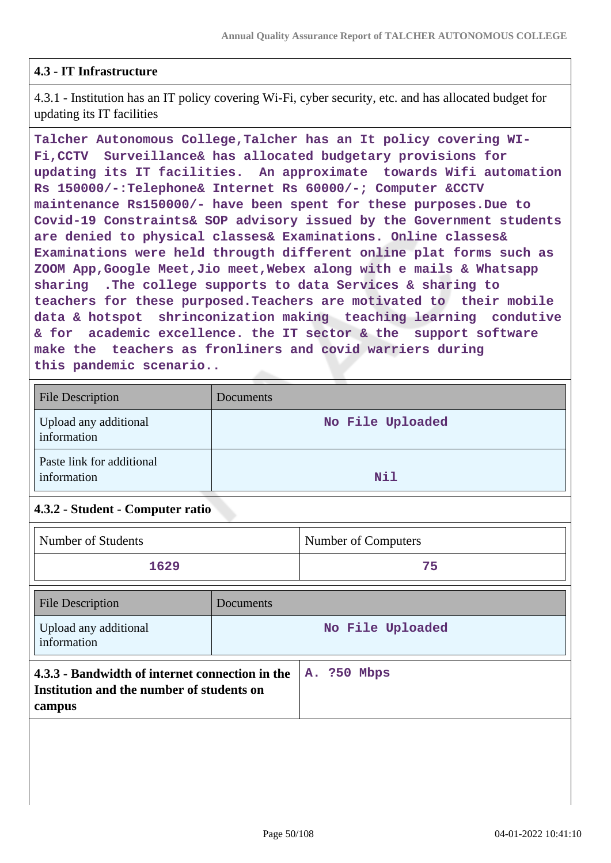### **4.3 - IT Infrastructure**

4.3.1 - Institution has an IT policy covering Wi-Fi, cyber security, etc. and has allocated budget for updating its IT facilities

**Talcher Autonomous College,Talcher has an It policy covering WI-Fi,CCTV Surveillance& has allocated budgetary provisions for updating its IT facilities. An approximate towards Wifi automation Rs 150000/-:Telephone& Internet Rs 60000/-; Computer &CCTV maintenance Rs150000/- have been spent for these purposes.Due to Covid-19 Constraints& SOP advisory issued by the Government students are denied to physical classes& Examinations. Online classes& Examinations were held througth different online plat forms such as ZOOM App,Google Meet,Jio meet,Webex along with e mails & Whatsapp sharing .The college supports to data Services & sharing to teachers for these purposed.Teachers are motivated to their mobile data & hotspot shrinconization making teaching learning condutive & for academic excellence. the IT sector & the support software make the teachers as fronliners and covid warriers during this pandemic scenario..**

| <b>File Description</b>                  | <b>Documents</b> |
|------------------------------------------|------------------|
| Upload any additional<br>information     | No File Uploaded |
| Paste link for additional<br>information | Nil              |

### **4.3.2 - Student - Computer ratio**

| Number of Students                                                                                     |           | Number of Computers |
|--------------------------------------------------------------------------------------------------------|-----------|---------------------|
| 1629                                                                                                   |           | 75                  |
| <b>File Description</b>                                                                                | Documents |                     |
| Upload any additional<br>information                                                                   |           | No File Uploaded    |
| 4.3.3 - Bandwidth of internet connection in the<br>Institution and the number of students on<br>campus |           | A. ?50 Mbps         |
|                                                                                                        |           |                     |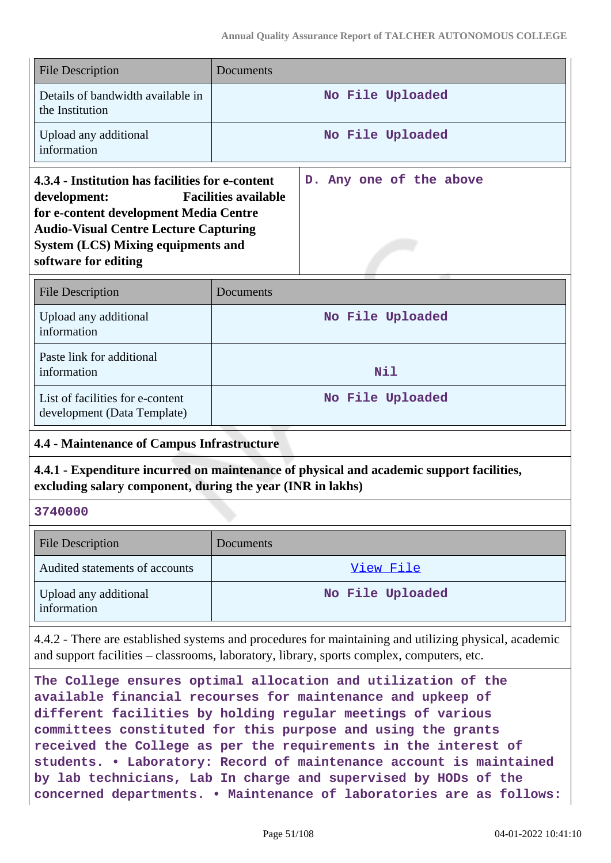|                                                                                                                                                                                                                                                                | <b>File Description</b>                                                                                                                                | Documents |                                                                                                                                                                                                    |
|----------------------------------------------------------------------------------------------------------------------------------------------------------------------------------------------------------------------------------------------------------------|--------------------------------------------------------------------------------------------------------------------------------------------------------|-----------|----------------------------------------------------------------------------------------------------------------------------------------------------------------------------------------------------|
|                                                                                                                                                                                                                                                                | Details of bandwidth available in<br>the Institution                                                                                                   |           | No File Uploaded                                                                                                                                                                                   |
|                                                                                                                                                                                                                                                                | Upload any additional<br>information                                                                                                                   |           | No File Uploaded                                                                                                                                                                                   |
| 4.3.4 - Institution has facilities for e-content<br><b>Facilities available</b><br>development:<br>for e-content development Media Centre<br><b>Audio-Visual Centre Lecture Capturing</b><br><b>System (LCS) Mixing equipments and</b><br>software for editing |                                                                                                                                                        |           | D. Any one of the above                                                                                                                                                                            |
|                                                                                                                                                                                                                                                                | <b>File Description</b>                                                                                                                                | Documents |                                                                                                                                                                                                    |
|                                                                                                                                                                                                                                                                | Upload any additional<br>information                                                                                                                   |           | No File Uploaded                                                                                                                                                                                   |
|                                                                                                                                                                                                                                                                | Paste link for additional<br>information                                                                                                               |           | Nil                                                                                                                                                                                                |
|                                                                                                                                                                                                                                                                | List of facilities for e-content<br>development (Data Template)                                                                                        |           | No File Uploaded                                                                                                                                                                                   |
|                                                                                                                                                                                                                                                                | <b>4.4 - Maintenance of Campus Infrastructure</b>                                                                                                      |           |                                                                                                                                                                                                    |
|                                                                                                                                                                                                                                                                | 4.4.1 - Expenditure incurred on maintenance of physical and academic support facilities,<br>excluding salary component, during the year (INR in lakhs) |           |                                                                                                                                                                                                    |
|                                                                                                                                                                                                                                                                | 3740000                                                                                                                                                |           |                                                                                                                                                                                                    |
|                                                                                                                                                                                                                                                                |                                                                                                                                                        |           |                                                                                                                                                                                                    |
|                                                                                                                                                                                                                                                                | <b>File Description</b>                                                                                                                                | Documents |                                                                                                                                                                                                    |
|                                                                                                                                                                                                                                                                | Audited statements of accounts                                                                                                                         |           | View File                                                                                                                                                                                          |
|                                                                                                                                                                                                                                                                | Upload any additional<br>information                                                                                                                   |           | No File Uploaded                                                                                                                                                                                   |
|                                                                                                                                                                                                                                                                |                                                                                                                                                        |           | 4.4.2 - There are established systems and procedures for maintaining and utilizing physical, academic<br>and support facilities – classrooms, laboratory, library, sports complex, computers, etc. |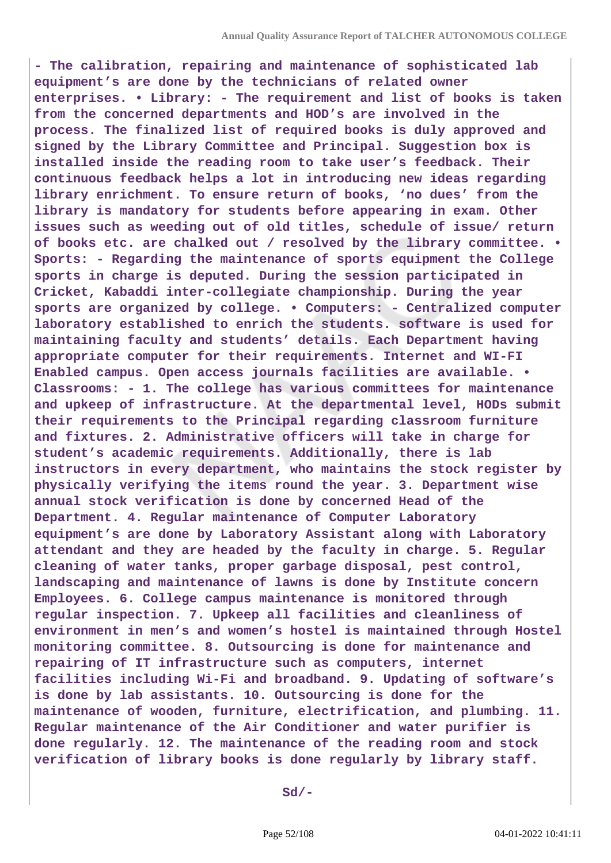**- The calibration, repairing and maintenance of sophisticated lab equipment's are done by the technicians of related owner enterprises. • Library: - The requirement and list of books is taken from the concerned departments and HOD's are involved in the process. The finalized list of required books is duly approved and signed by the Library Committee and Principal. Suggestion box is installed inside the reading room to take user's feedback. Their continuous feedback helps a lot in introducing new ideas regarding library enrichment. To ensure return of books, 'no dues' from the library is mandatory for students before appearing in exam. Other issues such as weeding out of old titles, schedule of issue/ return of books etc. are chalked out / resolved by the library committee. • Sports: - Regarding the maintenance of sports equipment the College sports in charge is deputed. During the session participated in Cricket, Kabaddi inter-collegiate championship. During the year sports are organized by college. • Computers: - Centralized computer laboratory established to enrich the students. software is used for maintaining faculty and students' details. Each Department having appropriate computer for their requirements. Internet and WI-FI Enabled campus. Open access journals facilities are available. • Classrooms: - 1. The college has various committees for maintenance and upkeep of infrastructure. At the departmental level, HODs submit their requirements to the Principal regarding classroom furniture and fixtures. 2. Administrative officers will take in charge for student's academic requirements. Additionally, there is lab instructors in every department, who maintains the stock register by physically verifying the items round the year. 3. Department wise annual stock verification is done by concerned Head of the Department. 4. Regular maintenance of Computer Laboratory equipment's are done by Laboratory Assistant along with Laboratory attendant and they are headed by the faculty in charge. 5. Regular cleaning of water tanks, proper garbage disposal, pest control, landscaping and maintenance of lawns is done by Institute concern Employees. 6. College campus maintenance is monitored through regular inspection. 7. Upkeep all facilities and cleanliness of environment in men's and women's hostel is maintained through Hostel monitoring committee. 8. Outsourcing is done for maintenance and repairing of IT infrastructure such as computers, internet facilities including Wi-Fi and broadband. 9. Updating of software's is done by lab assistants. 10. Outsourcing is done for the maintenance of wooden, furniture, electrification, and plumbing. 11. Regular maintenance of the Air Conditioner and water purifier is done regularly. 12. The maintenance of the reading room and stock verification of library books is done regularly by library staff.**

 **Sd/-**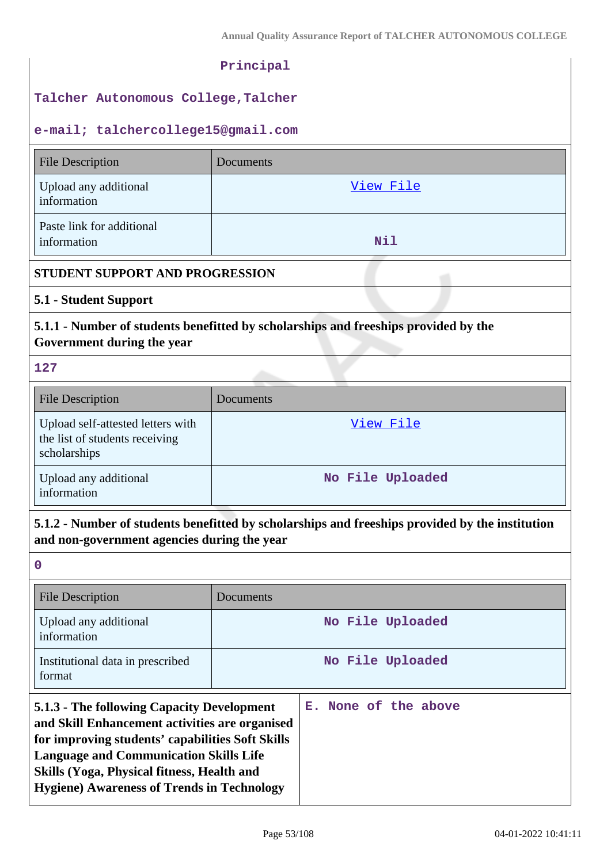#### **Principal**

#### **Talcher Autonomous College,Talcher**

#### **e-mail; talchercollege15@gmail.com**

| <b>File Description</b>                                                                                                                        | Documents        |  |
|------------------------------------------------------------------------------------------------------------------------------------------------|------------------|--|
| Upload any additional<br>information                                                                                                           | View File        |  |
| Paste link for additional<br>information                                                                                                       | Nil              |  |
| STUDENT SUPPORT AND PROGRESSION                                                                                                                |                  |  |
| 5.1 - Student Support                                                                                                                          |                  |  |
| 5.1.1 - Number of students benefitted by scholarships and freeships provided by the<br>Government during the year                              |                  |  |
| 127                                                                                                                                            |                  |  |
| <b>File Description</b>                                                                                                                        | Documents        |  |
| Upload self-attested letters with<br>the list of students receiving<br>scholarships                                                            | View File        |  |
| Upload any additional<br>information                                                                                                           | No File Uploaded |  |
| 5.1.2 - Number of students benefitted by scholarships and freeships provided by the institution<br>and non-government agencies during the year |                  |  |
| $\mathbf 0$                                                                                                                                    |                  |  |
| <b>File Description</b>                                                                                                                        | Documents        |  |
| Upload any additional<br>information                                                                                                           | No File Uploaded |  |
| Institutional data in prescribed                                                                                                               | No File Uploaded |  |

# **5.1.3 - The following Capacity Development and Skill Enhancement activities are organised for improving students' capabilities Soft Skills Language and Communication Skills Life E. None of the above**

format

**Skills (Yoga, Physical fitness, Health and Hygiene) Awareness of Trends in Technology**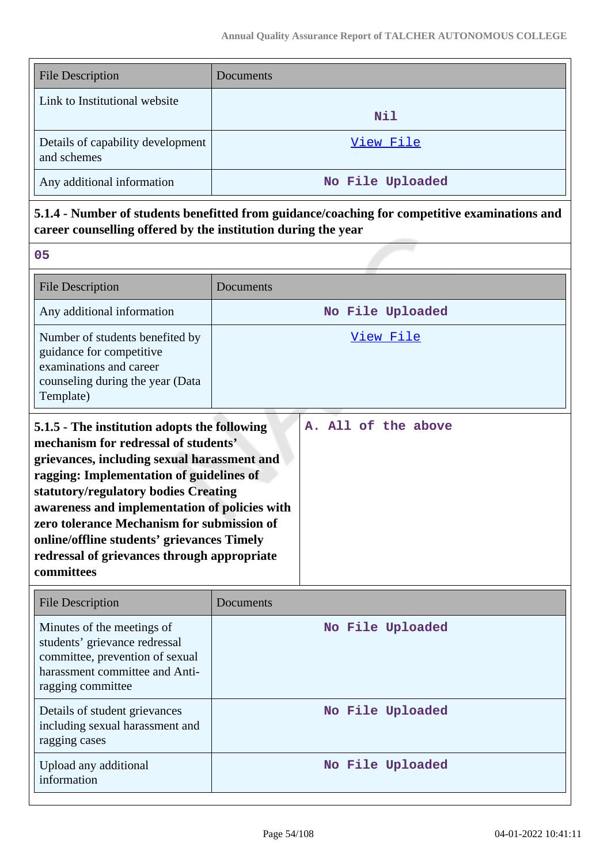| <b>File Description</b>                          | Documents        |
|--------------------------------------------------|------------------|
| Link to Institutional website                    | Nil              |
| Details of capability development<br>and schemes | View File        |
| Any additional information                       | No File Uploaded |

# **5.1.4 - Number of students benefitted from guidance/coaching for competitive examinations and career counselling offered by the institution during the year**

| <b>File Description</b>                                                                                                                                                                                                                                                                                                                                                                                                           | Documents |                     |
|-----------------------------------------------------------------------------------------------------------------------------------------------------------------------------------------------------------------------------------------------------------------------------------------------------------------------------------------------------------------------------------------------------------------------------------|-----------|---------------------|
| Any additional information                                                                                                                                                                                                                                                                                                                                                                                                        |           | No File Uploaded    |
| Number of students benefited by<br>guidance for competitive<br>examinations and career<br>counseling during the year (Data<br>Template)                                                                                                                                                                                                                                                                                           |           | View File           |
| 5.1.5 - The institution adopts the following<br>mechanism for redressal of students'<br>grievances, including sexual harassment and<br>ragging: Implementation of guidelines of<br>statutory/regulatory bodies Creating<br>awareness and implementation of policies with<br>zero tolerance Mechanism for submission of<br>online/offline students' grievances Timely<br>redressal of grievances through appropriate<br>committees |           | A. All of the above |

| <b>File Description</b>                                                                                                                               | Documents        |
|-------------------------------------------------------------------------------------------------------------------------------------------------------|------------------|
| Minutes of the meetings of<br>students' grievance redressal<br>committee, prevention of sexual<br>harassment committee and Anti-<br>ragging committee | No File Uploaded |
| Details of student grievances<br>including sexual harassment and<br>ragging cases                                                                     | No File Uploaded |
| Upload any additional<br>information                                                                                                                  | No File Uploaded |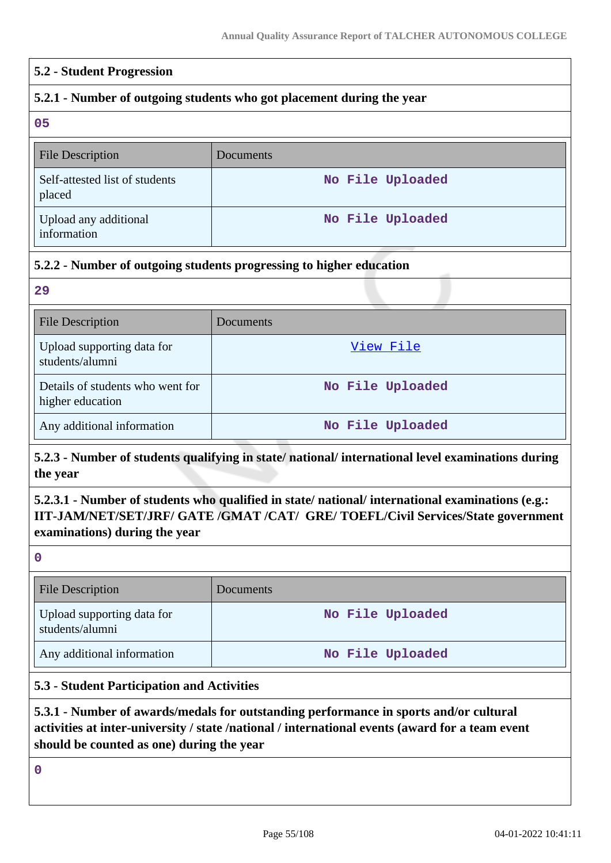#### **5.2 - Student Progression**

### **5.2.1 - Number of outgoing students who got placement during the year**

**05**

| <b>File Description</b>                  | <b>Documents</b> |
|------------------------------------------|------------------|
| Self-attested list of students<br>placed | No File Uploaded |
| Upload any additional<br>information     | No File Uploaded |

### **5.2.2 - Number of outgoing students progressing to higher education**

**29**

| <b>File Description</b>                              | Documents        |
|------------------------------------------------------|------------------|
| Upload supporting data for<br>students/alumni        | View File        |
| Details of students who went for<br>higher education | No File Uploaded |
| Any additional information                           | No File Uploaded |

# **5.2.3 - Number of students qualifying in state/ national/ international level examinations during the year**

# **5.2.3.1 - Number of students who qualified in state/ national/ international examinations (e.g.: IIT-JAM/NET/SET/JRF/ GATE /GMAT /CAT/ GRE/ TOEFL/Civil Services/State government examinations) during the year**

**0**

| <b>File Description</b>                       | Documents <sup>1</sup> |
|-----------------------------------------------|------------------------|
| Upload supporting data for<br>students/alumni | No File Uploaded       |
| Any additional information                    | No File Uploaded       |

### **5.3 - Student Participation and Activities**

# **5.3.1 - Number of awards/medals for outstanding performance in sports and/or cultural activities at inter-university / state /national / international events (award for a team event should be counted as one) during the year**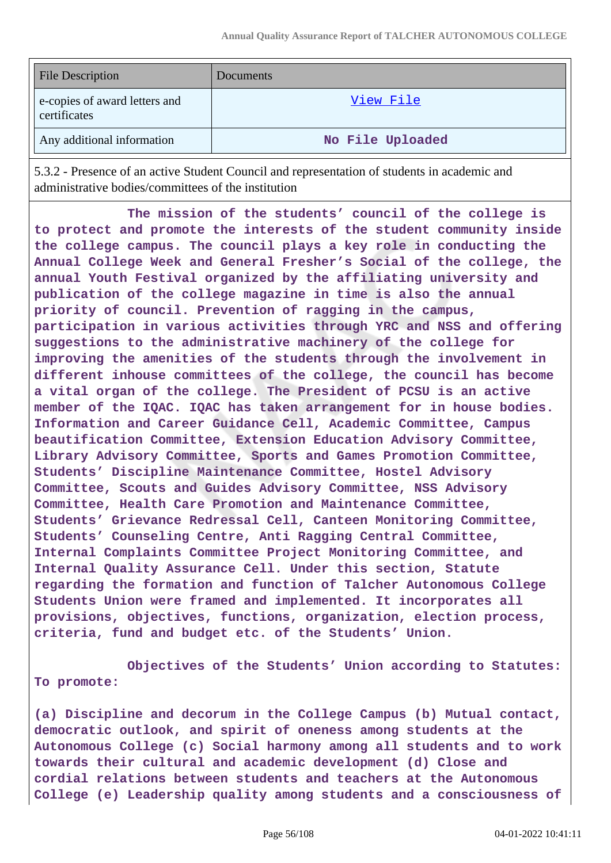| <b>File Description</b>                       | <b>Documents</b> |
|-----------------------------------------------|------------------|
| e-copies of award letters and<br>certificates | View File        |
| Any additional information                    | No File Uploaded |

5.3.2 - Presence of an active Student Council and representation of students in academic and administrative bodies/committees of the institution

 **The mission of the students' council of the college is to protect and promote the interests of the student community inside the college campus. The council plays a key role in conducting the Annual College Week and General Fresher's Social of the college, the annual Youth Festival organized by the affiliating university and publication of the college magazine in time is also the annual priority of council. Prevention of ragging in the campus, participation in various activities through YRC and NSS and offering suggestions to the administrative machinery of the college for improving the amenities of the students through the involvement in different inhouse committees of the college, the council has become a vital organ of the college. The President of PCSU is an active member of the IQAC. IQAC has taken arrangement for in house bodies. Information and Career Guidance Cell, Academic Committee, Campus beautification Committee, Extension Education Advisory Committee, Library Advisory Committee, Sports and Games Promotion Committee, Students' Discipline Maintenance Committee, Hostel Advisory Committee, Scouts and Guides Advisory Committee, NSS Advisory Committee, Health Care Promotion and Maintenance Committee, Students' Grievance Redressal Cell, Canteen Monitoring Committee, Students' Counseling Centre, Anti Ragging Central Committee, Internal Complaints Committee Project Monitoring Committee, and Internal Quality Assurance Cell. Under this section, Statute regarding the formation and function of Talcher Autonomous College Students Union were framed and implemented. It incorporates all provisions, objectives, functions, organization, election process, criteria, fund and budget etc. of the Students' Union.** 

 **Objectives of the Students' Union according to Statutes: To promote:**

**(a) Discipline and decorum in the College Campus (b) Mutual contact, democratic outlook, and spirit of oneness among students at the Autonomous College (c) Social harmony among all students and to work towards their cultural and academic development (d) Close and cordial relations between students and teachers at the Autonomous College (e) Leadership quality among students and a consciousness of**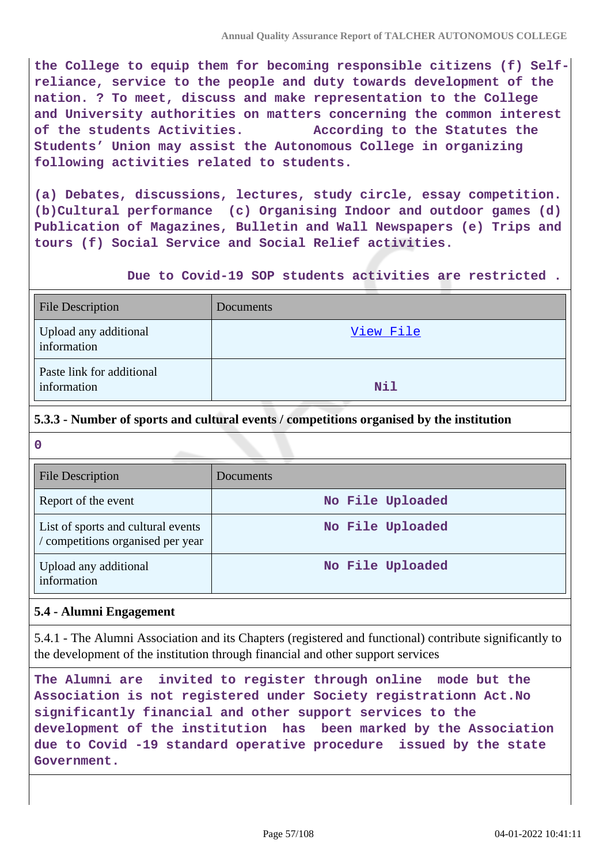**the College to equip them for becoming responsible citizens (f) Selfreliance, service to the people and duty towards development of the nation. ? To meet, discuss and make representation to the College and University authorities on matters concerning the common interest of the students Activities. According to the Statutes the Students' Union may assist the Autonomous College in organizing following activities related to students.**

**(a) Debates, discussions, lectures, study circle, essay competition. (b)Cultural performance (c) Organising Indoor and outdoor games (d) Publication of Magazines, Bulletin and Wall Newspapers (e) Trips and tours (f) Social Service and Social Relief activities.**

 **Due to Covid-19 SOP students activities are restricted .**

| <b>File Description</b>                  | Documents |
|------------------------------------------|-----------|
| Upload any additional<br>information     | View File |
| Paste link for additional<br>information | Nil       |

### **5.3.3 - Number of sports and cultural events / competitions organised by the institution**

| $\mathbf 0$                                                             |                  |  |  |  |
|-------------------------------------------------------------------------|------------------|--|--|--|
| File Description                                                        | Documents        |  |  |  |
| Report of the event                                                     | No File Uploaded |  |  |  |
| List of sports and cultural events<br>/ competitions organised per year | No File Uploaded |  |  |  |
| Upload any additional<br>information                                    | No File Uploaded |  |  |  |

# **5.4 - Alumni Engagement**

5.4.1 - The Alumni Association and its Chapters (registered and functional) contribute significantly to the development of the institution through financial and other support services

**The Alumni are invited to register through online mode but the Association is not registered under Society registrationn Act.No significantly financial and other support services to the development of the institution has been marked by the Association due to Covid -19 standard operative procedure issued by the state Government.**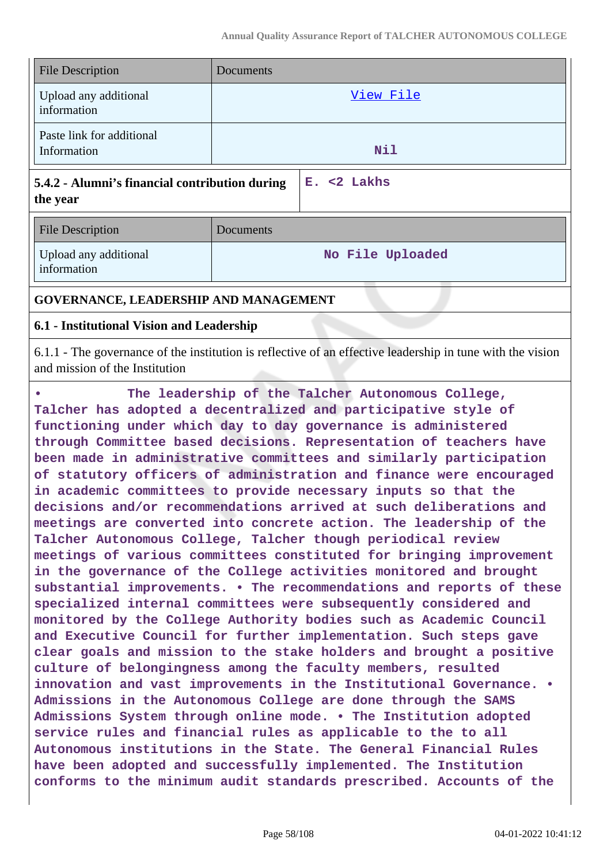| <b>File Description</b>                                                      | Documents        |  |  |
|------------------------------------------------------------------------------|------------------|--|--|
| Upload any additional<br>information                                         | View File        |  |  |
| Paste link for additional<br>Information                                     | Nil              |  |  |
| $E. < 2$ Lakhs<br>5.4.2 - Alumni's financial contribution during<br>the year |                  |  |  |
| <b>File Description</b>                                                      | Documents        |  |  |
| Upload any additional<br>information                                         | No File Uploaded |  |  |
| GOVERNANCE, LEADERSHIP AND MANAGEMENT                                        |                  |  |  |

#### **6.1 - Institutional Vision and Leadership**

6.1.1 - The governance of the institution is reflective of an effective leadership in tune with the vision and mission of the Institution

**• The leadership of the Talcher Autonomous College, Talcher has adopted a decentralized and participative style of functioning under which day to day governance is administered through Committee based decisions. Representation of teachers have been made in administrative committees and similarly participation of statutory officers of administration and finance were encouraged in academic committees to provide necessary inputs so that the decisions and/or recommendations arrived at such deliberations and meetings are converted into concrete action. The leadership of the Talcher Autonomous College, Talcher though periodical review meetings of various committees constituted for bringing improvement in the governance of the College activities monitored and brought substantial improvements. • The recommendations and reports of these specialized internal committees were subsequently considered and monitored by the College Authority bodies such as Academic Council and Executive Council for further implementation. Such steps gave clear goals and mission to the stake holders and brought a positive culture of belongingness among the faculty members, resulted innovation and vast improvements in the Institutional Governance. • Admissions in the Autonomous College are done through the SAMS Admissions System through online mode. • The Institution adopted service rules and financial rules as applicable to the to all Autonomous institutions in the State. The General Financial Rules have been adopted and successfully implemented. The Institution conforms to the minimum audit standards prescribed. Accounts of the**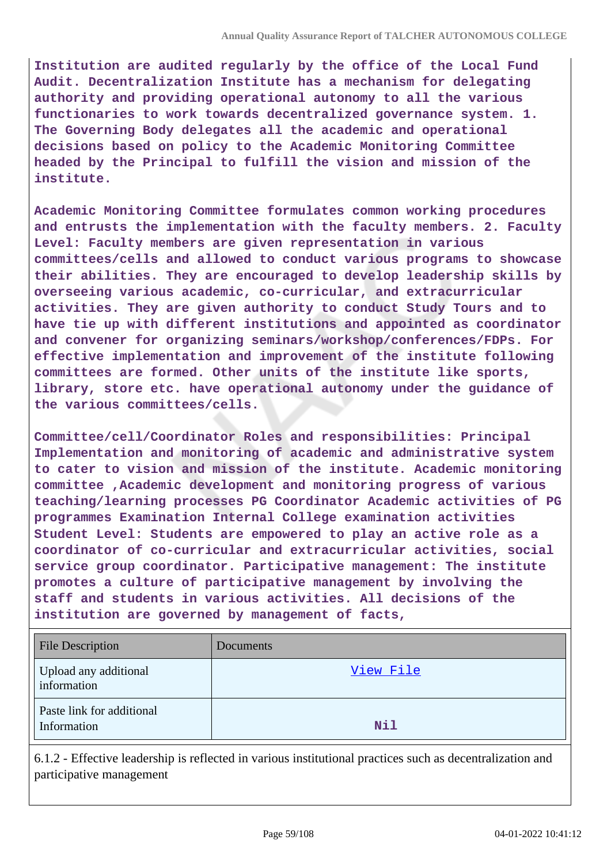**Institution are audited regularly by the office of the Local Fund Audit. Decentralization Institute has a mechanism for delegating authority and providing operational autonomy to all the various functionaries to work towards decentralized governance system. 1. The Governing Body delegates all the academic and operational decisions based on policy to the Academic Monitoring Committee headed by the Principal to fulfill the vision and mission of the institute.**

**Academic Monitoring Committee formulates common working procedures and entrusts the implementation with the faculty members. 2. Faculty Level: Faculty members are given representation in various committees/cells and allowed to conduct various programs to showcase their abilities. They are encouraged to develop leadership skills by overseeing various academic, co-curricular, and extracurricular activities. They are given authority to conduct Study Tours and to have tie up with different institutions and appointed as coordinator and convener for organizing seminars/workshop/conferences/FDPs. For effective implementation and improvement of the institute following committees are formed. Other units of the institute like sports, library, store etc. have operational autonomy under the guidance of the various committees/cells.**

**Committee/cell/Coordinator Roles and responsibilities: Principal Implementation and monitoring of academic and administrative system to cater to vision and mission of the institute. Academic monitoring committee ,Academic development and monitoring progress of various teaching/learning processes PG Coordinator Academic activities of PG programmes Examination Internal College examination activities Student Level: Students are empowered to play an active role as a coordinator of co-curricular and extracurricular activities, social service group coordinator. Participative management: The institute promotes a culture of participative management by involving the staff and students in various activities. All decisions of the institution are governed by management of facts,**

| <b>File Description</b>                  | Documents |
|------------------------------------------|-----------|
| Upload any additional<br>information     | View File |
| Paste link for additional<br>Information | Nil       |

6.1.2 - Effective leadership is reflected in various institutional practices such as decentralization and participative management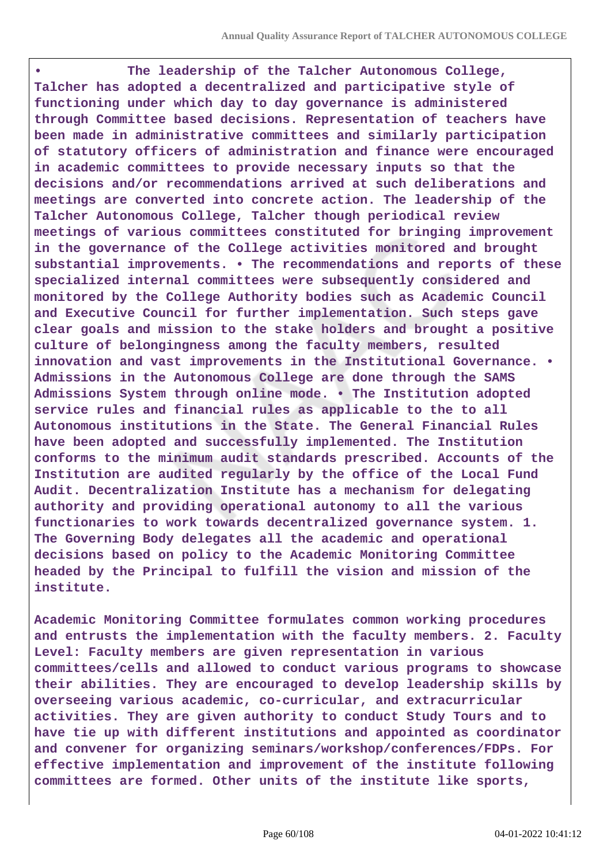**• The leadership of the Talcher Autonomous College, Talcher has adopted a decentralized and participative style of functioning under which day to day governance is administered through Committee based decisions. Representation of teachers have been made in administrative committees and similarly participation of statutory officers of administration and finance were encouraged in academic committees to provide necessary inputs so that the decisions and/or recommendations arrived at such deliberations and meetings are converted into concrete action. The leadership of the Talcher Autonomous College, Talcher though periodical review meetings of various committees constituted for bringing improvement in the governance of the College activities monitored and brought substantial improvements. • The recommendations and reports of these specialized internal committees were subsequently considered and monitored by the College Authority bodies such as Academic Council and Executive Council for further implementation. Such steps gave clear goals and mission to the stake holders and brought a positive culture of belongingness among the faculty members, resulted innovation and vast improvements in the Institutional Governance. • Admissions in the Autonomous College are done through the SAMS Admissions System through online mode. • The Institution adopted service rules and financial rules as applicable to the to all Autonomous institutions in the State. The General Financial Rules have been adopted and successfully implemented. The Institution conforms to the minimum audit standards prescribed. Accounts of the Institution are audited regularly by the office of the Local Fund Audit. Decentralization Institute has a mechanism for delegating authority and providing operational autonomy to all the various functionaries to work towards decentralized governance system. 1. The Governing Body delegates all the academic and operational decisions based on policy to the Academic Monitoring Committee headed by the Principal to fulfill the vision and mission of the institute.**

**Academic Monitoring Committee formulates common working procedures and entrusts the implementation with the faculty members. 2. Faculty Level: Faculty members are given representation in various committees/cells and allowed to conduct various programs to showcase their abilities. They are encouraged to develop leadership skills by overseeing various academic, co-curricular, and extracurricular activities. They are given authority to conduct Study Tours and to have tie up with different institutions and appointed as coordinator and convener for organizing seminars/workshop/conferences/FDPs. For effective implementation and improvement of the institute following committees are formed. Other units of the institute like sports,**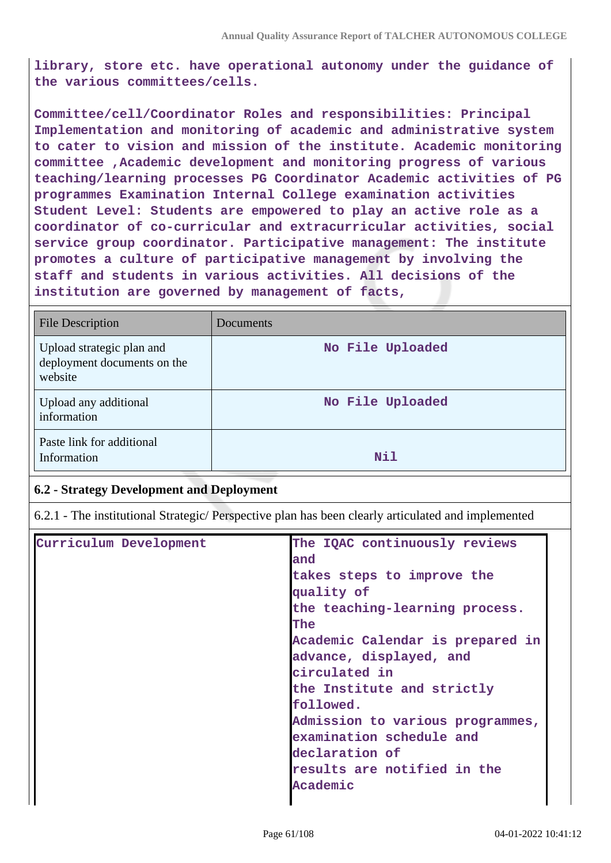**library, store etc. have operational autonomy under the guidance of the various committees/cells.**

**Committee/cell/Coordinator Roles and responsibilities: Principal Implementation and monitoring of academic and administrative system to cater to vision and mission of the institute. Academic monitoring committee ,Academic development and monitoring progress of various teaching/learning processes PG Coordinator Academic activities of PG programmes Examination Internal College examination activities Student Level: Students are empowered to play an active role as a coordinator of co-curricular and extracurricular activities, social service group coordinator. Participative management: The institute promotes a culture of participative management by involving the staff and students in various activities. All decisions of the institution are governed by management of facts,**

| <b>File Description</b>                                             | Documents        |
|---------------------------------------------------------------------|------------------|
| Upload strategic plan and<br>deployment documents on the<br>website | No File Uploaded |
| Upload any additional<br>information                                | No File Uploaded |
| Paste link for additional<br>Information                            | Nil              |

# **6.2 - Strategy Development and Deployment**

6.2.1 - The institutional Strategic/ Perspective plan has been clearly articulated and implemented

| Curriculum Development | The IQAC continuously reviews    |
|------------------------|----------------------------------|
|                        | and                              |
|                        |                                  |
|                        | takes steps to improve the       |
|                        | quality of                       |
|                        | the teaching-learning process.   |
|                        | The                              |
|                        | Academic Calendar is prepared in |
|                        | advance, displayed, and          |
|                        | circulated in                    |
|                        | the Institute and strictly       |
|                        | followed.                        |
|                        | Admission to various programmes, |
|                        | examination schedule and         |
|                        | declaration of                   |
|                        | results are notified in the      |
|                        | Academic                         |
|                        |                                  |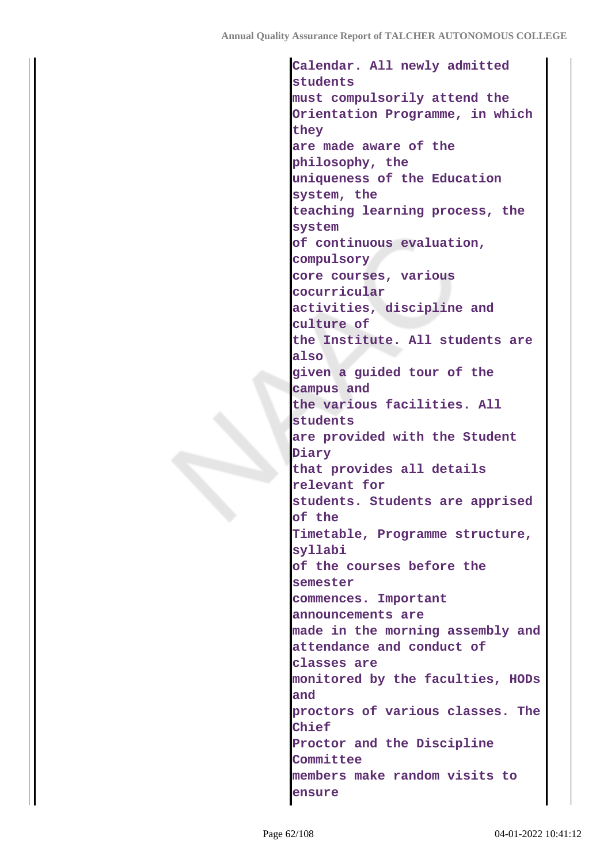**Calendar. All newly admitted students must compulsorily attend the Orientation Programme, in which they are made aware of the philosophy, the uniqueness of the Education system, the teaching learning process, the system of continuous evaluation, compulsory core courses, various cocurricular activities, discipline and culture of the Institute. All students are also given a guided tour of the campus and the various facilities. All students are provided with the Student Diary that provides all details relevant for students. Students are apprised of the Timetable, Programme structure, syllabi of the courses before the semester commences. Important announcements are made in the morning assembly and attendance and conduct of classes are monitored by the faculties, HODs and proctors of various classes. The Chief Proctor and the Discipline Committee members make random visits to ensure**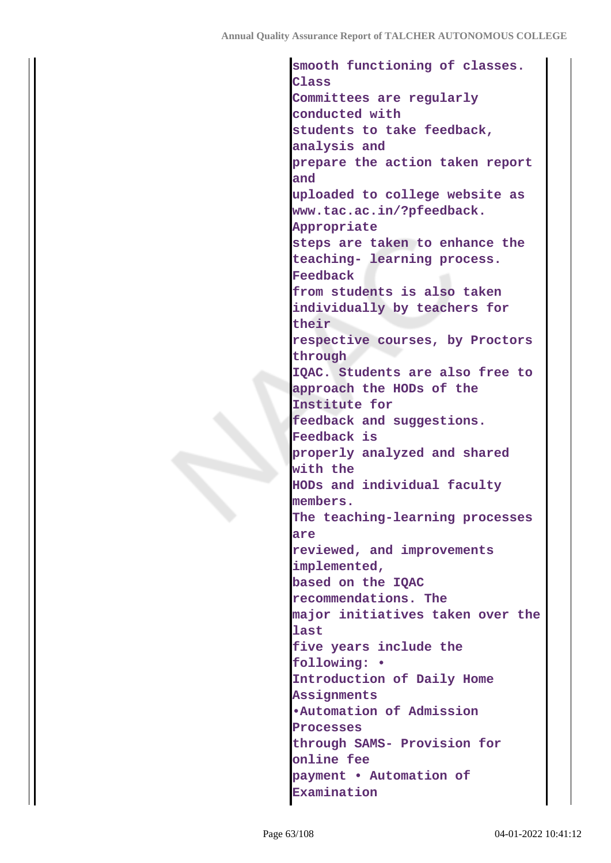**smooth functioning of classes. Class Committees are regularly conducted with students to take feedback, analysis and prepare the action taken report and uploaded to college website as www.tac.ac.in/?pfeedback. Appropriate steps are taken to enhance the teaching- learning process. Feedback from students is also taken individually by teachers for their respective courses, by Proctors through IQAC. Students are also free to approach the HODs of the Institute for feedback and suggestions. Feedback is properly analyzed and shared with the HODs and individual faculty members. The teaching-learning processes are reviewed, and improvements implemented, based on the IQAC recommendations. The major initiatives taken over the last five years include the following: • Introduction of Daily Home Assignments •Automation of Admission Processes through SAMS- Provision for online fee payment • Automation of Examination**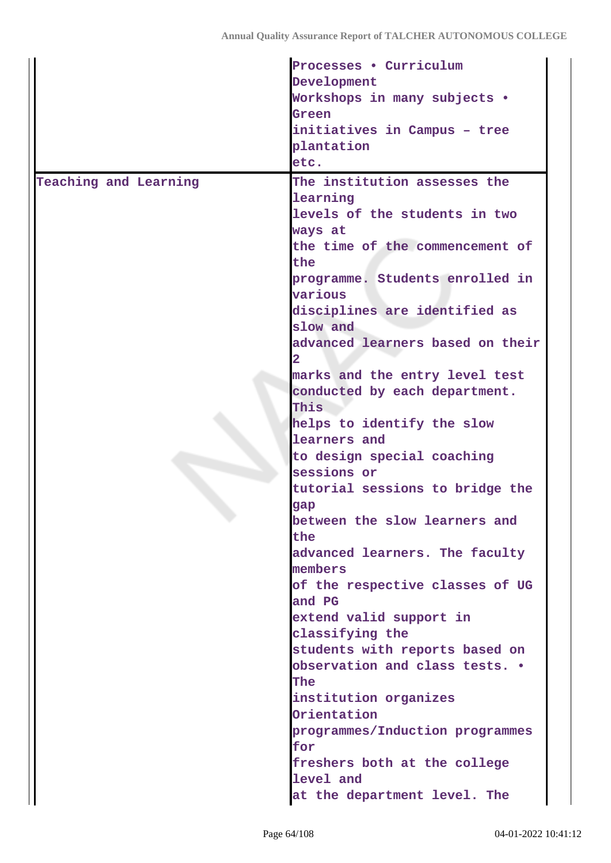|                       | Processes . Curriculum           |
|-----------------------|----------------------------------|
|                       | Development                      |
|                       | Workshops in many subjects .     |
|                       | Green                            |
|                       | initiatives in Campus - tree     |
|                       | plantation                       |
|                       | etc.                             |
| Teaching and Learning | The institution assesses the     |
|                       | learning                         |
|                       | levels of the students in two    |
|                       | ways at                          |
|                       | the time of the commencement of  |
|                       | the                              |
|                       | programme. Students enrolled in  |
|                       | various                          |
|                       | disciplines are identified as    |
|                       | slow and                         |
|                       | advanced learners based on their |
|                       |                                  |
|                       | marks and the entry level test   |
|                       | conducted by each department.    |
|                       | This                             |
|                       | helps to identify the slow       |
|                       | learners and                     |
|                       | to design special coaching       |
|                       | sessions or                      |
|                       | tutorial sessions to bridge the  |
|                       | gap                              |
|                       | between the slow learners and    |
|                       | the                              |
|                       | advanced learners. The faculty   |
|                       | members                          |
|                       | of the respective classes of UG  |
|                       | and PG                           |
|                       | extend valid support in          |
|                       | classifying the                  |
|                       | students with reports based on   |
|                       | observation and class tests. .   |
|                       | The                              |
|                       | institution organizes            |
|                       | Orientation                      |
|                       | programmes/Induction programmes  |
|                       | for                              |
|                       | freshers both at the college     |
|                       | level and                        |
|                       | at the department level. The     |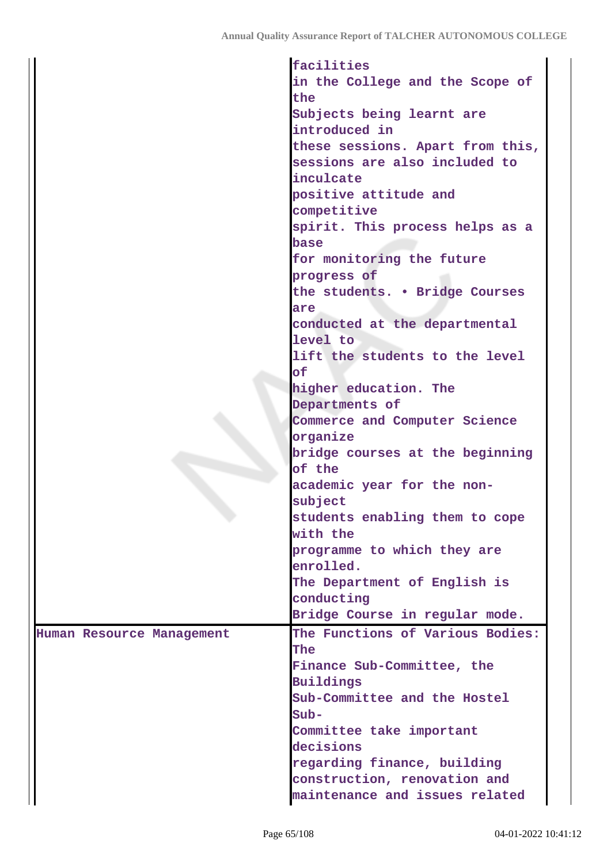|                           | facilities                       |
|---------------------------|----------------------------------|
|                           | in the College and the Scope of  |
|                           | the                              |
|                           | Subjects being learnt are        |
|                           | introduced in                    |
|                           | these sessions. Apart from this, |
|                           |                                  |
|                           | sessions are also included to    |
|                           | inculcate                        |
|                           | positive attitude and            |
|                           | competitive                      |
|                           | spirit. This process helps as a  |
|                           | base                             |
|                           | for monitoring the future        |
|                           | progress of                      |
|                           | the students. . Bridge Courses   |
|                           | are                              |
|                           | conducted at the departmental    |
|                           | level to                         |
|                           | lift the students to the level   |
|                           |                                  |
|                           | оf                               |
|                           | higher education. The            |
|                           | Departments of                   |
|                           | Commerce and Computer Science    |
|                           | organize                         |
|                           | bridge courses at the beginning  |
|                           | of the                           |
|                           | academic year for the non-       |
|                           | subject                          |
|                           | students enabling them to cope   |
|                           | with the                         |
|                           | programme to which they are      |
|                           | enrolled.                        |
|                           | The Department of English is     |
|                           |                                  |
|                           | conducting                       |
|                           | Bridge Course in regular mode.   |
| Human Resource Management | The Functions of Various Bodies: |
|                           | The                              |
|                           | Finance Sub-Committee, the       |
|                           | Buildings                        |
|                           | Sub-Committee and the Hostel     |
|                           | $Sub-$                           |
|                           | Committee take important         |
|                           | decisions                        |
|                           | regarding finance, building      |
|                           | construction, renovation and     |
|                           | maintenance and issues related   |
|                           |                                  |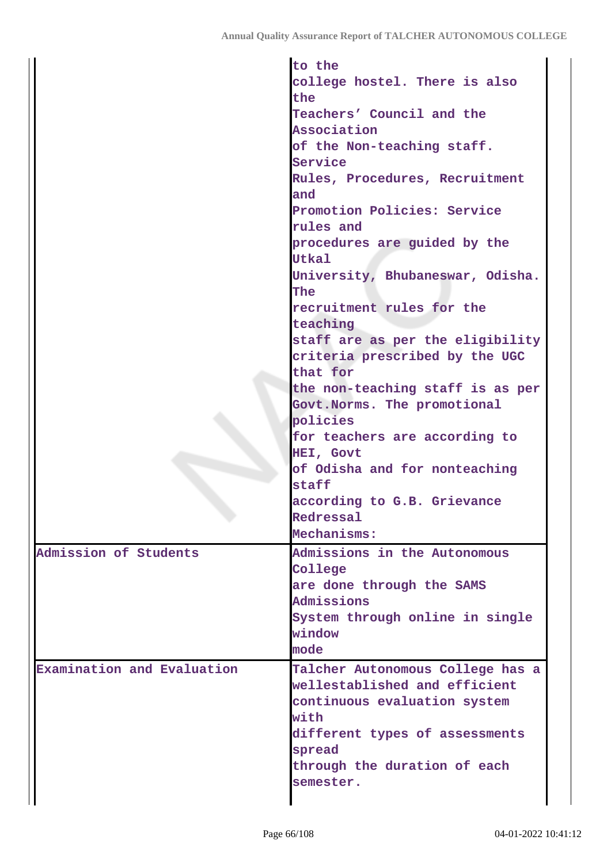|                            | to the                                   |
|----------------------------|------------------------------------------|
|                            | college hostel. There is also            |
|                            | the                                      |
|                            | Teachers' Council and the                |
|                            | Association                              |
|                            | of the Non-teaching staff.               |
|                            | Service                                  |
|                            | Rules, Procedures, Recruitment           |
|                            | and                                      |
|                            | Promotion Policies: Service<br>rules and |
|                            | procedures are guided by the             |
|                            | <b>Utkal</b>                             |
|                            | University, Bhubaneswar, Odisha.         |
|                            | The                                      |
|                            | recruitment rules for the                |
|                            | teaching                                 |
|                            | staff are as per the eligibility         |
|                            | criteria prescribed by the UGC           |
|                            | that for                                 |
|                            |                                          |
|                            | the non-teaching staff is as per         |
|                            | Govt. Norms. The promotional             |
|                            | policies                                 |
|                            | for teachers are according to            |
|                            | HEI, Govt                                |
|                            | of Odisha and for nonteaching            |
|                            | staff                                    |
|                            | according to G.B. Grievance              |
|                            | Redressal                                |
|                            | Mechanisms:                              |
| Admission of Students      | Admissions in the Autonomous             |
|                            | College                                  |
|                            | are done through the SAMS                |
|                            | Admissions                               |
|                            | System through online in single          |
|                            | window                                   |
|                            | mode                                     |
| Examination and Evaluation | Talcher Autonomous College has a         |
|                            | wellestablished and efficient            |
|                            |                                          |
|                            | continuous evaluation system             |
|                            | with                                     |
|                            | different types of assessments           |
|                            | spread                                   |
|                            | through the duration of each             |
|                            | semester.                                |
|                            |                                          |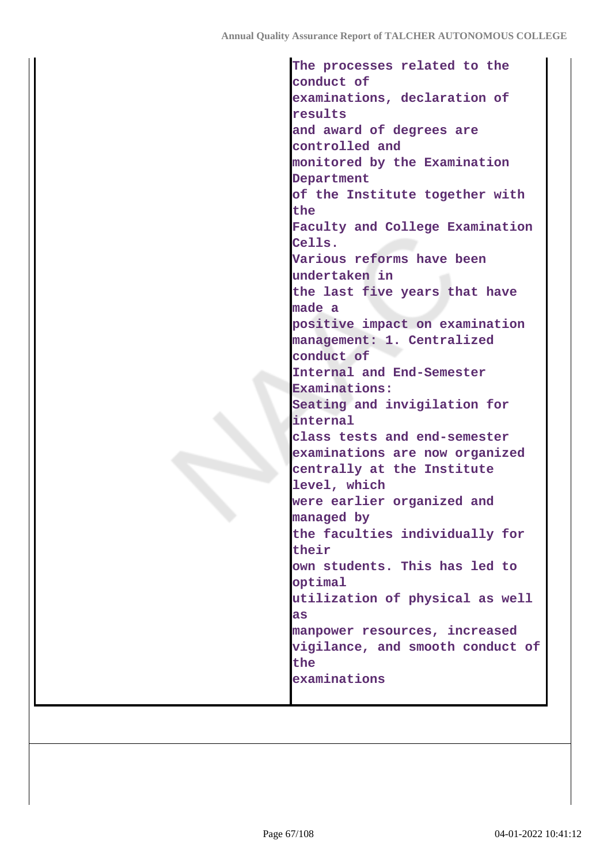**The processes related to the conduct of examinations, declaration of results and award of degrees are controlled and monitored by the Examination Department of the Institute together with the Faculty and College Examination Cells. Various reforms have been undertaken in the last five years that have made a positive impact on examination management: 1. Centralized conduct of Internal and End-Semester Examinations: Seating and invigilation for internal class tests and end-semester examinations are now organized centrally at the Institute level, which were earlier organized and managed by the faculties individually for their own students. This has led to optimal utilization of physical as well as manpower resources, increased vigilance, and smooth conduct of the examinations**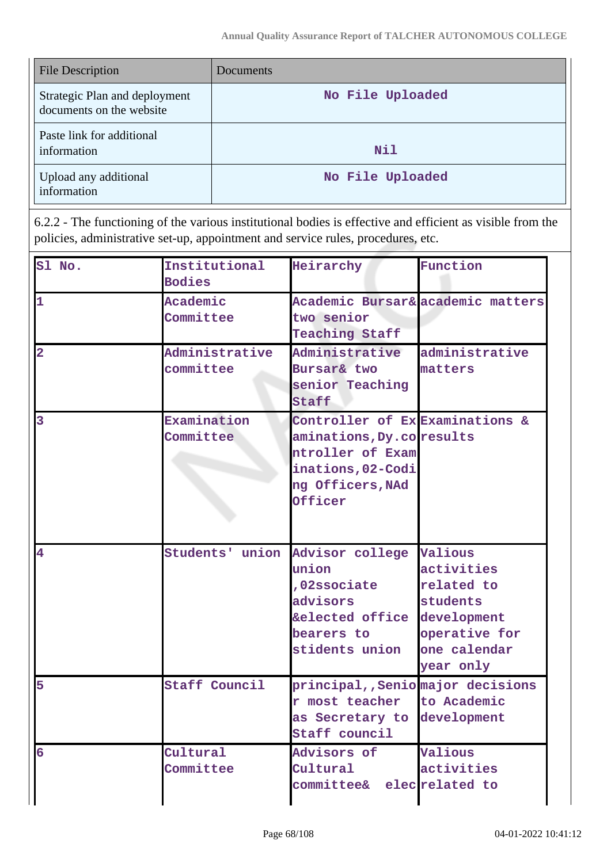| <b>File Description</b>                                   | Documents        |
|-----------------------------------------------------------|------------------|
| Strategic Plan and deployment<br>documents on the website | No File Uploaded |
| Paste link for additional<br>information                  | Nil              |
| Upload any additional<br>information                      | No File Uploaded |

6.2.2 - The functioning of the various institutional bodies is effective and efficient as visible from the policies, administrative set-up, appointment and service rules, procedures, etc.

| Sl No.         | Institutional<br><b>Bodies</b> | Heirarchy                                                                                                                           | Function                                                                           |
|----------------|--------------------------------|-------------------------------------------------------------------------------------------------------------------------------------|------------------------------------------------------------------------------------|
| 1              | Academic<br>Committee          | two senior<br><b>Teaching Staff</b>                                                                                                 | Academic Bursar& academic matters                                                  |
| $\overline{2}$ | Administrative<br>committee    | Administrative<br>Bursar& two<br>senior Teaching<br>Staff                                                                           | administrative<br>matters                                                          |
| 3              | Examination<br>Committee       | Controller of Ex Examinations &<br>aminations, Dy.coresults<br>ntroller of Exam<br>inations, 02-Codi<br>ng Officers, NAd<br>Officer |                                                                                    |
| $\overline{4}$ | Students' union                | Advisor college Valious<br>union<br>,02ssociate<br>advisors<br>&elected office development<br>bearers to<br>stidents union          | activities<br>related to<br>students<br>operative for<br>one calendar<br>year only |
| 5              | Staff Council                  | principal,, Senio major decisions<br>r most teacher<br>as Secretary to development<br>Staff council                                 | to Academic                                                                        |
| 6              | Cultural<br>Committee          | Advisors of<br>Cultural<br>committee&                                                                                               | Valious<br>activities<br>elecrelated to                                            |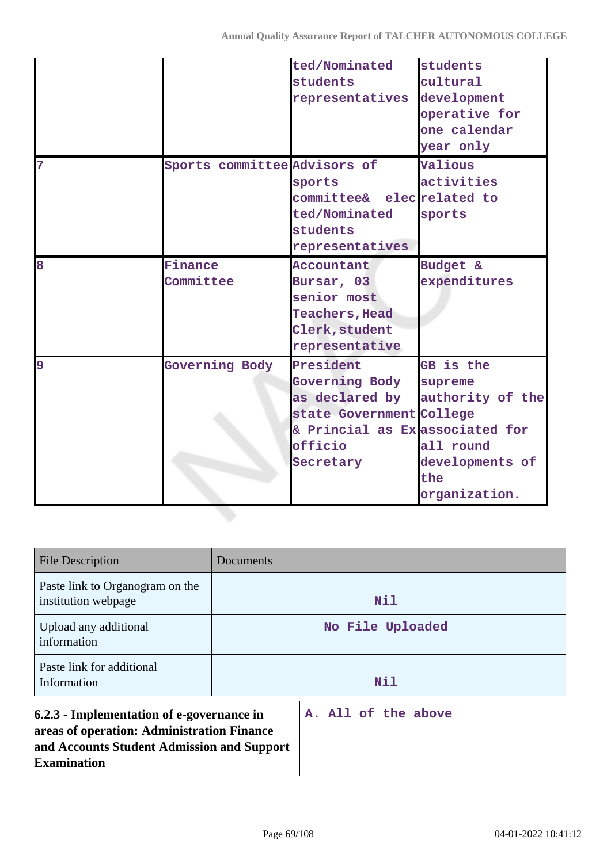| $\overline{7}$                                                                                                                                              | Sports committee Advisors of |                                                                                                      | ted/Nominated<br>students<br>representatives<br>sports<br>committee& elec <i>related</i> to<br>ted/Nominated<br>students<br>representatives | students<br>cultural<br>development<br>operative for<br>one calendar<br>year only<br>Valious<br>activities<br>sports |
|-------------------------------------------------------------------------------------------------------------------------------------------------------------|------------------------------|------------------------------------------------------------------------------------------------------|---------------------------------------------------------------------------------------------------------------------------------------------|----------------------------------------------------------------------------------------------------------------------|
| 8<br>Finance<br>Committee                                                                                                                                   |                              | Accountant<br>Bursar, 03<br>senior most<br><b>Teachers, Head</b><br>Clerk, student<br>representative | Budget &<br>expenditures                                                                                                                    |                                                                                                                      |
| 9                                                                                                                                                           | <b>Governing Body</b>        |                                                                                                      | President<br><b>Governing Body</b><br>as declared by<br>state Government College<br>& Princial as Exessociated for<br>officio<br>Secretary  | GB is the<br>supreme<br>authority of the<br>all round<br>developments of<br>the<br>organization.                     |
| <b>File Description</b>                                                                                                                                     |                              | Documents                                                                                            |                                                                                                                                             |                                                                                                                      |
| Paste link to Organogram on the<br>institution webpage                                                                                                      |                              | Nil                                                                                                  |                                                                                                                                             |                                                                                                                      |
| Upload any additional<br>information                                                                                                                        |                              | No File Uploaded                                                                                     |                                                                                                                                             |                                                                                                                      |
| Paste link for additional<br>Information                                                                                                                    |                              | Nil                                                                                                  |                                                                                                                                             |                                                                                                                      |
| 6.2.3 - Implementation of e-governance in<br>areas of operation: Administration Finance<br>and Accounts Student Admission and Support<br><b>Examination</b> |                              | A. All of the above                                                                                  |                                                                                                                                             |                                                                                                                      |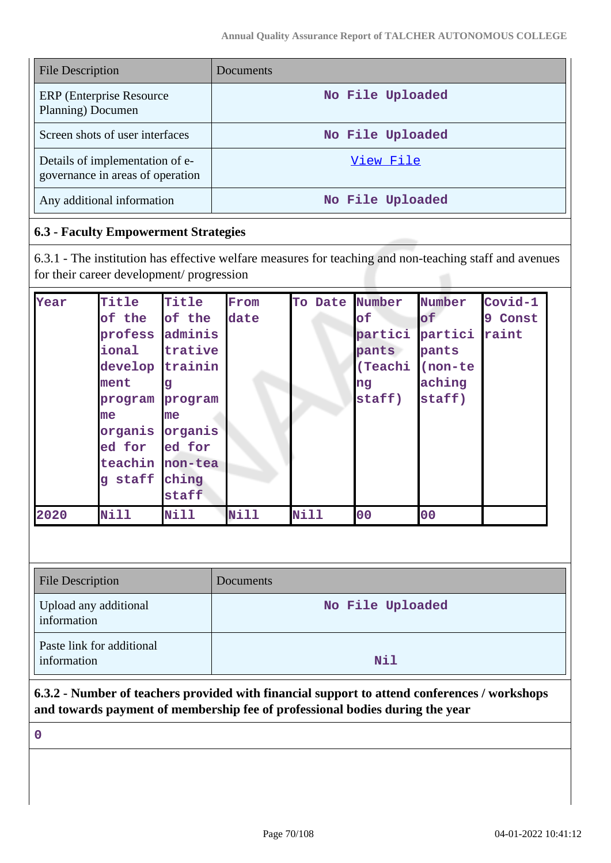| <b>File Description</b>                                             | Documents        |
|---------------------------------------------------------------------|------------------|
| <b>ERP</b> (Enterprise Resource)<br>Planning) Documen               | No File Uploaded |
| Screen shots of user interfaces                                     | No File Uploaded |
| Details of implementation of e-<br>governance in areas of operation | View File        |
| Any additional information                                          | No File Uploaded |

# **6.3 - Faculty Empowerment Strategies**

6.3.1 - The institution has effective welfare measures for teaching and non-teaching staff and avenues for their career development/ progression

| Year | Title           | Title       | From | To Date     | Number    | Number  | Covid-1 |
|------|-----------------|-------------|------|-------------|-----------|---------|---------|
|      | of the          | of the      | date |             | $\circ$ £ | of      | 9 Const |
|      | profess         | adminis     |      |             | partici   | partici | raint   |
|      | ional           | trative     |      |             | pants     | pants   |         |
|      | develop         | trainin     |      |             | (Teachi   | (non-te |         |
|      | ment            | g           |      |             | ng        | aching  |         |
|      | program         | program     |      |             | staff)    | staff)  |         |
|      | me              | me          |      |             |           |         |         |
|      | organis         | organis     |      |             |           |         |         |
|      | ed for          | ed for      |      |             |           |         |         |
|      | teachin non-tea |             |      |             |           |         |         |
|      | staff<br>q      | ching       |      |             |           |         |         |
|      |                 | staff       |      |             |           |         |         |
| 2020 | <b>Nill</b>     | <b>Nill</b> | Nill | <b>Nill</b> | 00        | 00      |         |

| <b>File Description</b>                  | Documents        |
|------------------------------------------|------------------|
| Upload any additional<br>information     | No File Uploaded |
| Paste link for additional<br>information | Nil              |

**6.3.2 - Number of teachers provided with financial support to attend conferences / workshops and towards payment of membership fee of professional bodies during the year**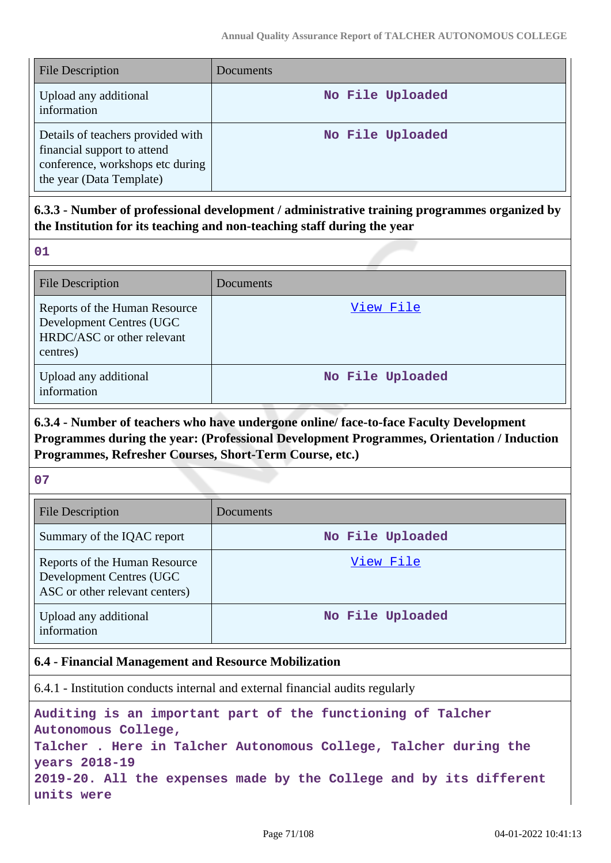| <b>File Description</b>                                                                                                          | <b>Documents</b> |
|----------------------------------------------------------------------------------------------------------------------------------|------------------|
| Upload any additional<br>information                                                                                             | No File Uploaded |
| Details of teachers provided with<br>financial support to attend<br>conference, workshops etc during<br>the year (Data Template) | No File Uploaded |

# **6.3.3 - Number of professional development / administrative training programmes organized by the Institution for its teaching and non-teaching staff during the year**

**01**

| <b>File Description</b>                                                                             | Documents        |
|-----------------------------------------------------------------------------------------------------|------------------|
| Reports of the Human Resource<br>Development Centres (UGC<br>HRDC/ASC or other relevant<br>centres) | View File        |
| Upload any additional<br>information                                                                | No File Uploaded |

# **6.3.4 - Number of teachers who have undergone online/ face-to-face Faculty Development Programmes during the year: (Professional Development Programmes, Orientation / Induction Programmes, Refresher Courses, Short-Term Course, etc.)**

**07**

| <b>File Description</b>                                                                     | Documents        |
|---------------------------------------------------------------------------------------------|------------------|
| Summary of the IQAC report                                                                  | No File Uploaded |
| Reports of the Human Resource<br>Development Centres (UGC<br>ASC or other relevant centers) | View File        |
| Upload any additional<br>information                                                        | No File Uploaded |

### **6.4 - Financial Management and Resource Mobilization**

6.4.1 - Institution conducts internal and external financial audits regularly

**Auditing is an important part of the functioning of Talcher Autonomous College, Talcher . Here in Talcher Autonomous College, Talcher during the years 2018-19 2019-20. All the expenses made by the College and by its different units were**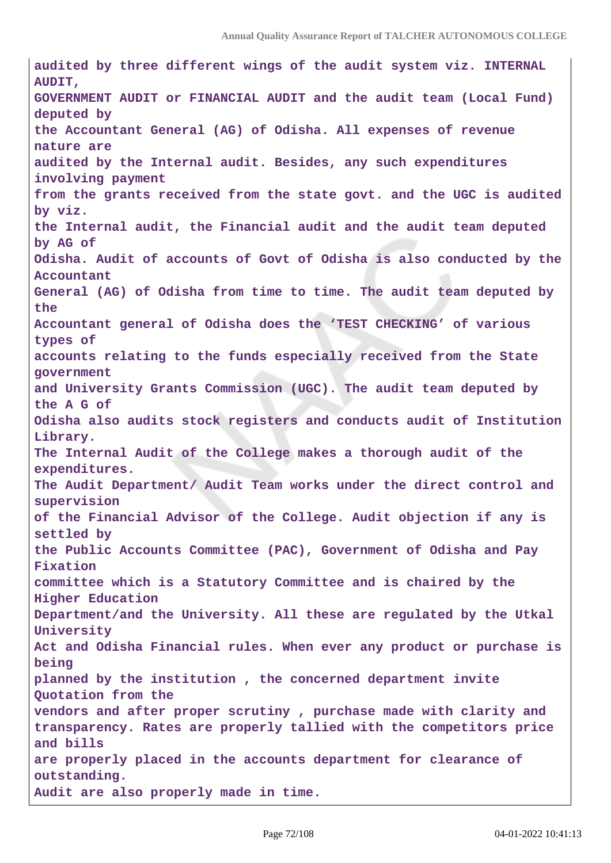**audited by three different wings of the audit system viz. INTERNAL AUDIT, GOVERNMENT AUDIT or FINANCIAL AUDIT and the audit team (Local Fund) deputed by the Accountant General (AG) of Odisha. All expenses of revenue nature are audited by the Internal audit. Besides, any such expenditures involving payment from the grants received from the state govt. and the UGC is audited by viz. the Internal audit, the Financial audit and the audit team deputed by AG of Odisha. Audit of accounts of Govt of Odisha is also conducted by the Accountant General (AG) of Odisha from time to time. The audit team deputed by the Accountant general of Odisha does the 'TEST CHECKING' of various types of accounts relating to the funds especially received from the State government and University Grants Commission (UGC). The audit team deputed by the A G of Odisha also audits stock registers and conducts audit of Institution Library. The Internal Audit of the College makes a thorough audit of the expenditures. The Audit Department/ Audit Team works under the direct control and supervision of the Financial Advisor of the College. Audit objection if any is settled by the Public Accounts Committee (PAC), Government of Odisha and Pay Fixation committee which is a Statutory Committee and is chaired by the Higher Education Department/and the University. All these are regulated by the Utkal University Act and Odisha Financial rules. When ever any product or purchase is being planned by the institution , the concerned department invite Quotation from the vendors and after proper scrutiny , purchase made with clarity and transparency. Rates are properly tallied with the competitors price and bills are properly placed in the accounts department for clearance of outstanding. Audit are also properly made in time.**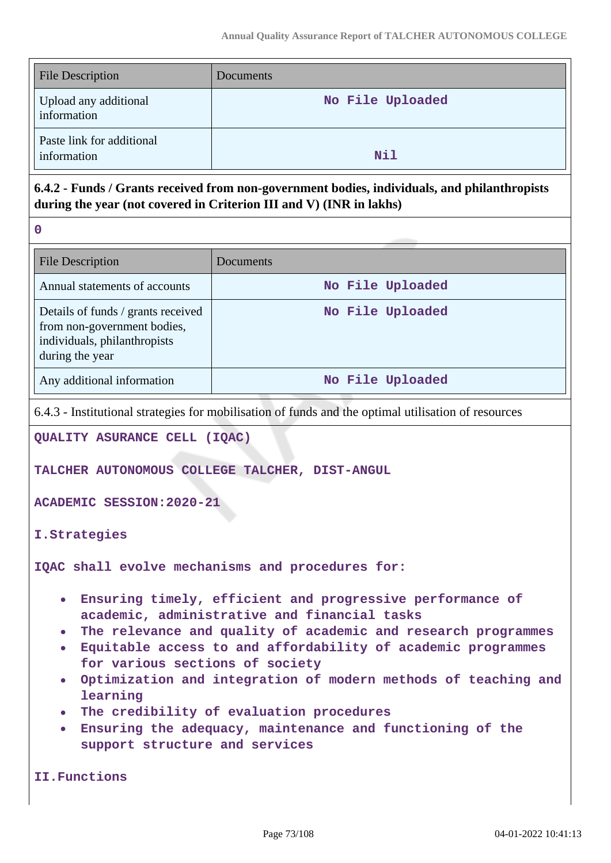| <b>File Description</b>                  | <b>Documents</b> |
|------------------------------------------|------------------|
| Upload any additional<br>information     | No File Uploaded |
| Paste link for additional<br>information | Nil              |

# **6.4.2 - Funds / Grants received from non-government bodies, individuals, and philanthropists during the year (not covered in Criterion III and V) (INR in lakhs)**

| P.       |  |
|----------|--|
| ı        |  |
| ۰.<br>۰. |  |

| <b>File Description</b>                                                                                              | Documents        |
|----------------------------------------------------------------------------------------------------------------------|------------------|
| Annual statements of accounts                                                                                        | No File Uploaded |
| Details of funds / grants received<br>from non-government bodies,<br>individuals, philanthropists<br>during the year | No File Uploaded |
| Any additional information                                                                                           | No File Uploaded |

6.4.3 - Institutional strategies for mobilisation of funds and the optimal utilisation of resources

**QUALITY ASURANCE CELL (IQAC)** 

**TALCHER AUTONOMOUS COLLEGE TALCHER, DIST-ANGUL**

**ACADEMIC SESSION:2020-21**

**I.Strategies**

**IQAC shall evolve mechanisms and procedures for:**

- **Ensuring timely, efficient and progressive performance of academic, administrative and financial tasks**
- **The relevance and quality of academic and research programmes**
- **Equitable access to and affordability of academic programmes for various sections of society**
- **Optimization and integration of modern methods of teaching and learning**
- **The credibility of evaluation procedures**
- **Ensuring the adequacy, maintenance and functioning of the support structure and services**

**II.Functions**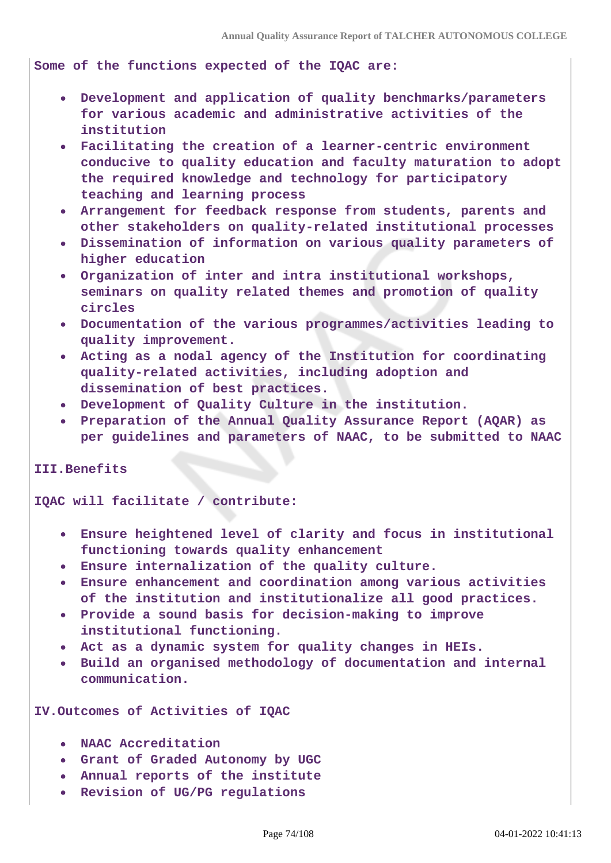**Some of the functions expected of the IQAC are:**

- **Development and application of quality benchmarks/parameters for various academic and administrative activities of the institution**
- **Facilitating the creation of a learner-centric environment conducive to quality education and faculty maturation to adopt the required knowledge and technology for participatory teaching and learning process**
- **Arrangement for feedback response from students, parents and other stakeholders on quality-related institutional processes**
- **Dissemination of information on various quality parameters of higher education**
- **Organization of inter and intra institutional workshops, seminars on quality related themes and promotion of quality circles**
- **Documentation of the various programmes/activities leading to quality improvement.**
- **Acting as a nodal agency of the Institution for coordinating quality-related activities, including adoption and dissemination of best practices.**
- **Development of Quality Culture in the institution.**
- **Preparation of the Annual Quality Assurance Report (AQAR) as per guidelines and parameters of NAAC, to be submitted to NAAC**

**III.Benefits**

**IQAC will facilitate / contribute:**

- **Ensure heightened level of clarity and focus in institutional functioning towards quality enhancement**
- **Ensure internalization of the quality culture.**
- **Ensure enhancement and coordination among various activities**  $\bullet$ **of the institution and institutionalize all good practices.**
- **Provide a sound basis for decision-making to improve institutional functioning.**
- **Act as a dynamic system for quality changes in HEIs.**
- **Build an organised methodology of documentation and internal communication.**

**IV.Outcomes of Activities of IQAC** 

- **NAAC Accreditation**
- **Grant of Graded Autonomy by UGC**
- **Annual reports of the institute**
- **Revision of UG/PG regulations**  $\bullet$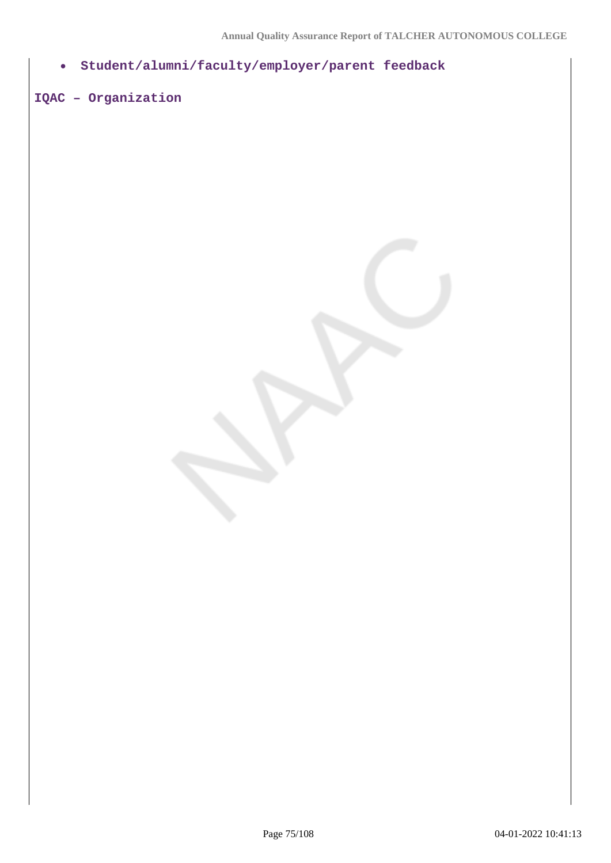**Student/alumni/faculty/employer/parent feedback**  $\bullet$ 

# **IQAC – Organization**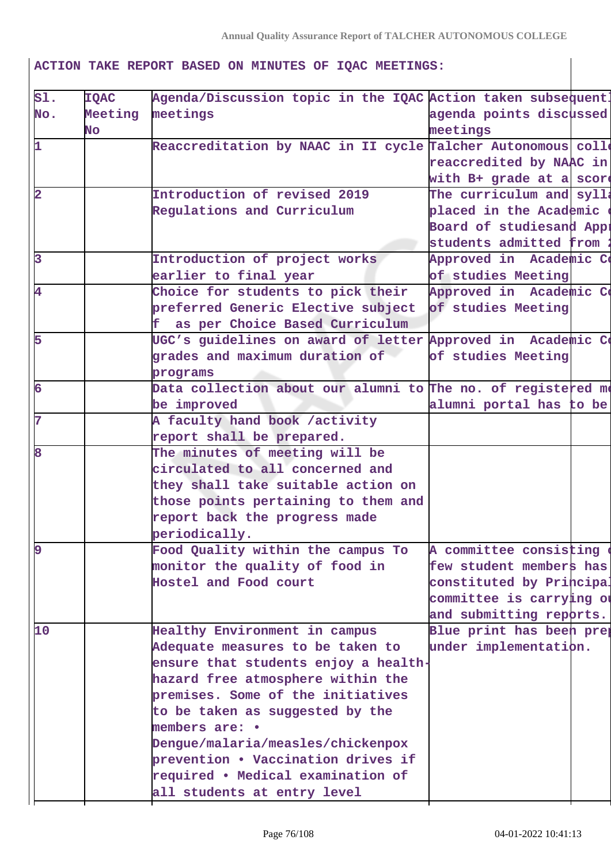**ACTION TAKE REPORT BASED ON MINUTES OF IQAC MEETINGS:**

| s1.                     | <b>IQAC</b> | Agenda/Discussion topic in the IQAC Action taken subsequent! |                          |  |
|-------------------------|-------------|--------------------------------------------------------------|--------------------------|--|
| No.                     |             | Meeting meetings                                             | agenda points discussed  |  |
|                         | No          |                                                              | meetings                 |  |
| 1                       |             | Reaccreditation by NAAC in II cycle Talcher Autonomous colle |                          |  |
|                         |             |                                                              | reaccredited by NAAC in  |  |
|                         |             |                                                              | with B+ grade at a score |  |
| $\overline{\mathbf{2}}$ |             | Introduction of revised 2019                                 | The curriculum and sylla |  |
|                         |             | Regulations and Curriculum                                   | placed in the Academic   |  |
|                         |             |                                                              | Board of studiesand Appi |  |
|                         |             |                                                              | students admitted from   |  |
| $\overline{\mathbf{3}}$ |             | Introduction of project works                                | Approved in Academic Co  |  |
|                         |             | earlier to final year                                        | of studies Meeting       |  |
| 4                       |             | Choice for students to pick their                            | Approved in Academic Co  |  |
|                         |             | preferred Generic Elective subject                           | of studies Meeting       |  |
|                         |             | f as per Choice Based Curriculum                             |                          |  |
| 5                       |             | UGC's guidelines on award of letter Approved in Academic Co  |                          |  |
|                         |             | grades and maximum duration of                               | of studies Meeting       |  |
|                         |             | programs                                                     |                          |  |
| 6                       |             | Data collection about our alumni to The no. of registered me |                          |  |
|                         |             | be improved                                                  | alumni portal has to be  |  |
| 7                       |             | A faculty hand book /activity                                |                          |  |
|                         |             | report shall be prepared.                                    |                          |  |
| 8                       |             | The minutes of meeting will be                               |                          |  |
|                         |             | circulated to all concerned and                              |                          |  |
|                         |             | they shall take suitable action on                           |                          |  |
|                         |             | those points pertaining to them and                          |                          |  |
|                         |             | report back the progress made                                |                          |  |
|                         |             | periodically.                                                |                          |  |
|                         |             | Food Quality within the campus To                            | A committee consisting   |  |
|                         |             | monitor the quality of food in                               | few student members has  |  |
|                         |             | Hostel and Food court                                        | constituted by Principal |  |
|                         |             |                                                              | committee is carrying ou |  |
|                         |             |                                                              | and submitting reports.  |  |
| 10                      |             | Healthy Environment in campus                                | Blue print has been prej |  |
|                         |             | Adequate measures to be taken to                             | under implementation.    |  |
|                         |             | ensure that students enjoy a health-                         |                          |  |
|                         |             | hazard free atmosphere within the                            |                          |  |
|                         |             | premises. Some of the initiatives                            |                          |  |
|                         |             | to be taken as suggested by the                              |                          |  |
|                         |             | members are: •                                               |                          |  |
|                         |             | Dengue/malaria/measles/chickenpox                            |                          |  |
|                         |             | prevention . Vaccination drives if                           |                          |  |
|                         |             | required • Medical examination of                            |                          |  |
|                         |             | all students at entry level                                  |                          |  |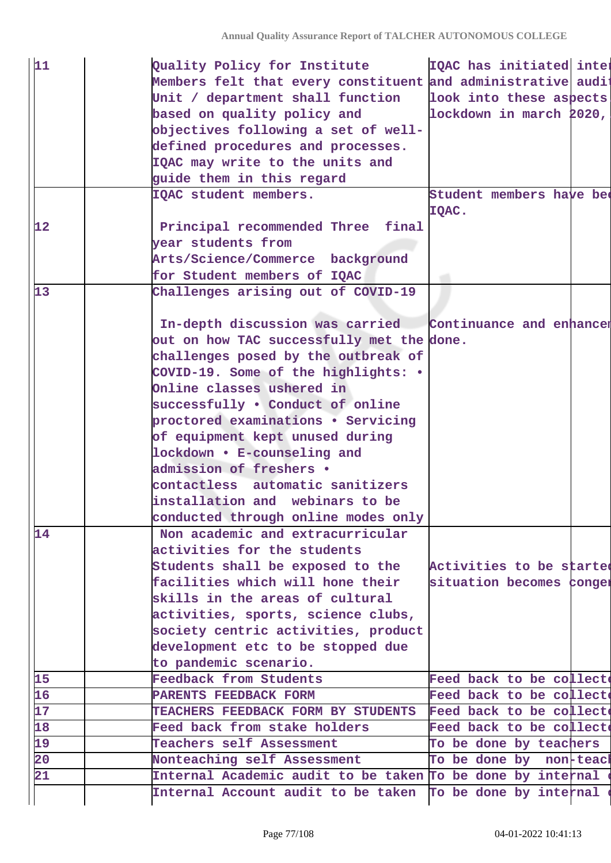| 11              | Quality Policy for Institute                                | IQAC has initiated inter          |
|-----------------|-------------------------------------------------------------|-----------------------------------|
|                 | Members felt that every constituent and administrative audi |                                   |
|                 | Unit / department shall function                            | look into these aspects           |
|                 | based on quality policy and                                 | lockdown in march 2020,           |
|                 | objectives following a set of well-                         |                                   |
|                 | defined procedures and processes.                           |                                   |
|                 | IQAC may write to the units and                             |                                   |
|                 | guide them in this regard                                   |                                   |
|                 | IQAC student members.                                       | Student members have bee<br>IQAC. |
| 12              | Principal recommended Three final                           |                                   |
|                 | year students from                                          |                                   |
|                 | Arts/Science/Commerce background                            |                                   |
|                 | for Student members of IQAC                                 |                                   |
| 13              | Challenges arising out of COVID-19                          |                                   |
|                 |                                                             |                                   |
|                 | In-depth discussion was carried                             | Continuance and enhancer          |
|                 | out on how TAC successfully met the done.                   |                                   |
|                 | challenges posed by the outbreak of                         |                                   |
|                 | COVID-19. Some of the highlights: .                         |                                   |
|                 | Online classes ushered in                                   |                                   |
|                 | successfully . Conduct of online                            |                                   |
|                 | proctored examinations . Servicing                          |                                   |
|                 | of equipment kept unused during                             |                                   |
|                 | lockdown • E-counseling and                                 |                                   |
|                 | admission of freshers .                                     |                                   |
|                 | contactless automatic sanitizers                            |                                   |
|                 | installation and webinars to be                             |                                   |
|                 | conducted through online modes only                         |                                   |
| 14              | Non academic and extracurricular                            |                                   |
|                 | activities for the students                                 |                                   |
|                 | Students shall be exposed to the                            | Activities to be started          |
|                 | facilities which will hone their                            | situation becomes conger          |
|                 | skills in the areas of cultural                             |                                   |
|                 | activities, sports, science clubs,                          |                                   |
|                 | society centric activities, product                         |                                   |
|                 | development etc to be stopped due                           |                                   |
|                 | to pandemic scenario.                                       |                                   |
| 15              | Feedback from Students                                      | Feed back to be collect           |
| $\overline{16}$ | PARENTS FEEDBACK FORM                                       | Feed back to be collect           |
| 17              | TEACHERS FEEDBACK FORM BY STUDENTS                          | Feed back to be collect           |
| 18              | Feed back from stake holders                                | Feed back to be collect           |
| 19              | Teachers self Assessment                                    | To be done by teachers            |
| $\overline{20}$ | Nonteaching self Assessment                                 | To be done by non-teacl           |
| $\overline{21}$ | Internal Academic audit to be taken To be done by internal  |                                   |
|                 |                                                             |                                   |
|                 | Internal Account audit to be taken To be done by internal   |                                   |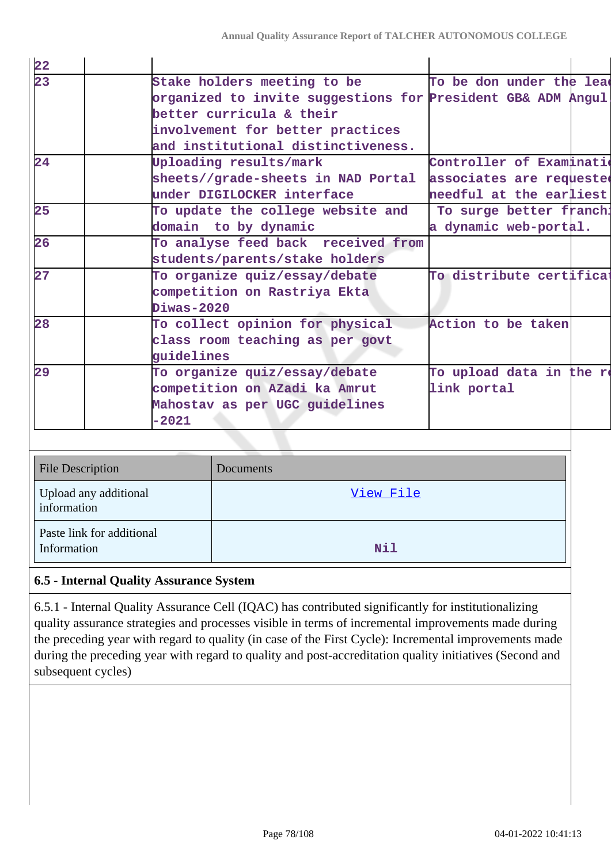| $\frac{22}{23}$ | Stake holders meeting to be                                 | To be don under the lead |
|-----------------|-------------------------------------------------------------|--------------------------|
|                 | organized to invite suggestions for President GB& ADM Angul |                          |
|                 | better curricula & their                                    |                          |
|                 | involvement for better practices                            |                          |
|                 | and institutional distinctiveness.                          |                          |
| 24              | Uploading results/mark                                      | Controller of Examinatio |
|                 | sheets//grade-sheets in NAD Portal associates are requested |                          |
|                 | under DIGILOCKER interface                                  | needful at the earliest  |
| 25              | To update the college website and                           | To surge better franch:  |
|                 | domain to by dynamic                                        | a dynamic web-portal.    |
| 26              | To analyse feed back received from                          |                          |
|                 | students/parents/stake holders                              |                          |
| 27              | To organize quiz/essay/debate                               | To distribute certificat |
|                 | competition on Rastriya Ekta                                |                          |
|                 | Diwas-2020                                                  |                          |
| 28              | To collect opinion for physical                             | Action to be taken       |
|                 | class room teaching as per govt                             |                          |
|                 | guidelines                                                  |                          |
| 29              | To organize quiz/essay/debate                               | To upload data in the re |
|                 | competition on AZadi ka Amrut                               | link portal              |
|                 | Mahostav as per UGC guidelines                              |                          |
|                 | $-2021$                                                     |                          |

| <b>File Description</b>                  | Documents  |
|------------------------------------------|------------|
| Upload any additional<br>information     | View File  |
| Paste link for additional<br>Information | <b>Nil</b> |

# **6.5 - Internal Quality Assurance System**

6.5.1 - Internal Quality Assurance Cell (IQAC) has contributed significantly for institutionalizing quality assurance strategies and processes visible in terms of incremental improvements made during the preceding year with regard to quality (in case of the First Cycle): Incremental improvements made during the preceding year with regard to quality and post-accreditation quality initiatives (Second and subsequent cycles)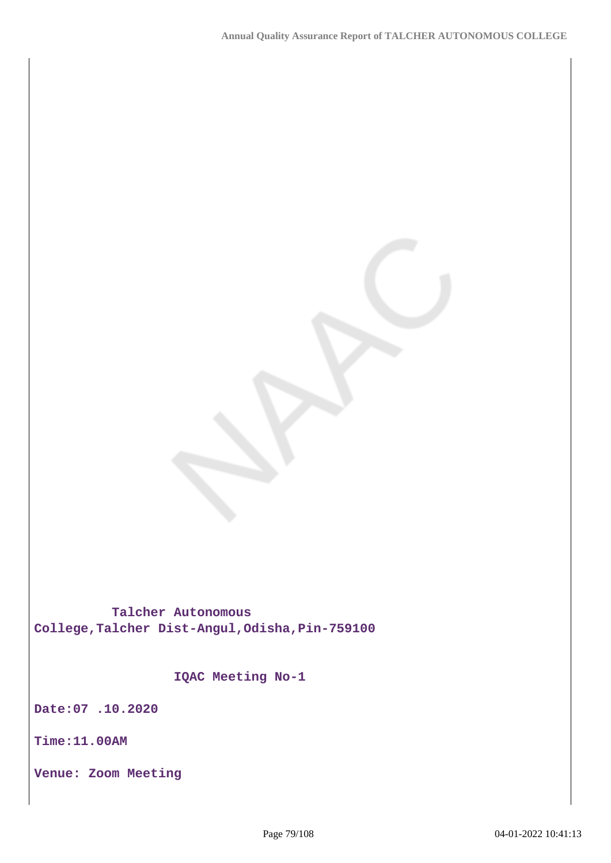**Talcher Autonomous College,Talcher Dist-Angul,Odisha,Pin-759100**

 **IQAC Meeting No-1**

**Date:07 .10.2020**

**Time:11.00AM**

**Venue: Zoom Meeting**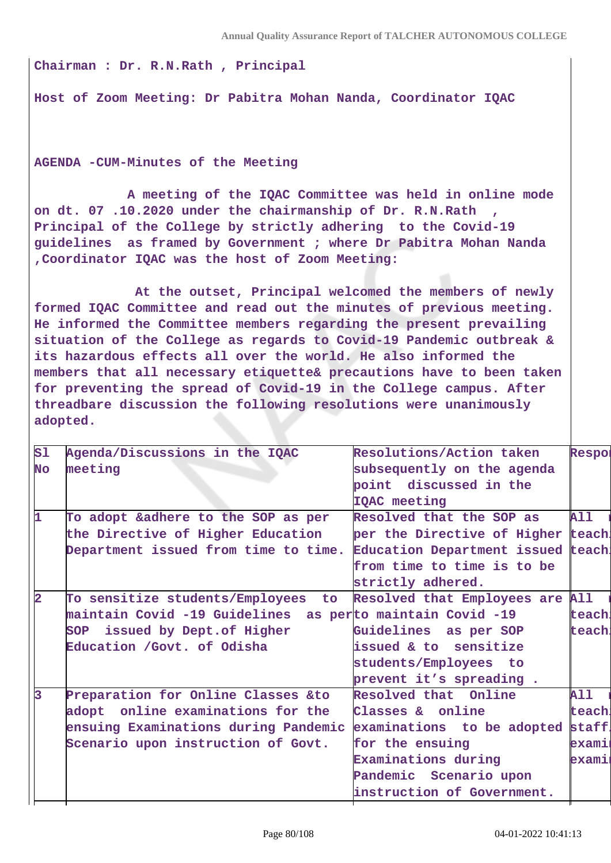**Chairman : Dr. R.N.Rath , Principal**

**Host of Zoom Meeting: Dr Pabitra Mohan Nanda, Coordinator IQAC**

**AGENDA -CUM-Minutes of the Meeting** 

 **A meeting of the IQAC Committee was held in online mode on dt. 07 .10.2020 under the chairmanship of Dr. R.N.Rath , Principal of the College by strictly adhering to the Covid-19 guidelines as framed by Government ; where Dr Pabitra Mohan Nanda ,Coordinator IQAC was the host of Zoom Meeting:**

 **At the outset, Principal welcomed the members of newly formed IQAC Committee and read out the minutes of previous meeting. He informed the Committee members regarding the present prevailing situation of the College as regards to Covid-19 Pandemic outbreak & its hazardous effects all over the world. He also informed the members that all necessary etiquette& precautions have to been taken for preventing the spread of Covid-19 in the College campus. After threadbare discussion the following resolutions were unanimously adopted.**

| S1 | Agenda/Discussions in the IQAC                                        | Resolutions/Action taken           | Respoi     |
|----|-----------------------------------------------------------------------|------------------------------------|------------|
| No | meeting                                                               | subsequently on the agenda         |            |
|    |                                                                       | point discussed in the             |            |
|    |                                                                       | IQAC meeting                       |            |
| 1  | To adopt &adhere to the SOP as per                                    | Resolved that the SOP as           | <b>All</b> |
|    | the Directive of Higher Education                                     | per the Directive of Higher teach. |            |
|    | Department issued from time to time.                                  | Education Department issued teach. |            |
|    |                                                                       | from time to time is to be         |            |
|    |                                                                       | strictly adhered.                  |            |
| 2  | To sensitize students/Employees<br>to                                 | Resolved that Employees are All    |            |
|    | maintain Covid -19 Guidelines as perto maintain Covid -19             |                                    | teach.     |
|    | SOP issued by Dept. of Higher                                         | Guidelines as per SOP              | teach!     |
|    | Education /Govt. of Odisha                                            | issued & to sensitize              |            |
|    |                                                                       | students/Employees to              |            |
|    |                                                                       | prevent it's spreading.            |            |
| l3 | Preparation for Online Classes &to                                    | Resolved that Online               | <b>All</b> |
|    | adopt online examinations for the                                     | Classes & online                   | teach.     |
|    | ensuing Examinations during Pandemic examinations to be adopted staff |                                    |            |
|    | Scenario upon instruction of Govt.                                    | for the ensuing                    | exami      |
|    |                                                                       | Examinations during                | examiı     |
|    |                                                                       | Pandemic Scenario upon             |            |
|    |                                                                       | instruction of Government.         |            |
|    |                                                                       |                                    |            |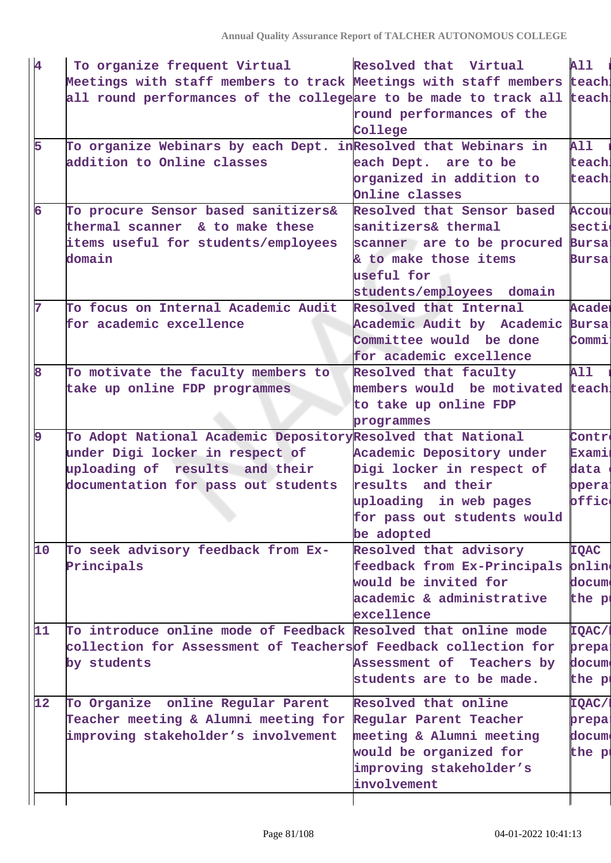| 4  | To organize frequent Virtual                                            | Resolved that Virtual             | <b>All</b>                                                                       |
|----|-------------------------------------------------------------------------|-----------------------------------|----------------------------------------------------------------------------------|
|    | Meetings with staff members to track Meetings with staff members teach. |                                   |                                                                                  |
|    | all round performances of the collegeare to be made to track all teach. |                                   |                                                                                  |
|    |                                                                         | round performances of the         |                                                                                  |
|    |                                                                         | College                           |                                                                                  |
| 5  | To organize Webinars by each Dept. in Resolved that Webinars in         |                                   | <b>All</b>                                                                       |
|    | addition to Online classes                                              | each Dept. are to be              | teach!                                                                           |
|    |                                                                         | organized in addition to          | teach.                                                                           |
|    |                                                                         | Online classes                    |                                                                                  |
| 6  | To procure Sensor based sanitizers&                                     | Resolved that Sensor based        | <b>Accoul</b>                                                                    |
|    | thermal scanner & to make these                                         | sanitizers& thermal               | secti                                                                            |
|    | items useful for students/employees                                     | scanner are to be procured Bursa: |                                                                                  |
|    | domain                                                                  | & to make those items             | <b>Bursai</b>                                                                    |
|    |                                                                         | useful for                        |                                                                                  |
|    |                                                                         | students/employees domain         |                                                                                  |
| 7  | To focus on Internal Academic Audit                                     | Resolved that Internal            | Acader                                                                           |
|    | for academic excellence                                                 | Academic Audit by Academic Bursa: |                                                                                  |
|    |                                                                         | Committee would be done           | Commi                                                                            |
|    |                                                                         | for academic excellence           |                                                                                  |
| 8  | To motivate the faculty members to                                      | Resolved that faculty             | <b>All</b>                                                                       |
|    | take up online FDP programmes                                           | members would be motivated teach. |                                                                                  |
|    |                                                                         | to take up online FDP             |                                                                                  |
|    |                                                                         | programmes                        |                                                                                  |
|    |                                                                         |                                   |                                                                                  |
| 9  | To Adopt National Academic DepositoryResolved that National             |                                   | Contre                                                                           |
|    | under Digi locker in respect of                                         | Academic Depository under         | <b>Exami</b>                                                                     |
|    | uploading of results and their                                          | Digi locker in respect of         | data                                                                             |
|    | documentation for pass out students                                     | results and their                 | opera <sup>1</sup>                                                               |
|    |                                                                         | uploading in web pages            | offic                                                                            |
|    |                                                                         | for pass out students would       |                                                                                  |
|    |                                                                         | be adopted                        |                                                                                  |
| 10 | To seek advisory feedback from Ex-                                      | Resolved that advisory            | <b>IQAC</b>                                                                      |
|    | Principals                                                              | feedback from Ex-Principals       | onlin                                                                            |
|    |                                                                         | would be invited for              |                                                                                  |
|    |                                                                         | academic & administrative         | docum<br>the pi                                                                  |
|    |                                                                         | excellence                        |                                                                                  |
| 11 | To introduce online mode of Feedback Resolved that online mode          |                                   |                                                                                  |
|    | collection for Assessment of Teachersof Feedback collection for         |                                   |                                                                                  |
|    | by students                                                             | Assessment of Teachers by         |                                                                                  |
|    |                                                                         | students are to be made.          |                                                                                  |
| 12 | To Organize online Regular Parent                                       | Resolved that online              |                                                                                  |
|    | Teacher meeting & Alumni meeting for                                    | Regular Parent Teacher            |                                                                                  |
|    | improving stakeholder's involvement                                     | meeting & Alumni meeting          |                                                                                  |
|    |                                                                         | would be organized for            |                                                                                  |
|    |                                                                         | improving stakeholder's           | IQAC/I<br>prepa:<br>docum<br>the p<br><b>TQAC/1</b><br>prepa:<br>docum<br>the pi |
|    |                                                                         | involvement                       |                                                                                  |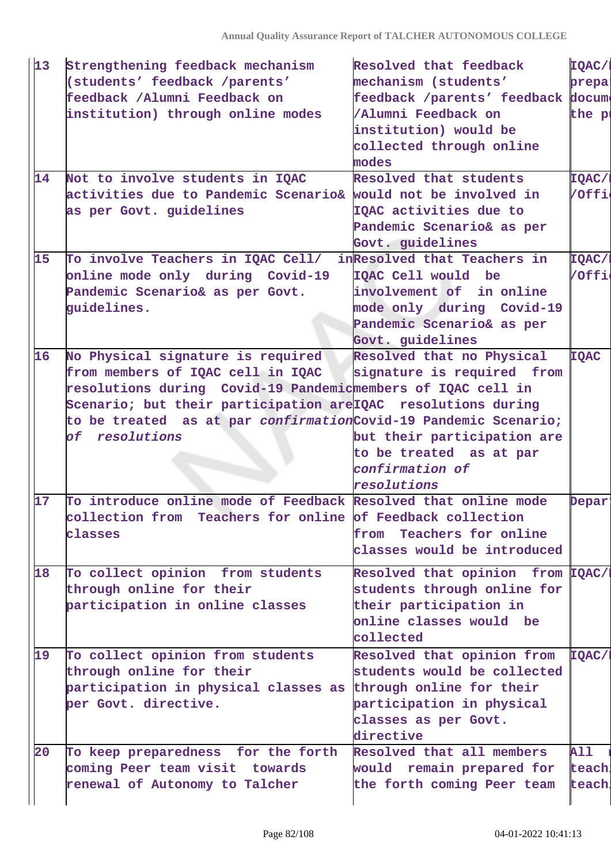| 13 | Strengthening feedback mechanism                                        | Resolved that feedback            | IQAC/1             |
|----|-------------------------------------------------------------------------|-----------------------------------|--------------------|
|    | (students' feedback /parents'                                           | mechanism (students'              | prepa:             |
|    | feedback / Alumni Feedback on                                           | feedback /parents' feedback docum |                    |
|    | institution) through online modes                                       | /Alumni Feedback on               | the pi             |
|    |                                                                         | institution) would be             |                    |
|    |                                                                         | collected through online          |                    |
|    |                                                                         | modes                             |                    |
| 14 | Not to involve students in IQAC                                         | Resolved that students            | IQAC/I             |
|    | activities due to Pandemic Scenario& would not be involved in           |                                   | /Offi              |
|    | as per Govt. guidelines                                                 | IQAC activities due to            |                    |
|    |                                                                         | Pandemic Scenario& as per         |                    |
|    |                                                                         | Govt. guidelines                  |                    |
| 15 | To involve Teachers in IQAC Cell/                                       | inResolved that Teachers in       | <b>TQAC/I</b>      |
|    | online mode only during Covid-19                                        | IQAC Cell would be                | /Offi              |
|    | Pandemic Scenario& as per Govt.                                         | involvement of in online          |                    |
|    | guidelines.                                                             | mode only during Covid-19         |                    |
|    |                                                                         | Pandemic Scenario& as per         |                    |
|    |                                                                         | Govt. guidelines                  |                    |
| 16 | No Physical signature is required                                       | Resolved that no Physical         | <b>IQAC</b>        |
|    | from members of IQAC cell in IQAC                                       | signature is required from        |                    |
|    | resolutions during Covid-19 Pandemicmembers of IQAC cell in             |                                   |                    |
|    | Scenario; but their participation are IQAC resolutions during           |                                   |                    |
|    | to be treated as at par <i>confirmation</i> Covid-19 Pandemic Scenario; |                                   |                    |
|    | of resolutions                                                          | but their participation are       |                    |
|    |                                                                         | to be treated as at par           |                    |
|    |                                                                         | confirmation of                   |                    |
|    |                                                                         | resolutions                       |                    |
| 17 | To introduce online mode of Feedback Resolved that online mode          |                                   | Depar <sup>®</sup> |
|    | collection from Teachers for online of Feedback collection              |                                   |                    |
|    | classes                                                                 | Teachers for online<br>from       |                    |
|    |                                                                         | classes would be introduced       |                    |
| 18 | To collect opinion from students                                        | Resolved that opinion from IQAC/I |                    |
|    | through online for their                                                | students through online for       |                    |
|    | participation in online classes                                         | their participation in            |                    |
|    |                                                                         | online classes would be           |                    |
|    |                                                                         | collected                         |                    |
| 19 | To collect opinion from students                                        | Resolved that opinion from        | <b>TQAC/I</b>      |
|    | through online for their                                                | students would be collected       |                    |
|    | participation in physical classes as through online for their           |                                   |                    |
|    | per Govt. directive.                                                    | participation in physical         |                    |
|    |                                                                         | classes as per Govt.              |                    |
|    |                                                                         | directive                         |                    |
| 20 | To keep preparedness for the forth                                      | Resolved that all members         | <b>All</b>         |
|    | coming Peer team visit towards                                          | would remain prepared for         | teach.             |
|    |                                                                         |                                   |                    |
|    | renewal of Autonomy to Talcher                                          | the forth coming Peer team        | teach.             |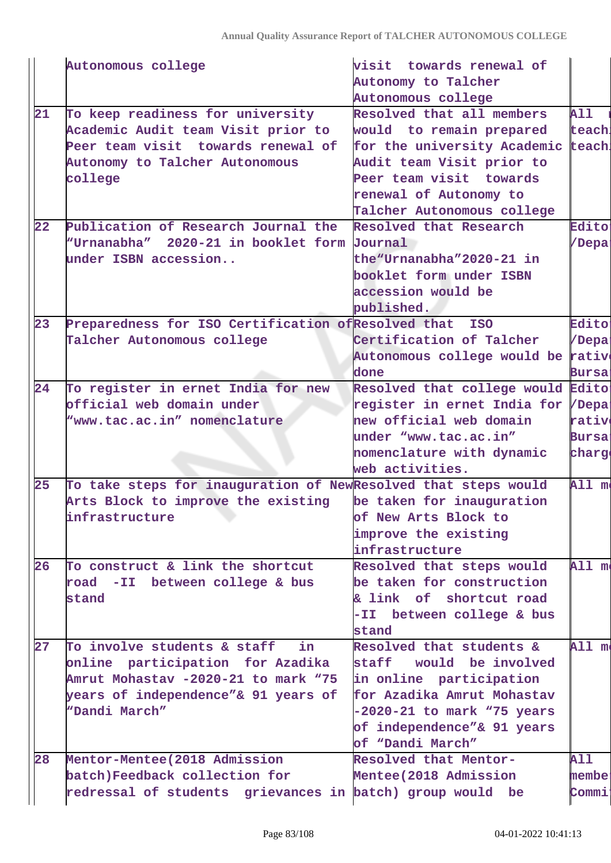|    | Autonomous college                                             | visit towards renewal of           |               |
|----|----------------------------------------------------------------|------------------------------------|---------------|
|    |                                                                | Autonomy to Talcher                |               |
|    |                                                                | Autonomous college                 |               |
| 21 | To keep readiness for university                               | Resolved that all members          | <b>All</b>    |
|    | Academic Audit team Visit prior to                             | would to remain prepared           | teach.        |
|    | Peer team visit towards renewal of                             | for the university Academic teach  |               |
|    | Autonomy to Talcher Autonomous                                 | Audit team Visit prior to          |               |
|    | college                                                        | Peer team visit towards            |               |
|    |                                                                | renewal of Autonomy to             |               |
|    |                                                                | Talcher Autonomous college         |               |
| 22 | Publication of Research Journal the                            | Resolved that Research             | <b>Edito:</b> |
|    | "Urnanabha" 2020-21 in booklet form Journal                    |                                    | /Depai        |
|    | under ISBN accession                                           | the "Urnanabha" 2020-21 in         |               |
|    |                                                                | booklet form under ISBN            |               |
|    |                                                                | accession would be                 |               |
|    |                                                                | published.                         |               |
| 23 | Preparedness for ISO Certification of Resolved that            | <b>ISO</b>                         | <b>Edito:</b> |
|    | Talcher Autonomous college                                     | Certification of Talcher           | /Depai        |
|    |                                                                | Autonomous college would be rative |               |
|    |                                                                | done                               | <b>Bursa:</b> |
| 24 | To register in ernet India for new                             | Resolved that college would        | Edito:        |
|    | official web domain under                                      | register in ernet India for /Depa: |               |
|    | "www.tac.ac.in" nomenclature                                   | new official web domain            | rativo        |
|    |                                                                | under "www.tac.ac.in"              | Bursa:        |
|    |                                                                | nomenclature with dynamic          | charge        |
|    |                                                                | web activities.                    |               |
| 25 | To take steps for inauguration of NewResolved that steps would |                                    | All me        |
|    | Arts Block to improve the existing                             | be taken for inauguration          |               |
|    | infrastructure                                                 | of New Arts Block to               |               |
|    |                                                                | improve the existing               |               |
|    |                                                                | infrastructure                     |               |
| 26 | To construct & link the shortcut                               | Resolved that steps would          | All me        |
|    | road -II between college & bus                                 | be taken for construction          |               |
|    | stand                                                          | & link of shortcut road            |               |
|    |                                                                | -II between college & bus          |               |
|    |                                                                | stand                              |               |
| 27 | To involve students & staff<br>in.                             | Resolved that students &           | All mo        |
|    | online participation for Azadika                               | staff would be involved            |               |
|    | Amrut Mohastav -2020-21 to mark "75                            | in online participation            |               |
|    | years of independence"& 91 years of                            | for Azadika Amrut Mohastav         |               |
|    | "Dandi March"                                                  | $-2020-21$ to mark "75 years       |               |
|    |                                                                | of independence"& 91 years         |               |
|    |                                                                | of "Dandi March"                   |               |
| 28 | Mentor-Mentee (2018 Admission                                  | Resolved that Mentor-              | <b>All</b>    |
|    | batch)Feedback collection for                                  | Mentee(2018 Admission              | membe:        |
|    | redressal of students grievances in batch) group would be      |                                    | Commi         |
|    |                                                                |                                    |               |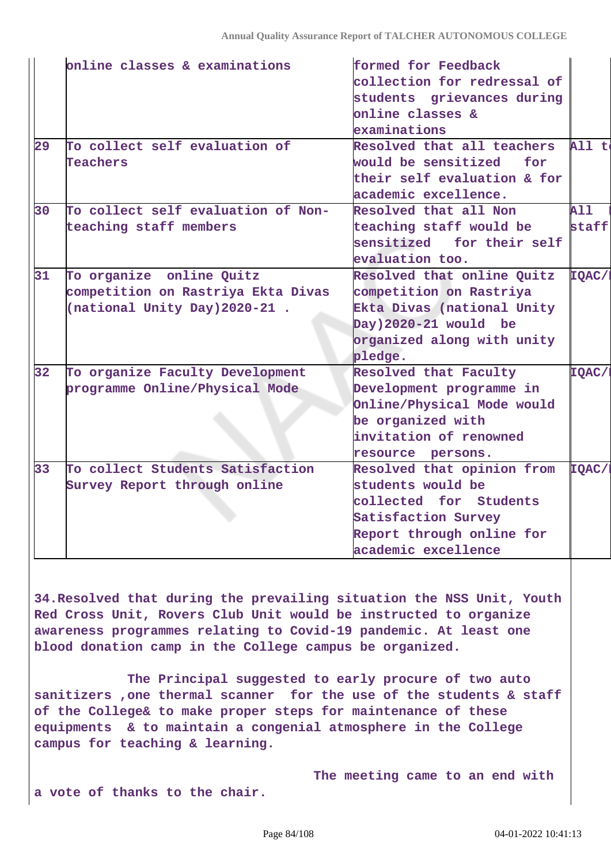|                 | online classes & examinations                                                                   | formed for Feedback<br>collection for redressal of<br>students grievances during<br>online classes &                                                 |                     |
|-----------------|-------------------------------------------------------------------------------------------------|------------------------------------------------------------------------------------------------------------------------------------------------------|---------------------|
| 29              | To collect self evaluation of<br><b>Teachers</b>                                                | examinations<br>Resolved that all teachers<br>would be sensitized<br>for<br>their self evaluation & for<br>academic excellence.                      | All to              |
| 30              | To collect self evaluation of Non-<br>teaching staff members                                    | Resolved that all Non<br>teaching staff would be<br>sensitized for their self<br>evaluation too.                                                     | <b>All</b><br>staff |
| 31              | To organize online Quitz<br>competition on Rastriya Ekta Divas<br>(national Unity Day) 2020-21. | Resolved that online Quitz<br>competition on Rastriya<br>Ekta Divas (national Unity<br>Day)2020-21 would be<br>organized along with unity<br>pledge. | IQAC/1              |
| 32 <sub>2</sub> | To organize Faculty Development<br>programme Online/Physical Mode                               | Resolved that Faculty<br>Development programme in<br>Online/Physical Mode would<br>be organized with<br>invitation of renowned<br>resource persons.  | IQAC/I              |
| 33 <sup>2</sup> | To collect Students Satisfaction<br>Survey Report through online                                | Resolved that opinion from<br>students would be<br>collected for Students<br>Satisfaction Survey<br>Report through online for<br>academic excellence | IQAC/I              |
|                 |                                                                                                 |                                                                                                                                                      |                     |

**34.Resolved that during the prevailing situation the NSS Unit, Youth Red Cross Unit, Rovers Club Unit would be instructed to organize awareness programmes relating to Covid-19 pandemic. At least one blood donation camp in the College campus be organized.**

 **The Principal suggested to early procure of two auto sanitizers ,one thermal scanner for the use of the students & staff of the College& to make proper steps for maintenance of these equipments & to maintain a congenial atmosphere in the College campus for teaching & learning.**

 **The meeting came to an end with a vote of thanks to the chair.**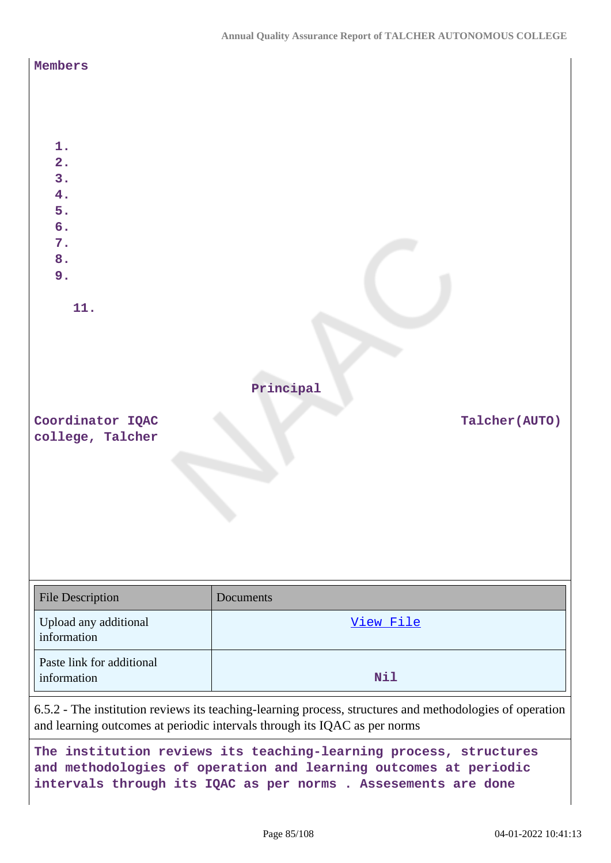| Members<br>1.<br>$\overline{2}$ .<br>3.<br>4.<br>5.<br>6.<br>7.<br>8.<br>9.<br>11. | Principal                                                                                                                                                                                                                                                  |
|------------------------------------------------------------------------------------|------------------------------------------------------------------------------------------------------------------------------------------------------------------------------------------------------------------------------------------------------------|
| Coordinator IQAC                                                                   | Talcher(AUTO)                                                                                                                                                                                                                                              |
| college, Talcher                                                                   |                                                                                                                                                                                                                                                            |
| <b>File Description</b>                                                            | Documents                                                                                                                                                                                                                                                  |
| Upload any additional<br>information                                               | View File                                                                                                                                                                                                                                                  |
| Paste link for additional<br>information                                           | Nil                                                                                                                                                                                                                                                        |
|                                                                                    | 6.5.2 - The institution reviews its teaching-learning process, structures and methodologies of operation<br>and learning outcomes at periodic intervals through its IQAC as per norms<br>The institution reviews its teaching-learning process, structures |

**and methodologies of operation and learning outcomes at periodic intervals through its IQAC as per norms . Assesements are done**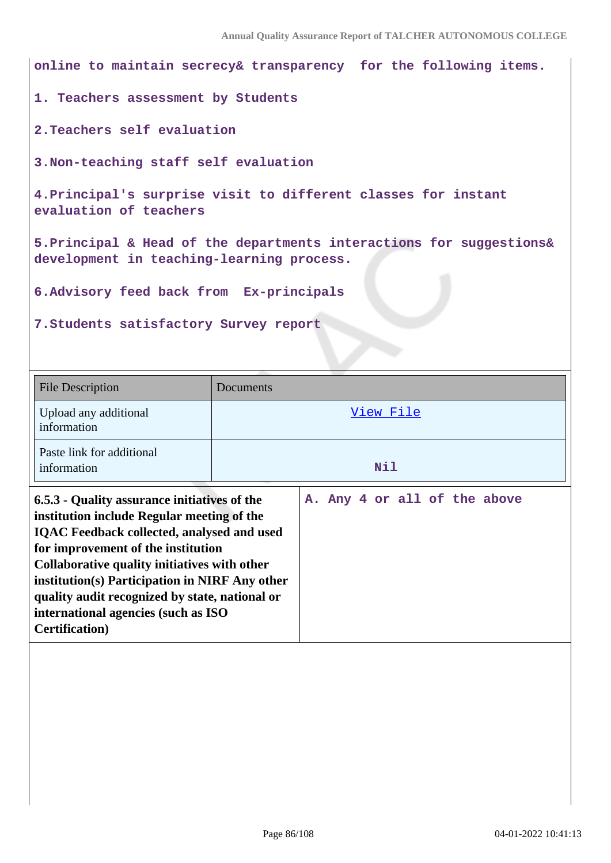**online to maintain secrecy& transparency for the following items. 1. Teachers assessment by Students 2.Teachers self evaluation 3.Non-teaching staff self evaluation 4.Principal's surprise visit to different classes for instant evaluation of teachers 5.Principal & Head of the departments interactions for suggestions& development in teaching-learning process. 6.Advisory feed back from Ex-principals 7.Students satisfactory Survey report** File Description Documents Upload any additional information [View File](https://assessmentonline.naac.gov.in/storage/app/public/aqar/14304/14304_292_666.pdf) Paste link for additional information **Nil 6.5.3 - Quality assurance initiatives of the institution include Regular meeting of the IQAC Feedback collected, analysed and used for improvement of the institution Collaborative quality initiatives with other A. Any 4 or all of the above**

**institution(s) Participation in NIRF Any other quality audit recognized by state, national or**

**international agencies (such as ISO**

**Certification)**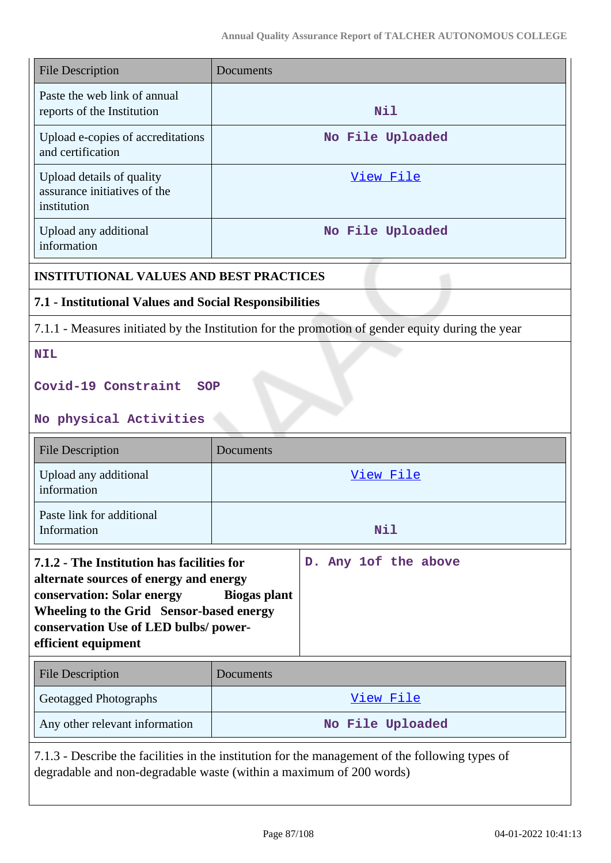| <b>File Description</b>                                                                                                                                                                                                       | Documents                                                                                        |
|-------------------------------------------------------------------------------------------------------------------------------------------------------------------------------------------------------------------------------|--------------------------------------------------------------------------------------------------|
| Paste the web link of annual<br>reports of the Institution                                                                                                                                                                    | Nil                                                                                              |
| Upload e-copies of accreditations<br>and certification                                                                                                                                                                        | No File Uploaded                                                                                 |
| Upload details of quality<br>assurance initiatives of the<br>institution                                                                                                                                                      | View File                                                                                        |
| Upload any additional<br>information                                                                                                                                                                                          | No File Uploaded                                                                                 |
| <b>INSTITUTIONAL VALUES AND BEST PRACTICES</b>                                                                                                                                                                                |                                                                                                  |
| 7.1 - Institutional Values and Social Responsibilities                                                                                                                                                                        |                                                                                                  |
|                                                                                                                                                                                                                               | 7.1.1 - Measures initiated by the Institution for the promotion of gender equity during the year |
| <b>NIL</b>                                                                                                                                                                                                                    |                                                                                                  |
| Covid-19 Constraint<br><b>SOP</b>                                                                                                                                                                                             |                                                                                                  |
| No physical Activities                                                                                                                                                                                                        |                                                                                                  |
|                                                                                                                                                                                                                               |                                                                                                  |
| <b>File Description</b>                                                                                                                                                                                                       | Documents                                                                                        |
| Upload any additional<br>information                                                                                                                                                                                          | View File                                                                                        |
| Paste link for additional<br>Information                                                                                                                                                                                      | Nil                                                                                              |
| 7.1.2 - The Institution has facilities for<br>alternate sources of energy and energy<br>conservation: Solar energy<br>Wheeling to the Grid Sensor-based energy<br>conservation Use of LED bulbs/power-<br>efficient equipment | D. Any 1of the above<br><b>Biogas plant</b>                                                      |
| <b>File Description</b>                                                                                                                                                                                                       | Documents                                                                                        |
| Geotagged Photographs                                                                                                                                                                                                         | View File                                                                                        |
| Any other relevant information                                                                                                                                                                                                | No File Uploaded                                                                                 |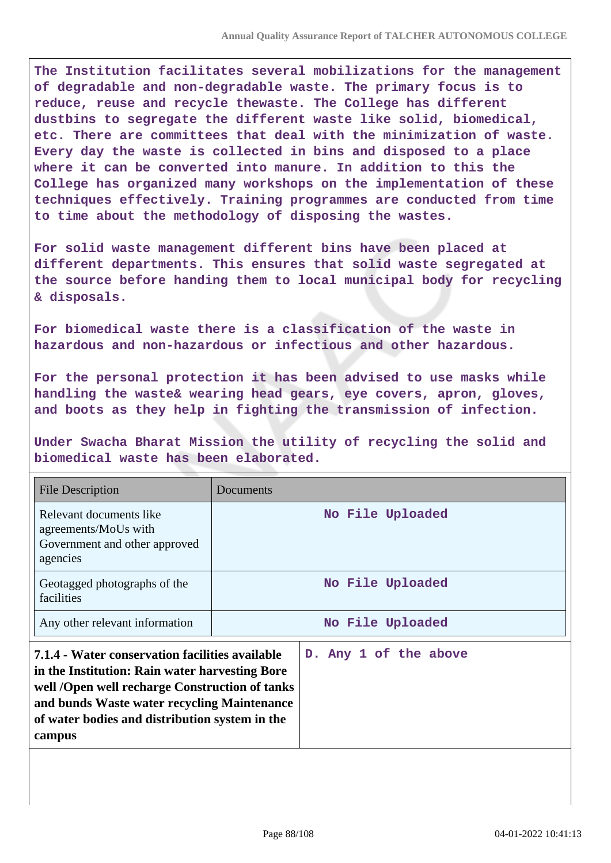**The Institution facilitates several mobilizations for the management of degradable and non-degradable waste. The primary focus is to reduce, reuse and recycle thewaste. The College has different dustbins to segregate the different waste like solid, biomedical, etc. There are committees that deal with the minimization of waste. Every day the waste is collected in bins and disposed to a place where it can be converted into manure. In addition to this the College has organized many workshops on the implementation of these techniques effectively. Training programmes are conducted from time to time about the methodology of disposing the wastes.** 

**For solid waste management different bins have been placed at different departments. This ensures that solid waste segregated at the source before handing them to local municipal body for recycling & disposals.**

**For biomedical waste there is a classification of the waste in hazardous and non-hazardous or infectious and other hazardous.** 

**For the personal protection it has been advised to use masks while handling the waste& wearing head gears, eye covers, apron, gloves, and boots as they help in fighting the transmission of infection.** 

**Under Swacha Bharat Mission the utility of recycling the solid and biomedical waste has been elaborated.** 

| <b>File Description</b>                                                                                                                                                                                                                                        | Documents             |
|----------------------------------------------------------------------------------------------------------------------------------------------------------------------------------------------------------------------------------------------------------------|-----------------------|
| Relevant documents like<br>agreements/MoUs with<br>Government and other approved<br>agencies                                                                                                                                                                   | No File Uploaded      |
| Geotagged photographs of the<br>facilities                                                                                                                                                                                                                     | No File Uploaded      |
| Any other relevant information                                                                                                                                                                                                                                 | No File Uploaded      |
| 7.1.4 - Water conservation facilities available<br>in the Institution: Rain water harvesting Bore<br>well /Open well recharge Construction of tanks<br>and bunds Waste water recycling Maintenance<br>of water bodies and distribution system in the<br>campus | D. Any 1 of the above |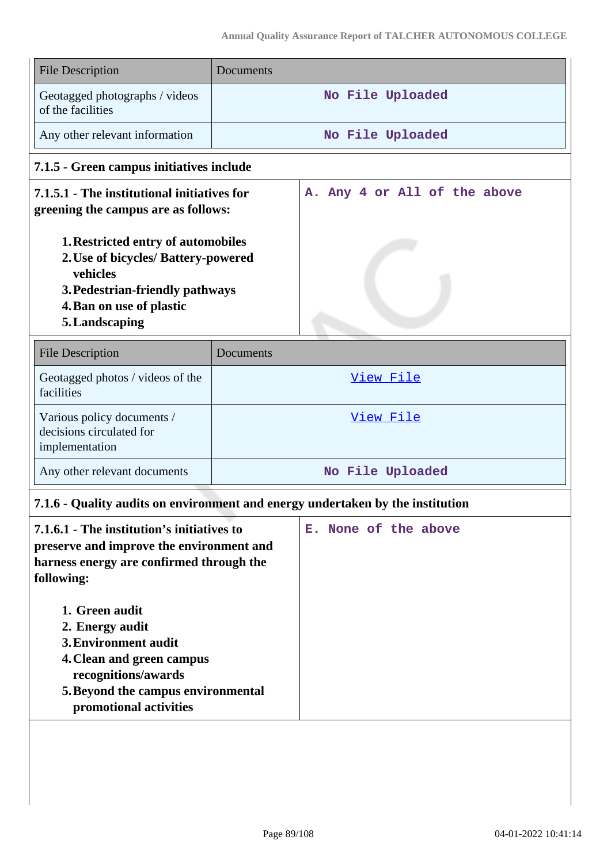| <b>File Description</b>                                                                                                                                                                                                                                                                                                                  | Documents                                                                      |
|------------------------------------------------------------------------------------------------------------------------------------------------------------------------------------------------------------------------------------------------------------------------------------------------------------------------------------------|--------------------------------------------------------------------------------|
| Geotagged photographs / videos<br>of the facilities                                                                                                                                                                                                                                                                                      | No File Uploaded                                                               |
| Any other relevant information                                                                                                                                                                                                                                                                                                           | No File Uploaded                                                               |
| 7.1.5 - Green campus initiatives include                                                                                                                                                                                                                                                                                                 |                                                                                |
| 7.1.5.1 - The institutional initiatives for<br>greening the campus are as follows:                                                                                                                                                                                                                                                       | A. Any 4 or All of the above                                                   |
| 1. Restricted entry of automobiles<br>2. Use of bicycles/ Battery-powered<br>vehicles<br>3. Pedestrian-friendly pathways<br>4. Ban on use of plastic<br>5. Landscaping                                                                                                                                                                   |                                                                                |
| <b>File Description</b>                                                                                                                                                                                                                                                                                                                  | Documents                                                                      |
| Geotagged photos / videos of the<br>facilities                                                                                                                                                                                                                                                                                           | View File                                                                      |
| Various policy documents /<br>decisions circulated for<br>implementation                                                                                                                                                                                                                                                                 | View File                                                                      |
| Any other relevant documents                                                                                                                                                                                                                                                                                                             | No File Uploaded                                                               |
|                                                                                                                                                                                                                                                                                                                                          | 7.1.6 - Quality audits on environment and energy undertaken by the institution |
| 7.1.6.1 - The institution's initiatives to<br>preserve and improve the environment and<br>harness energy are confirmed through the<br>following:<br>1. Green audit<br>2. Energy audit<br><b>3. Environment audit</b><br>4. Clean and green campus<br>recognitions/awards<br>5. Beyond the campus environmental<br>promotional activities | E. None of the above                                                           |
|                                                                                                                                                                                                                                                                                                                                          |                                                                                |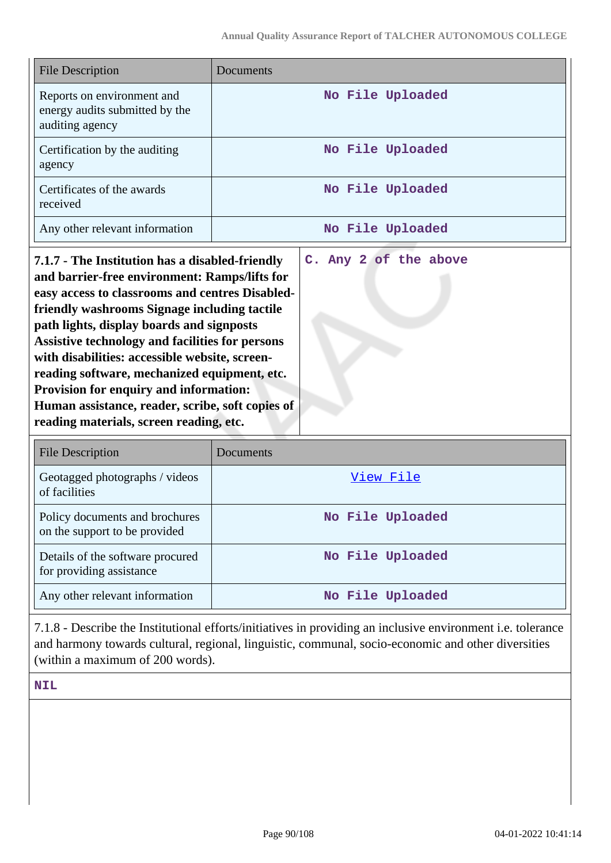| <b>File Description</b>                                                                                                                                                                                                                                                                                                                                                                                                                                                                                                                                      | Documents             |
|--------------------------------------------------------------------------------------------------------------------------------------------------------------------------------------------------------------------------------------------------------------------------------------------------------------------------------------------------------------------------------------------------------------------------------------------------------------------------------------------------------------------------------------------------------------|-----------------------|
| Reports on environment and<br>energy audits submitted by the<br>auditing agency                                                                                                                                                                                                                                                                                                                                                                                                                                                                              | No File Uploaded      |
| Certification by the auditing<br>agency                                                                                                                                                                                                                                                                                                                                                                                                                                                                                                                      | No File Uploaded      |
| Certificates of the awards<br>received                                                                                                                                                                                                                                                                                                                                                                                                                                                                                                                       | No File Uploaded      |
| Any other relevant information                                                                                                                                                                                                                                                                                                                                                                                                                                                                                                                               | No File Uploaded      |
| 7.1.7 - The Institution has a disabled-friendly<br>and barrier-free environment: Ramps/lifts for<br>easy access to classrooms and centres Disabled-<br>friendly washrooms Signage including tactile<br>path lights, display boards and signposts<br><b>Assistive technology and facilities for persons</b><br>with disabilities: accessible website, screen-<br>reading software, mechanized equipment, etc.<br><b>Provision for enquiry and information:</b><br>Human assistance, reader, scribe, soft copies of<br>reading materials, screen reading, etc. | C. Any 2 of the above |

| <b>File Description</b>                                         | Documents        |
|-----------------------------------------------------------------|------------------|
| Geotagged photographs / videos<br>of facilities                 | View File        |
| Policy documents and brochures<br>on the support to be provided | No File Uploaded |
| Details of the software procured<br>for providing assistance    | No File Uploaded |
| Any other relevant information                                  | No File Uploaded |

7.1.8 - Describe the Institutional efforts/initiatives in providing an inclusive environment i.e. tolerance and harmony towards cultural, regional, linguistic, communal, socio-economic and other diversities (within a maximum of 200 words).

**NIL**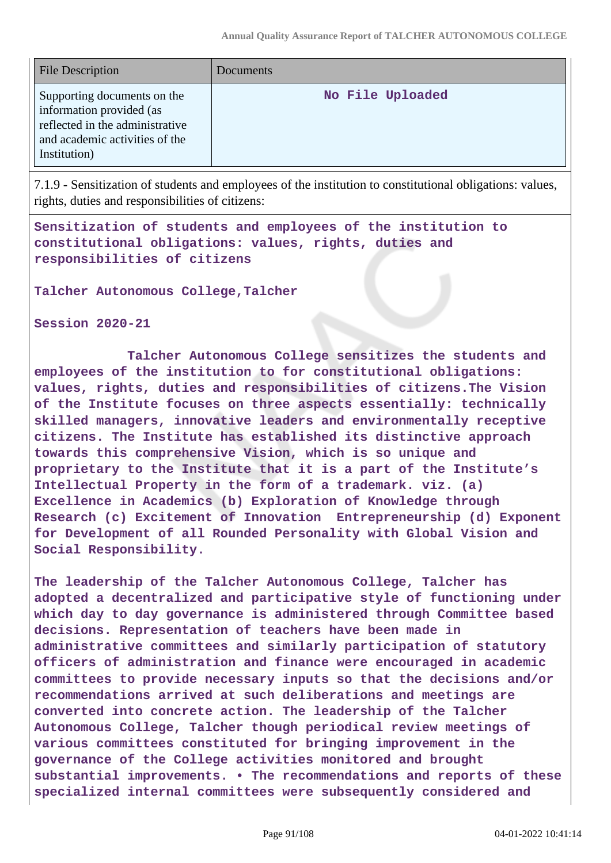| <b>File Description</b>                                                                                                                      | Documents        |
|----------------------------------------------------------------------------------------------------------------------------------------------|------------------|
| Supporting documents on the<br>information provided (as<br>reflected in the administrative<br>and academic activities of the<br>Institution) | No File Uploaded |

7.1.9 - Sensitization of students and employees of the institution to constitutional obligations: values, rights, duties and responsibilities of citizens:

**Sensitization of students and employees of the institution to constitutional obligations: values, rights, duties and responsibilities of citizens**

**Talcher Autonomous College,Talcher**

**Session 2020-21**

 **Talcher Autonomous College sensitizes the students and employees of the institution to for constitutional obligations: values, rights, duties and responsibilities of citizens.The Vision of the Institute focuses on three aspects essentially: technically skilled managers, innovative leaders and environmentally receptive citizens. The Institute has established its distinctive approach towards this comprehensive Vision, which is so unique and proprietary to the Institute that it is a part of the Institute's Intellectual Property in the form of a trademark. viz. (a) Excellence in Academics (b) Exploration of Knowledge through Research (c) Excitement of Innovation Entrepreneurship (d) Exponent for Development of all Rounded Personality with Global Vision and Social Responsibility.**

**The leadership of the Talcher Autonomous College, Talcher has adopted a decentralized and participative style of functioning under which day to day governance is administered through Committee based decisions. Representation of teachers have been made in administrative committees and similarly participation of statutory officers of administration and finance were encouraged in academic committees to provide necessary inputs so that the decisions and/or recommendations arrived at such deliberations and meetings are converted into concrete action. The leadership of the Talcher Autonomous College, Talcher though periodical review meetings of various committees constituted for bringing improvement in the governance of the College activities monitored and brought substantial improvements. • The recommendations and reports of these specialized internal committees were subsequently considered and**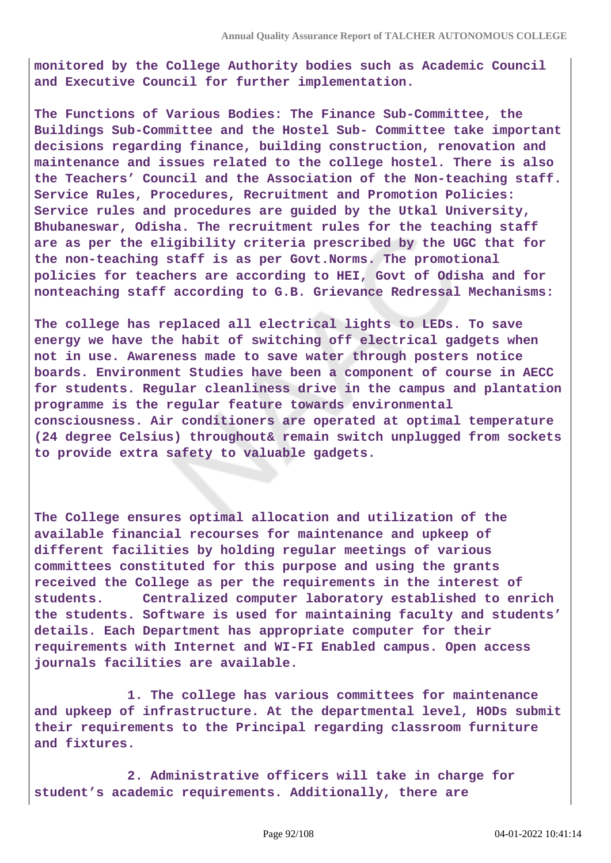**monitored by the College Authority bodies such as Academic Council and Executive Council for further implementation.**

**The Functions of Various Bodies: The Finance Sub-Committee, the Buildings Sub-Committee and the Hostel Sub- Committee take important decisions regarding finance, building construction, renovation and maintenance and issues related to the college hostel. There is also the Teachers' Council and the Association of the Non-teaching staff. Service Rules, Procedures, Recruitment and Promotion Policies: Service rules and procedures are guided by the Utkal University, Bhubaneswar, Odisha. The recruitment rules for the teaching staff are as per the eligibility criteria prescribed by the UGC that for the non-teaching staff is as per Govt.Norms. The promotional policies for teachers are according to HEI, Govt of Odisha and for nonteaching staff according to G.B. Grievance Redressal Mechanisms:**

**The college has replaced all electrical lights to LEDs. To save energy we have the habit of switching off electrical gadgets when not in use. Awareness made to save water through posters notice boards. Environment Studies have been a component of course in AECC for students. Regular cleanliness drive in the campus and plantation programme is the regular feature towards environmental consciousness. Air conditioners are operated at optimal temperature (24 degree Celsius) throughout& remain switch unplugged from sockets to provide extra safety to valuable gadgets.**

**The College ensures optimal allocation and utilization of the available financial recourses for maintenance and upkeep of different facilities by holding regular meetings of various committees constituted for this purpose and using the grants received the College as per the requirements in the interest of students. Centralized computer laboratory established to enrich the students. Software is used for maintaining faculty and students' details. Each Department has appropriate computer for their requirements with Internet and WI-FI Enabled campus. Open access journals facilities are available.**

 **1. The college has various committees for maintenance and upkeep of infrastructure. At the departmental level, HODs submit their requirements to the Principal regarding classroom furniture and fixtures.**

 **2. Administrative officers will take in charge for student's academic requirements. Additionally, there are**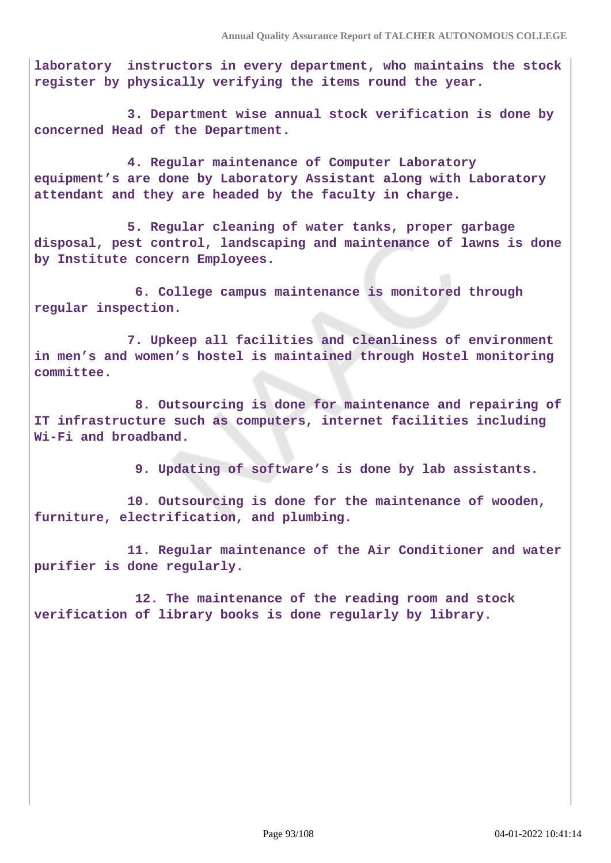**laboratory instructors in every department, who maintains the stock register by physically verifying the items round the year.**

 **3. Department wise annual stock verification is done by concerned Head of the Department.**

 **4. Regular maintenance of Computer Laboratory equipment's are done by Laboratory Assistant along with Laboratory attendant and they are headed by the faculty in charge.**

 **5. Regular cleaning of water tanks, proper garbage disposal, pest control, landscaping and maintenance of lawns is done by Institute concern Employees.**

 **6. College campus maintenance is monitored through regular inspection.**

 **7. Upkeep all facilities and cleanliness of environment in men's and women's hostel is maintained through Hostel monitoring committee.**

 **8. Outsourcing is done for maintenance and repairing of IT infrastructure such as computers, internet facilities including Wi-Fi and broadband.**

 **9. Updating of software's is done by lab assistants.**

 **10. Outsourcing is done for the maintenance of wooden, furniture, electrification, and plumbing.**

 **11. Regular maintenance of the Air Conditioner and water purifier is done regularly.**

 **12. The maintenance of the reading room and stock verification of library books is done regularly by library.**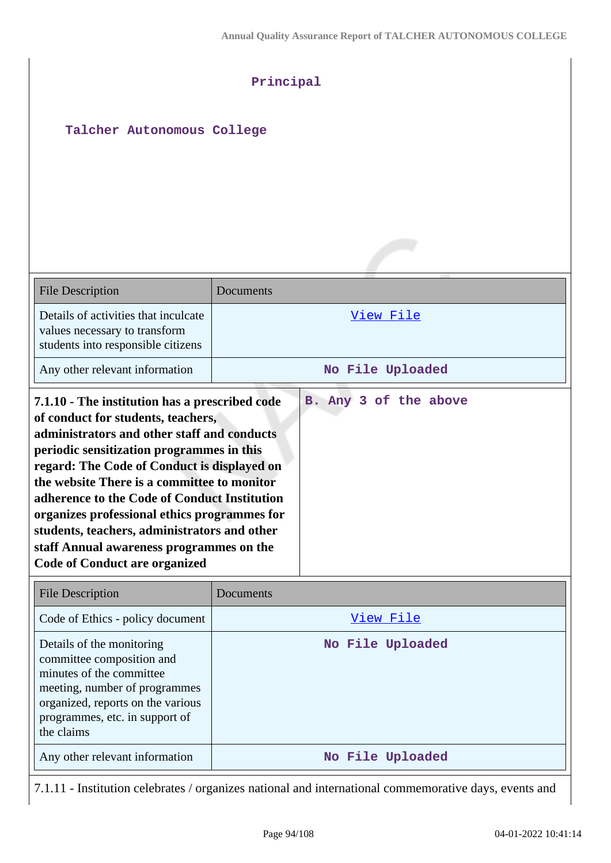| Talcher Autonomous College                                                                                                                                                                                                                                                                                                                                                                                                                                                                                         | Principal             |
|--------------------------------------------------------------------------------------------------------------------------------------------------------------------------------------------------------------------------------------------------------------------------------------------------------------------------------------------------------------------------------------------------------------------------------------------------------------------------------------------------------------------|-----------------------|
|                                                                                                                                                                                                                                                                                                                                                                                                                                                                                                                    |                       |
| <b>File Description</b>                                                                                                                                                                                                                                                                                                                                                                                                                                                                                            | Documents             |
| Details of activities that inculcate<br>values necessary to transform<br>students into responsible citizens                                                                                                                                                                                                                                                                                                                                                                                                        | View File             |
| Any other relevant information                                                                                                                                                                                                                                                                                                                                                                                                                                                                                     | No File Uploaded      |
| 7.1.10 - The institution has a prescribed code<br>of conduct for students, teachers,<br>administrators and other staff and conducts<br>periodic sensitization programmes in this<br>regard: The Code of Conduct is displayed on<br>the website There is a committee to monitor<br>adherence to the Code of Conduct Institution<br>organizes professional ethics programmes for<br>students, teachers, administrators and other<br>staff Annual awareness programmes on the<br><b>Code of Conduct are organized</b> | B. Any 3 of the above |
| <b>File Description</b>                                                                                                                                                                                                                                                                                                                                                                                                                                                                                            | Documents             |
| Code of Ethics - policy document                                                                                                                                                                                                                                                                                                                                                                                                                                                                                   | View File             |
| Details of the monitoring<br>committee composition and<br>minutes of the committee<br>meeting, number of programmes<br>organized, reports on the various<br>programmes, etc. in support of<br>the claims                                                                                                                                                                                                                                                                                                           | No File Uploaded      |

7.1.11 - Institution celebrates / organizes national and international commemorative days, events and

Any other relevant information **No File Uploaded**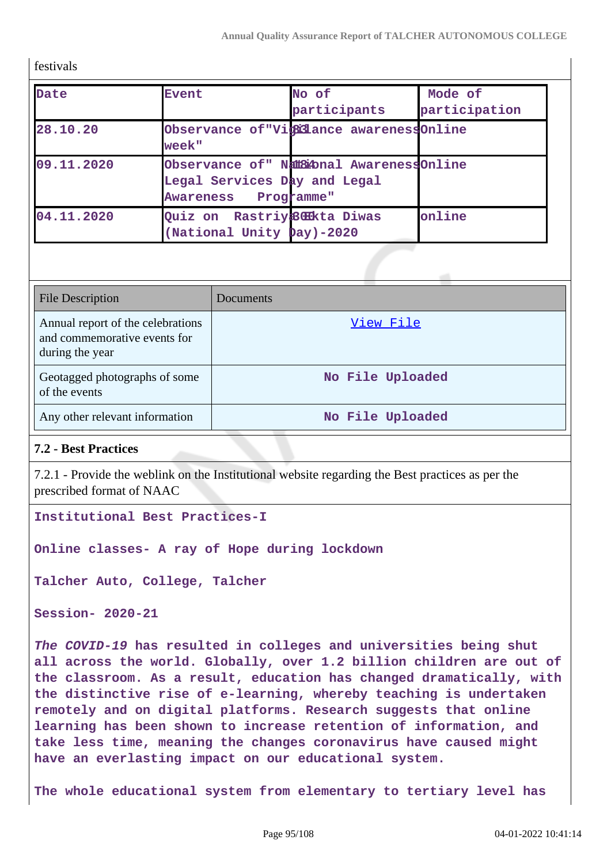festivals

| Date       | <b>Event</b>                                                                                               | No of<br>participants                    | Mode of<br>participation |
|------------|------------------------------------------------------------------------------------------------------------|------------------------------------------|--------------------------|
| 28.10.20   | week"                                                                                                      | Observance of "Vicilance awarenessOnline |                          |
| 09.11.2020 | Observance of" Natatonal AwarenessOnline<br>Legal Services Day and Legal<br>Programme"<br><b>Awareness</b> |                                          |                          |
| 04.11.2020 | Quiz on Rastriy&GKkta Diwas<br>(National Unity Day)-2020                                                   |                                          | online                   |

| <b>File Description</b>                                                              | Documents        |
|--------------------------------------------------------------------------------------|------------------|
| Annual report of the celebrations<br>and commemorative events for<br>during the year | View File        |
| Geotagged photographs of some<br>of the events                                       | No File Uploaded |
| Any other relevant information                                                       | No File Uploaded |

## **7.2 - Best Practices**

7.2.1 - Provide the weblink on the Institutional website regarding the Best practices as per the prescribed format of NAAC

**Institutional Best Practices-I**

**Online classes- A ray of Hope during lockdown**

**Talcher Auto, College, Talcher**

**Session- 2020-21**

**The COVID-19 has resulted in colleges and universities being shut all across the world. Globally, over 1.2 billion children are out of the classroom. As a result, education has changed dramatically, with the distinctive rise of e-learning, whereby teaching is undertaken remotely and on digital platforms. Research suggests that online learning has been shown to increase retention of information, and take less time, meaning the changes coronavirus have caused might have an everlasting impact on our educational system.**

**The whole educational system from elementary to tertiary level has**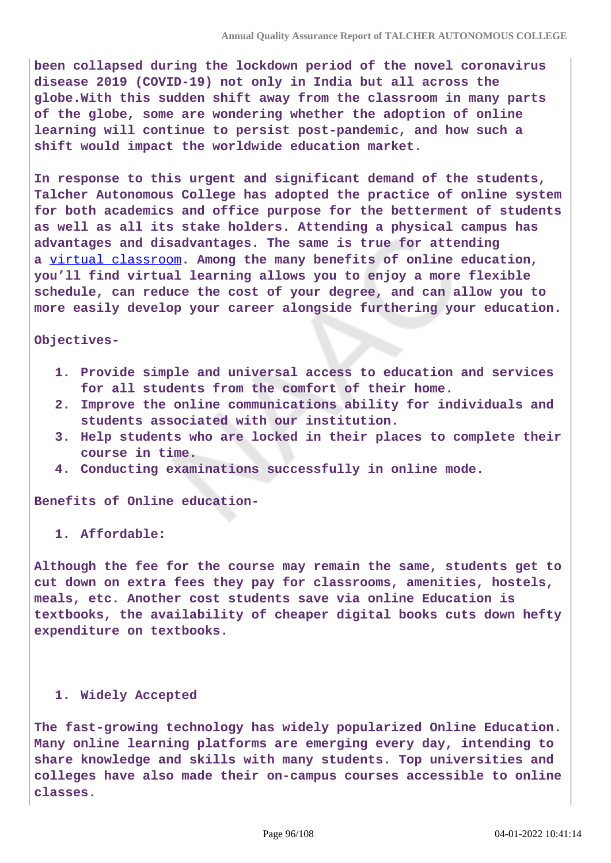**been collapsed during the lockdown period of the novel coronavirus disease 2019 (COVID-19) not only in India but all across the globe.With this sudden shift away from the classroom in many parts of the globe, some are wondering whether the adoption of online learning will continue to persist post-pandemic, and how such a shift would impact the worldwide education market.**

**In response to this urgent and significant demand of the students, Talcher Autonomous College has adopted the practice of online system for both academics and office purpose for the betterment of students as well as all its stake holders. Attending a physical campus has advantages and disadvantages. The same is true for attending a** [virtual classroom](https://drexel.edu/soe/resources/teacher-resources/virtual-classroom/)**. Among the many benefits of online education, you'll find virtual learning allows you to enjoy a more flexible schedule, can reduce the cost of your degree, and can allow you to more easily develop your career alongside furthering your education.**

#### **Objectives-**

- **1. Provide simple and universal access to education and services for all students from the comfort of their home.**
- **2. Improve the online communications ability for individuals and students associated with our institution.**
- **3. Help students who are locked in their places to complete their course in time.**
- **4. Conducting examinations successfully in online mode.**

**Benefits of Online education-**

**1. Affordable:**

**Although the fee for the course may remain the same, students get to cut down on extra fees they pay for classrooms, amenities, hostels, meals, etc. Another cost students save via online Education is textbooks, the availability of cheaper digital books cuts down hefty expenditure on textbooks.**

### **1. Widely Accepted**

**The fast-growing technology has widely popularized Online Education. Many online learning platforms are emerging every day, intending to share knowledge and skills with many students. Top universities and colleges have also made their on-campus courses accessible to online classes.**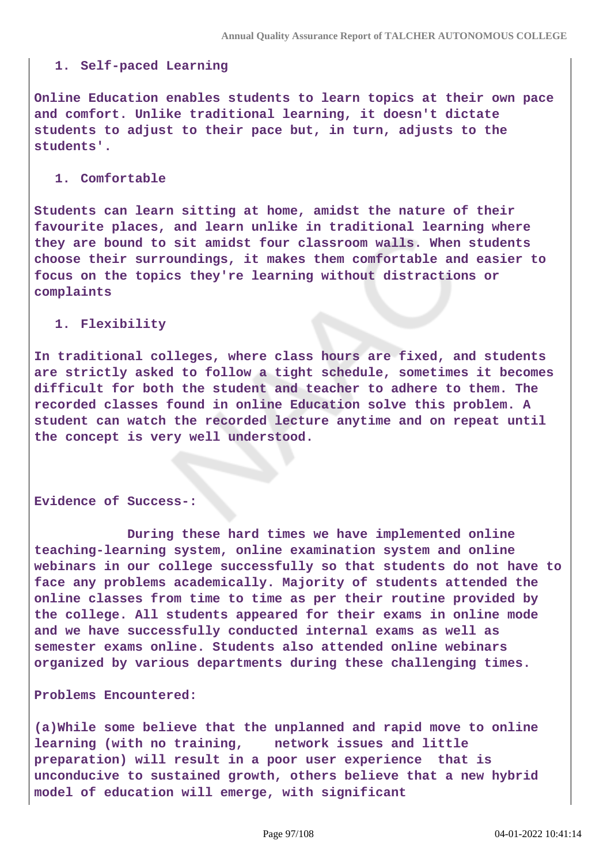### **1. Self-paced Learning**

**Online Education enables students to learn topics at their own pace and comfort. Unlike traditional learning, it doesn't dictate students to adjust to their pace but, in turn, adjusts to the students'.**

#### **1. Comfortable**

**Students can learn sitting at home, amidst the nature of their favourite places, and learn unlike in traditional learning where they are bound to sit amidst four classroom walls. When students choose their surroundings, it makes them comfortable and easier to focus on the topics they're learning without distractions or complaints**

#### **1. Flexibility**

**In traditional colleges, where class hours are fixed, and students are strictly asked to follow a tight schedule, sometimes it becomes difficult for both the student and teacher to adhere to them. The recorded classes found in online Education solve this problem. A student can watch the recorded lecture anytime and on repeat until the concept is very well understood.**

#### **Evidence of Success-:**

 **During these hard times we have implemented online teaching-learning system, online examination system and online webinars in our college successfully so that students do not have to face any problems academically. Majority of students attended the online classes from time to time as per their routine provided by the college. All students appeared for their exams in online mode and we have successfully conducted internal exams as well as semester exams online. Students also attended online webinars organized by various departments during these challenging times.**

#### **Problems Encountered:**

**(a)While some believe that the unplanned and rapid move to online learning (with no training, network issues and little preparation) will result in a poor user experience that is unconducive to sustained growth, others believe that a new hybrid model of education will emerge, with significant**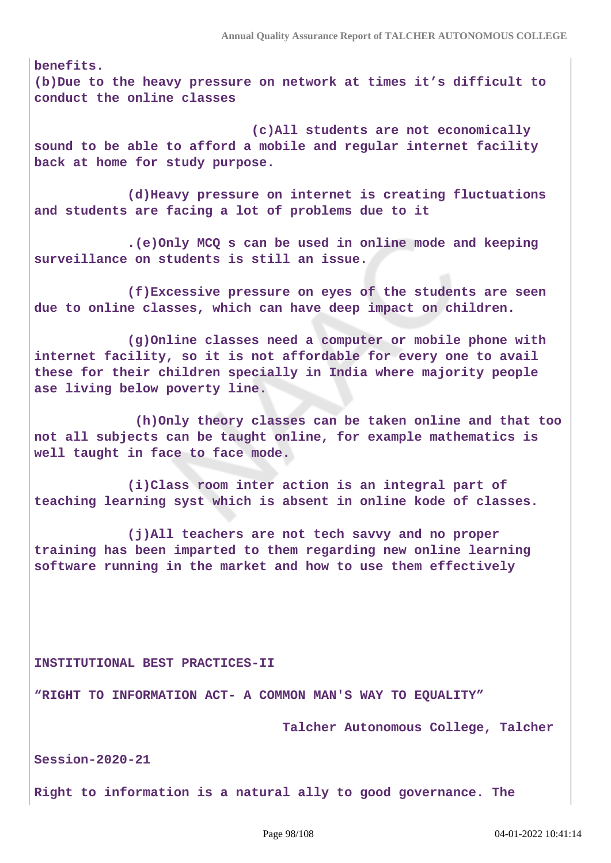**benefits. (b)Due to the heavy pressure on network at times it's difficult to conduct the online classes** 

 **(c)All students are not economically sound to be able to afford a mobile and regular internet facility back at home for study purpose.**

 **(d)Heavy pressure on internet is creating fluctuations and students are facing a lot of problems due to it**

 **.(e)Only MCQ s can be used in online mode and keeping surveillance on students is still an issue.**

 **(f)Excessive pressure on eyes of the students are seen due to online classes, which can have deep impact on children.**

 **(g)Online classes need a computer or mobile phone with internet facility, so it is not affordable for every one to avail these for their children specially in India where majority people ase living below poverty line.**

 **(h)Only theory classes can be taken online and that too not all subjects can be taught online, for example mathematics is well taught in face to face mode.**

 **(i)Class room inter action is an integral part of teaching learning syst which is absent in online kode of classes.**

 **(j)All teachers are not tech savvy and no proper training has been imparted to them regarding new online learning software running in the market and how to use them effectively**

**INSTITUTIONAL BEST PRACTICES-II**

**"RIGHT TO INFORMATION ACT- A COMMON MAN'S WAY TO EQUALITY"**

 **Talcher Autonomous College, Talcher**

**Session-2020-21**

**Right to information is a natural ally to good governance. The**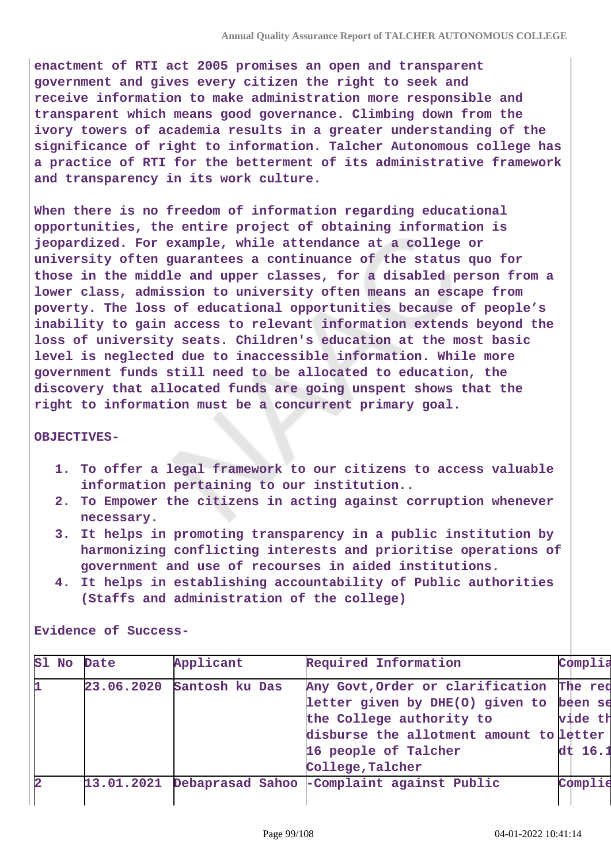**enactment of RTI act 2005 promises an open and transparent government and gives every citizen the right to seek and receive information to make administration more responsible and transparent which means good governance. Climbing down from the ivory towers of academia results in a greater understanding of the significance of right to information. Talcher Autonomous college has a practice of RTI for the betterment of its administrative framework and transparency in its work culture.**

**When there is no freedom of information regarding educational opportunities, the entire project of obtaining information is jeopardized. For example, while attendance at a college or university often guarantees a continuance of the status quo for those in the middle and upper classes, for a disabled person from a lower class, admission to university often means an escape from poverty. The loss of educational opportunities because of people's inability to gain access to relevant information extends beyond the loss of university seats. Children's education at the most basic level is neglected due to inaccessible information. While more government funds still need to be allocated to education, the discovery that allocated funds are going unspent shows that the right to information must be a concurrent primary goal.**

#### **OBJECTIVES-**

- **1. To offer a legal framework to our citizens to access valuable information pertaining to our institution..**
- **2. To Empower the citizens in acting against corruption whenever necessary.**
- **3. It helps in promoting transparency in a public institution by harmonizing conflicting interests and prioritise operations of government and use of recourses in aided institutions.**
- **4. It helps in establishing accountability of Public authorities (Staffs and administration of the college)**

|              | Sl No Date | Applicant      | Required Information                        | Complia |  |
|--------------|------------|----------------|---------------------------------------------|---------|--|
| þ.           | 23.06.2020 | Santosh ku Das | Any Govt, Order or clarification The req    |         |  |
|              |            |                | letter given by DHE(O) given to been se     |         |  |
|              |            |                | the College authority to                    | vide th |  |
|              |            |                | disburse the allotment amount to letter     |         |  |
|              |            |                | 16 people of Talcher                        | dt 16.1 |  |
|              |            |                | College, Talcher                            |         |  |
| $\mathbf{z}$ | 13.01.2021 |                | Debaprasad Sahoo - Complaint against Public | Complie |  |
|              |            |                |                                             |         |  |

**Evidence of Success-**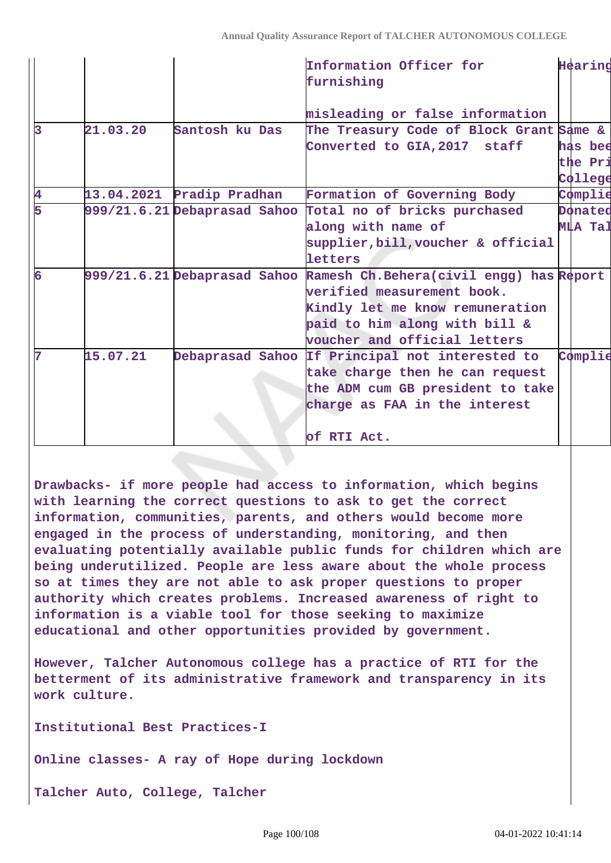|    |          |                           | Information Officer for<br>furnishing                                | Hearing        |
|----|----------|---------------------------|----------------------------------------------------------------------|----------------|
|    |          |                           | misleading or false information                                      |                |
| l3 | 21.03.20 | Santosh ku Das            | The Treasury Code of Block Grant Same &                              |                |
|    |          |                           | Converted to GIA, 2017 staff                                         | has bee        |
|    |          |                           |                                                                      | the Pri        |
|    |          |                           |                                                                      | College        |
| 4  |          | 13.04.2021 Pradip Pradhan | Formation of Governing Body                                          | Complie        |
| 5  |          |                           | 999/21.6.21 Debaprasad Sahoo Total no of bricks purchased            | Donated        |
|    |          |                           | along with name of                                                   | <b>MLA Tal</b> |
|    |          |                           | supplier, bill, voucher & official                                   |                |
|    |          |                           | letters                                                              |                |
| 6  |          |                           | 999/21.6.21 Debaprasad Sahoo Ramesh Ch.Behera(civil engg) has Report |                |
|    |          |                           | verified measurement book.                                           |                |
|    |          |                           | Kindly let me know remuneration                                      |                |
|    |          |                           | paid to him along with bill &                                        |                |
|    |          |                           | voucher and official letters                                         |                |
| 7  | 15.07.21 |                           | Debaprasad Sahoo If Principal not interested to                      | Complie        |
|    |          |                           | take charge then he can request                                      |                |
|    |          |                           | the ADM cum GB president to take                                     |                |
|    |          |                           | charge as FAA in the interest                                        |                |
|    |          |                           |                                                                      |                |
|    |          |                           | of RTI Act.                                                          |                |

**Drawbacks- if more people had access to information, which begins with learning the correct questions to ask to get the correct information, communities, parents, and others would become more engaged in the process of understanding, monitoring, and then evaluating potentially available public funds for children which are being underutilized. People are less aware about the whole process so at times they are not able to ask proper questions to proper authority which creates problems. Increased awareness of right to information is a viable tool for those seeking to maximize educational and other opportunities provided by government.**

**However, Talcher Autonomous college has a practice of RTI for the betterment of its administrative framework and transparency in its work culture.**

**Institutional Best Practices-I**

**Online classes- A ray of Hope during lockdown**

**Talcher Auto, College, Talcher**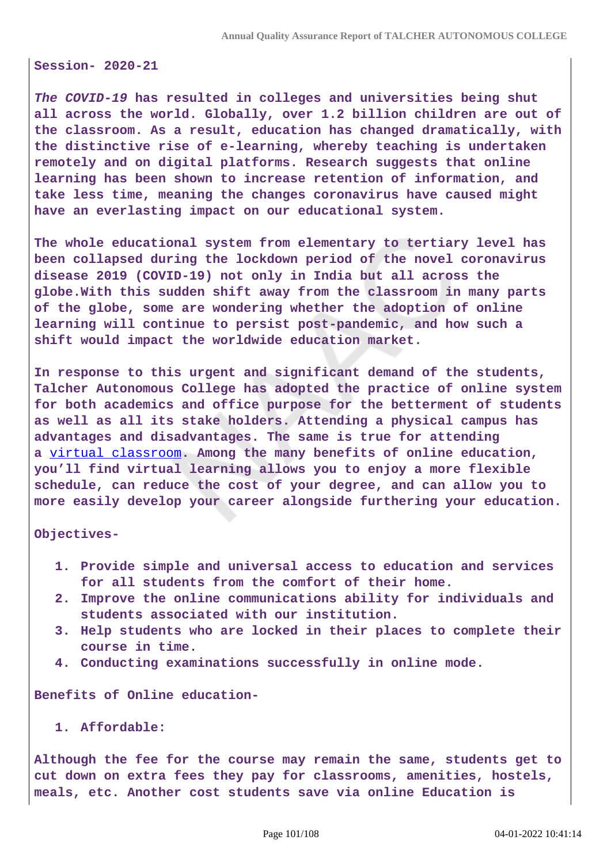**Session- 2020-21**

**The COVID-19 has resulted in colleges and universities being shut all across the world. Globally, over 1.2 billion children are out of the classroom. As a result, education has changed dramatically, with the distinctive rise of e-learning, whereby teaching is undertaken remotely and on digital platforms. Research suggests that online learning has been shown to increase retention of information, and take less time, meaning the changes coronavirus have caused might have an everlasting impact on our educational system.**

**The whole educational system from elementary to tertiary level has been collapsed during the lockdown period of the novel coronavirus disease 2019 (COVID-19) not only in India but all across the globe.With this sudden shift away from the classroom in many parts of the globe, some are wondering whether the adoption of online learning will continue to persist post-pandemic, and how such a shift would impact the worldwide education market.**

**In response to this urgent and significant demand of the students, Talcher Autonomous College has adopted the practice of online system for both academics and office purpose for the betterment of students as well as all its stake holders. Attending a physical campus has advantages and disadvantages. The same is true for attending a** [virtual classroom](https://drexel.edu/soe/resources/teacher-resources/virtual-classroom/)**. Among the many benefits of online education, you'll find virtual learning allows you to enjoy a more flexible schedule, can reduce the cost of your degree, and can allow you to more easily develop your career alongside furthering your education.**

**Objectives-**

- **1. Provide simple and universal access to education and services for all students from the comfort of their home.**
- **2. Improve the online communications ability for individuals and students associated with our institution.**
- **3. Help students who are locked in their places to complete their course in time.**
- **4. Conducting examinations successfully in online mode.**

**Benefits of Online education-**

**1. Affordable:**

**Although the fee for the course may remain the same, students get to cut down on extra fees they pay for classrooms, amenities, hostels, meals, etc. Another cost students save via online Education is**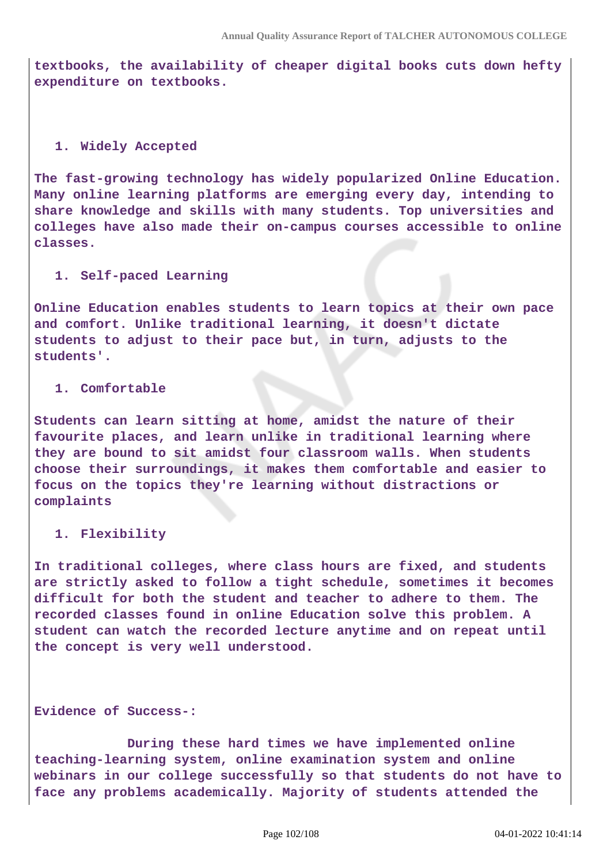**textbooks, the availability of cheaper digital books cuts down hefty expenditure on textbooks.**

### **1. Widely Accepted**

**The fast-growing technology has widely popularized Online Education. Many online learning platforms are emerging every day, intending to share knowledge and skills with many students. Top universities and colleges have also made their on-campus courses accessible to online classes.**

### **1. Self-paced Learning**

**Online Education enables students to learn topics at their own pace and comfort. Unlike traditional learning, it doesn't dictate students to adjust to their pace but, in turn, adjusts to the students'.**

### **1. Comfortable**

**Students can learn sitting at home, amidst the nature of their favourite places, and learn unlike in traditional learning where they are bound to sit amidst four classroom walls. When students choose their surroundings, it makes them comfortable and easier to focus on the topics they're learning without distractions or complaints**

### **1. Flexibility**

**In traditional colleges, where class hours are fixed, and students are strictly asked to follow a tight schedule, sometimes it becomes difficult for both the student and teacher to adhere to them. The recorded classes found in online Education solve this problem. A student can watch the recorded lecture anytime and on repeat until the concept is very well understood.**

## **Evidence of Success-:**

 **During these hard times we have implemented online teaching-learning system, online examination system and online webinars in our college successfully so that students do not have to face any problems academically. Majority of students attended the**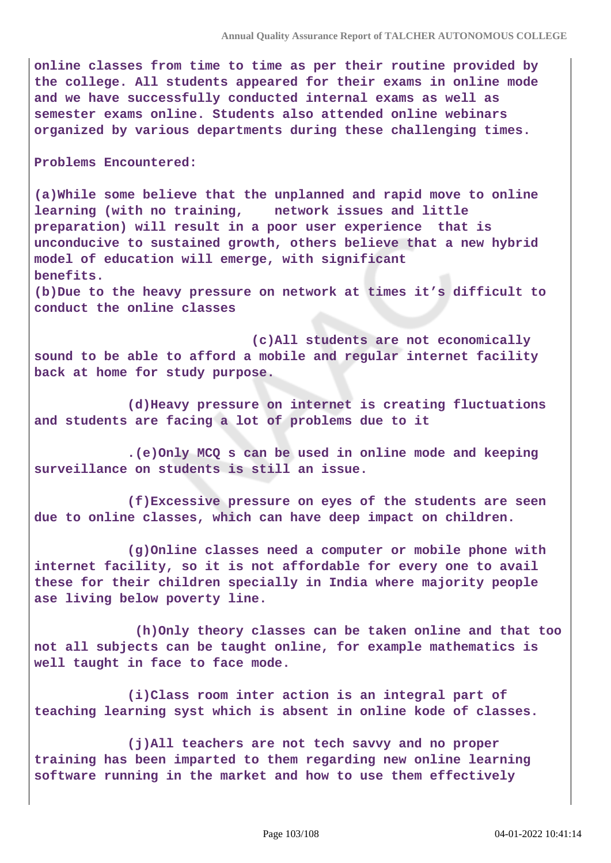**online classes from time to time as per their routine provided by the college. All students appeared for their exams in online mode and we have successfully conducted internal exams as well as semester exams online. Students also attended online webinars organized by various departments during these challenging times.**

#### **Problems Encountered:**

**(a)While some believe that the unplanned and rapid move to online learning (with no training, network issues and little preparation) will result in a poor user experience that is unconducive to sustained growth, others believe that a new hybrid model of education will emerge, with significant benefits.** 

**(b)Due to the heavy pressure on network at times it's difficult to conduct the online classes** 

 **(c)All students are not economically sound to be able to afford a mobile and regular internet facility back at home for study purpose.**

 **(d)Heavy pressure on internet is creating fluctuations and students are facing a lot of problems due to it**

 **.(e)Only MCQ s can be used in online mode and keeping surveillance on students is still an issue.**

 **(f)Excessive pressure on eyes of the students are seen due to online classes, which can have deep impact on children.**

 **(g)Online classes need a computer or mobile phone with internet facility, so it is not affordable for every one to avail these for their children specially in India where majority people ase living below poverty line.**

 **(h)Only theory classes can be taken online and that too not all subjects can be taught online, for example mathematics is well taught in face to face mode.**

 **(i)Class room inter action is an integral part of teaching learning syst which is absent in online kode of classes.**

 **(j)All teachers are not tech savvy and no proper training has been imparted to them regarding new online learning software running in the market and how to use them effectively**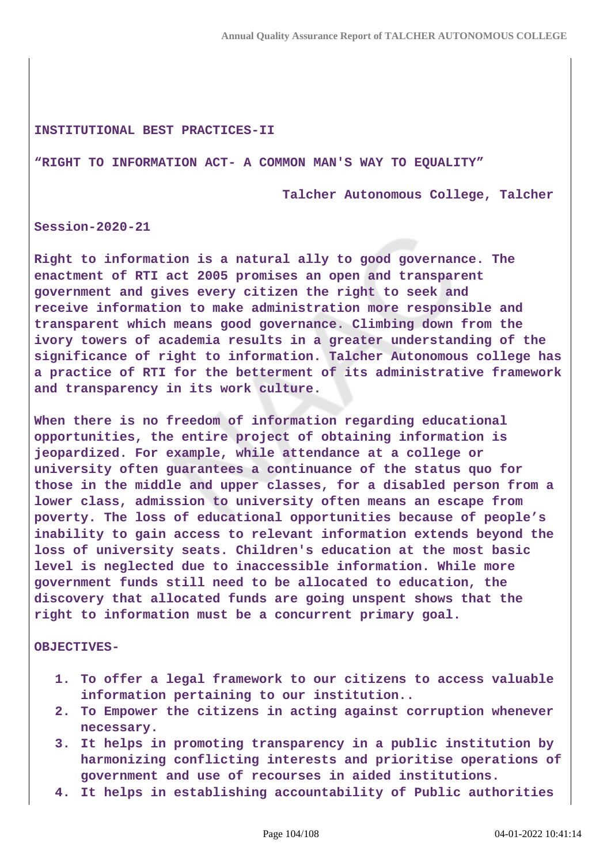#### **INSTITUTIONAL BEST PRACTICES-II**

#### **"RIGHT TO INFORMATION ACT- A COMMON MAN'S WAY TO EQUALITY"**

 **Talcher Autonomous College, Talcher**

**Session-2020-21**

**Right to information is a natural ally to good governance. The enactment of RTI act 2005 promises an open and transparent government and gives every citizen the right to seek and receive information to make administration more responsible and transparent which means good governance. Climbing down from the ivory towers of academia results in a greater understanding of the significance of right to information. Talcher Autonomous college has a practice of RTI for the betterment of its administrative framework and transparency in its work culture.**

**When there is no freedom of information regarding educational opportunities, the entire project of obtaining information is jeopardized. For example, while attendance at a college or university often guarantees a continuance of the status quo for those in the middle and upper classes, for a disabled person from a lower class, admission to university often means an escape from poverty. The loss of educational opportunities because of people's inability to gain access to relevant information extends beyond the loss of university seats. Children's education at the most basic level is neglected due to inaccessible information. While more government funds still need to be allocated to education, the discovery that allocated funds are going unspent shows that the right to information must be a concurrent primary goal.**

**OBJECTIVES-**

- **1. To offer a legal framework to our citizens to access valuable information pertaining to our institution..**
- **2. To Empower the citizens in acting against corruption whenever necessary.**
- **3. It helps in promoting transparency in a public institution by harmonizing conflicting interests and prioritise operations of government and use of recourses in aided institutions.**
- **4. It helps in establishing accountability of Public authorities**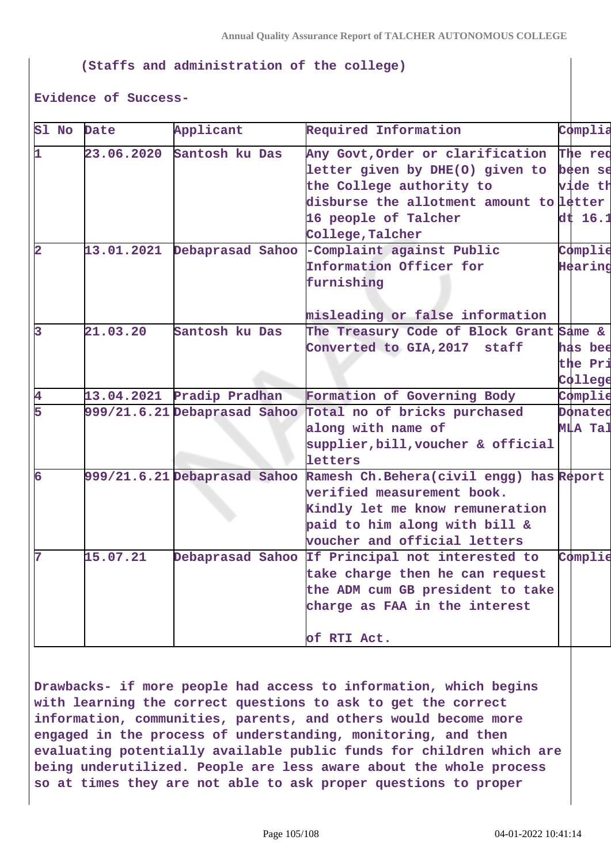### **(Staffs and administration of the college)**

#### **Evidence of Success-**

| Sl No                   | Date       | Applicant                 | Required Information                                                 | Complia            |
|-------------------------|------------|---------------------------|----------------------------------------------------------------------|--------------------|
| 1                       | 23.06.2020 | Santosh ku Das            | Any Govt, Order or clarification                                     | The reg            |
|                         |            |                           | letter given by DHE(O) given to                                      | been se            |
|                         |            |                           | the College authority to                                             | vide th            |
|                         |            |                           | disburse the allotment amount to letter                              |                    |
|                         |            |                           | 16 people of Talcher                                                 | $\mathrm{dt}$ 16.1 |
|                         |            |                           | College, Talcher                                                     |                    |
| $\overline{\mathbf{2}}$ | 13.01.2021 |                           | Debaprasad Sahoo - Complaint against Public                          | Complie            |
|                         |            |                           | Information Officer for                                              | Hearing            |
|                         |            |                           | furnishing                                                           |                    |
|                         |            |                           |                                                                      |                    |
|                         |            |                           | misleading or false information                                      |                    |
| 3                       | 21.03.20   | Santosh ku Das            | The Treasury Code of Block Grant Same &                              |                    |
|                         |            |                           | Converted to GIA, 2017 staff                                         | has bee            |
|                         |            |                           |                                                                      | the Pri            |
|                         |            |                           |                                                                      | College            |
| 4                       |            | 13.04.2021 Pradip Pradhan | Formation of Governing Body                                          | Complie            |
| 5                       |            |                           | 999/21.6.21 Debaprasad Sahoo Total no of bricks purchased            | Donated            |
|                         |            |                           | along with name of                                                   | <b>MLA Tal</b>     |
|                         |            |                           | supplier, bill, voucher & official                                   |                    |
|                         |            |                           | letters                                                              |                    |
| 6                       |            |                           | 999/21.6.21 Debaprasad Sahoo Ramesh Ch.Behera(civil engg) has Report |                    |
|                         |            |                           | verified measurement book.                                           |                    |
|                         |            |                           | Kindly let me know remuneration                                      |                    |
|                         |            |                           | paid to him along with bill &                                        |                    |
|                         |            |                           | voucher and official letters                                         |                    |
| 7                       | 15.07.21   |                           | Debaprasad Sahoo If Principal not interested to                      | Complie            |
|                         |            |                           | take charge then he can request                                      |                    |
|                         |            |                           | the ADM cum GB president to take                                     |                    |
|                         |            |                           | charge as FAA in the interest                                        |                    |
|                         |            |                           |                                                                      |                    |
|                         |            |                           | of RTI Act.                                                          |                    |

**Drawbacks- if more people had access to information, which begins with learning the correct questions to ask to get the correct information, communities, parents, and others would become more engaged in the process of understanding, monitoring, and then evaluating potentially available public funds for children which are being underutilized. People are less aware about the whole process so at times they are not able to ask proper questions to proper**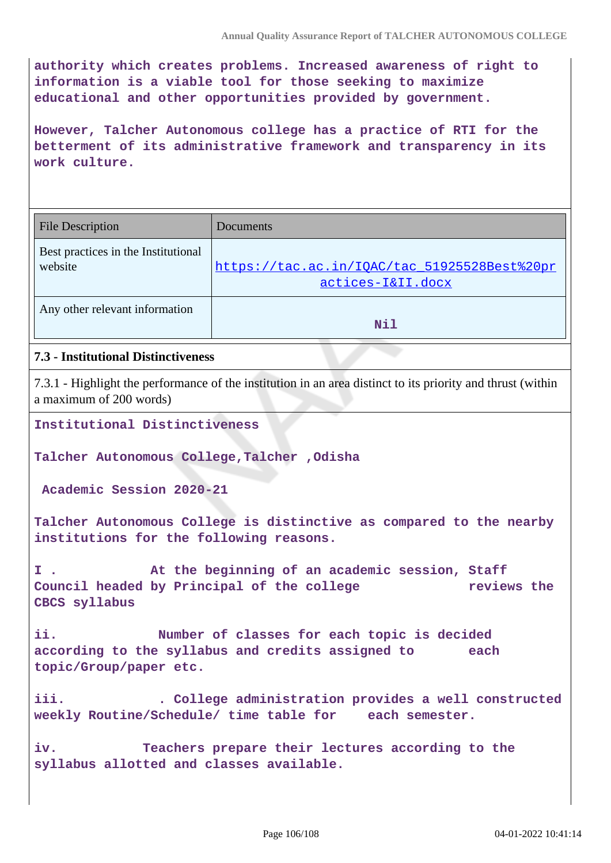**authority which creates problems. Increased awareness of right to information is a viable tool for those seeking to maximize educational and other opportunities provided by government.**

**However, Talcher Autonomous college has a practice of RTI for the betterment of its administrative framework and transparency in its work culture.**

| <b>File Description</b>                        | Documents                                                         |
|------------------------------------------------|-------------------------------------------------------------------|
| Best practices in the Institutional<br>website | https://tac.ac.in/IQAC/tac_51925528Best%20pr<br>actices-I&II.docx |
| Any other relevant information                 | Nil                                                               |

## **7.3 - Institutional Distinctiveness**

7.3.1 - Highlight the performance of the institution in an area distinct to its priority and thrust (within a maximum of 200 words)

**Institutional Distinctiveness**

**Talcher Autonomous College,Talcher ,Odisha**

 **Academic Session 2020-21**

**Talcher Autonomous College is distinctive as compared to the nearby institutions for the following reasons.**

**I . At the beginning of an academic session, Staff Council headed by Principal of the college reviews the CBCS syllabus** 

**ii. Number of classes for each topic is decided according to the syllabus and credits assigned to each topic/Group/paper etc.**

**iii. . College administration provides a well constructed weekly Routine/Schedule/ time table for each semester.**

**iv. Teachers prepare their lectures according to the syllabus allotted and classes available.**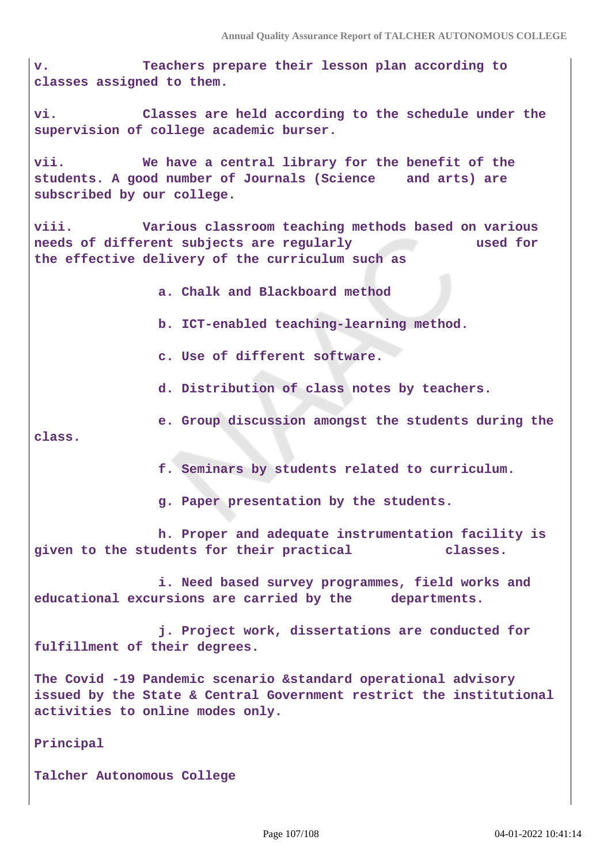**v. Teachers prepare their lesson plan according to classes assigned to them.**

**vi. Classes are held according to the schedule under the supervision of college academic burser.**

**vii. We have a central library for the benefit of the students. A good number of Journals (Science and arts) are subscribed by our college.**

**viii. Various classroom teaching methods based on various needs of different subjects are regularly used for the effective delivery of the curriculum such as**

 **a. Chalk and Blackboard method**

 **b. ICT-enabled teaching-learning method.**

 **c. Use of different software.**

 **d. Distribution of class notes by teachers.**

 **e. Group discussion amongst the students during the class.**

 **f. Seminars by students related to curriculum.**

 **g. Paper presentation by the students.**

 **h. Proper and adequate instrumentation facility is given to the students for their practical classes.**

 **i. Need based survey programmes, field works and educational excursions are carried by the departments.**

 **j. Project work, dissertations are conducted for fulfillment of their degrees.**

**The Covid -19 Pandemic scenario &standard operational advisory issued by the State & Central Government restrict the institutional activities to online modes only.**

**Principal**

**Talcher Autonomous College**